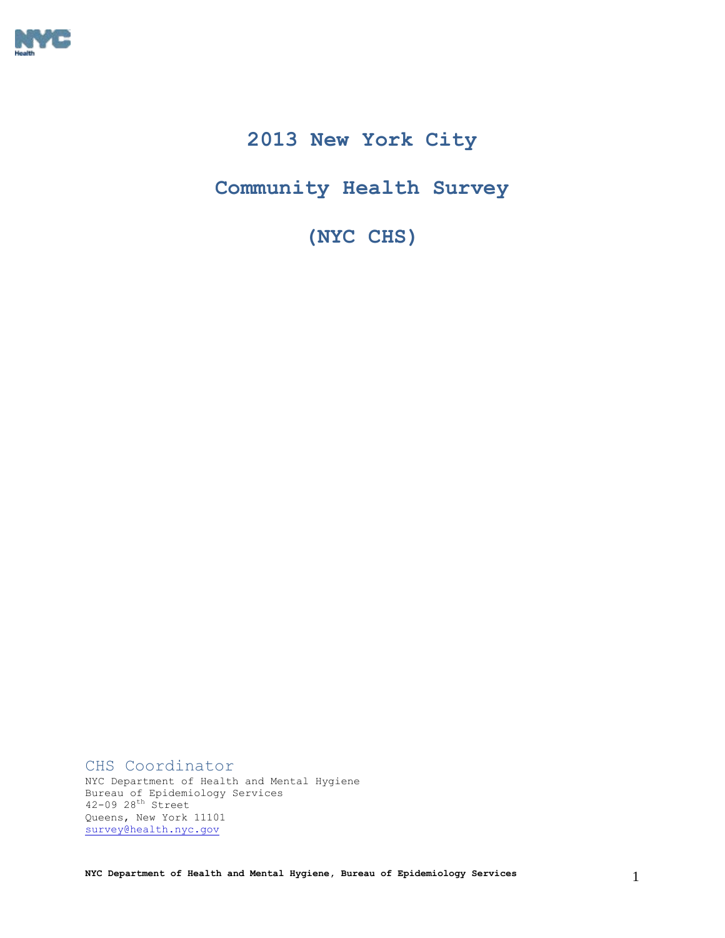

# **2013 New York City**

# **Community Health Survey**

**(NYC CHS)** 

CHS Coordinator NYC Department of Health and Mental Hygiene Bureau of Epidemiology Services 42-09 28th Street Queens, New York 11101 [survey@health.nyc.gov](mailto:survey@health.nyc.gov)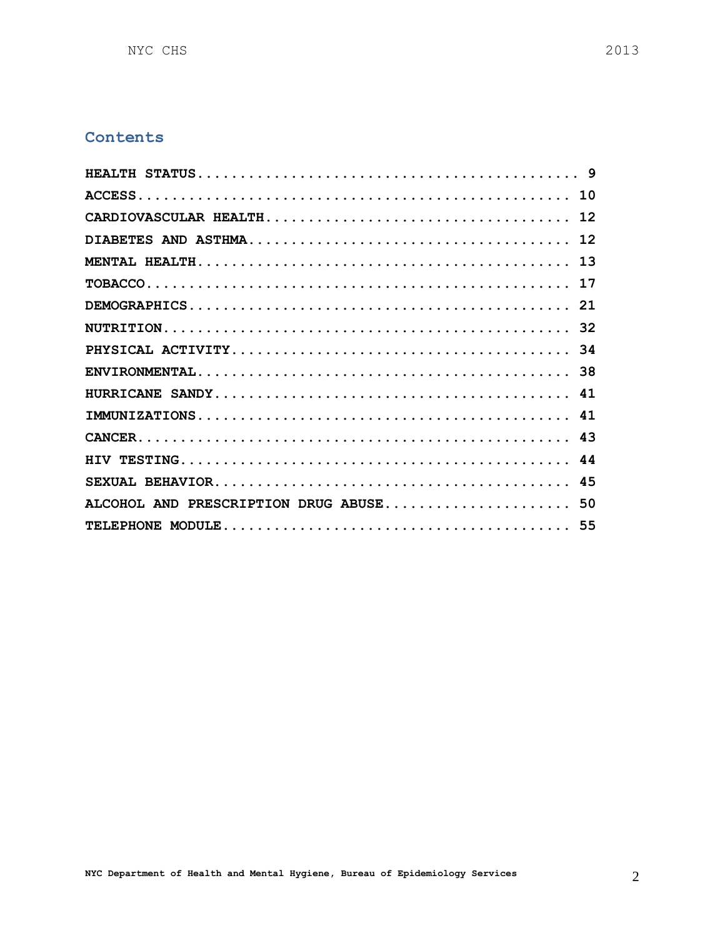# **Contents**

| ALCOHOL AND PRESCRIPTION DRUG ABUSE 50 |  |
|----------------------------------------|--|
|                                        |  |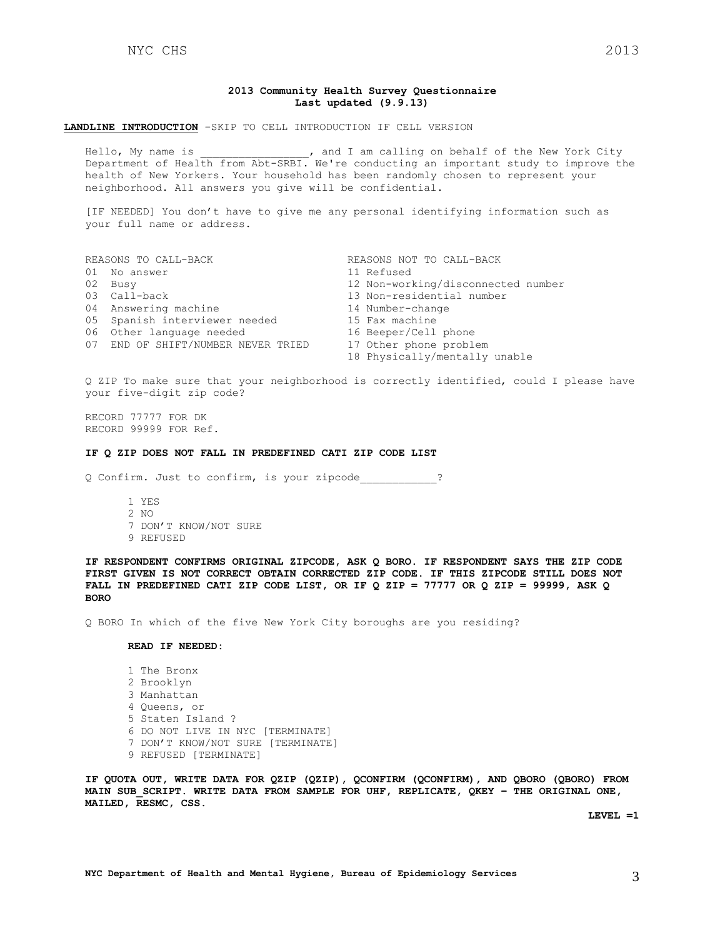#### **2013 Community Health Survey Questionnaire Last updated (9.9.13)**

#### **LANDLINE INTRODUCTION** –SKIP TO CELL INTRODUCTION IF CELL VERSION

Hello, My name is  $\qquad \qquad$ , and I am calling on behalf of the New York City Department of Health from Abt-SRBI. We're conducting an important study to improve the health of New Yorkers. Your household has been randomly chosen to represent your neighborhood. All answers you give will be confidential.

[IF NEEDED] You don't have to give me any personal identifying information such as your full name or address.

| REASONS TO CALL-BACK               | REASONS NOT TO CALL-BACK           |
|------------------------------------|------------------------------------|
| 01 No answer                       | 11 Refused                         |
| 02 Busy                            | 12 Non-working/disconnected number |
| 03 Call-back                       | 13 Non-residential number          |
| 04 Answering machine               | 14 Number-change                   |
| 05 Spanish interviewer needed      | 15 Fax machine                     |
| 06 Other language needed           | 16 Beeper/Cell phone               |
| 07 END OF SHIFT/NUMBER NEVER TRIED | 17 Other phone problem             |
|                                    | 18 Physically/mentally unable      |

Q ZIP To make sure that your neighborhood is correctly identified, could I please have your five-digit zip code?

RECORD 77777 FOR DK RECORD 99999 FOR Ref.

#### **IF Q ZIP DOES NOT FALL IN PREDEFINED CATI ZIP CODE LIST**

Q Confirm. Just to confirm, is your zipcode\_\_\_\_\_\_\_\_\_\_\_\_?

1 YES 2 NO 7 DON'T KNOW/NOT SURE 9 REFUSED

**IF RESPONDENT CONFIRMS ORIGINAL ZIPCODE, ASK Q BORO. IF RESPONDENT SAYS THE ZIP CODE FIRST GIVEN IS NOT CORRECT OBTAIN CORRECTED ZIP CODE. IF THIS ZIPCODE STILL DOES NOT FALL IN PREDEFINED CATI ZIP CODE LIST, OR IF Q ZIP = 77777 OR Q ZIP = 99999, ASK Q BORO**

Q BORO In which of the five New York City boroughs are you residing?

#### **READ IF NEEDED:**

1 The Bronx 2 Brooklyn 3 Manhattan 4 Queens, or 5 Staten Island ? 6 DO NOT LIVE IN NYC [TERMINATE] 7 DON'T KNOW/NOT SURE [TERMINATE] 9 REFUSED [TERMINATE]

**IF QUOTA OUT, WRITE DATA FOR QZIP (QZIP), QCONFIRM (QCONFIRM), AND QBORO (QBORO) FROM MAIN SUB\_SCRIPT. WRITE DATA FROM SAMPLE FOR UHF, REPLICATE, QKEY – THE ORIGINAL ONE, MAILED, RESMC, CSS.**

**LEVEL =1**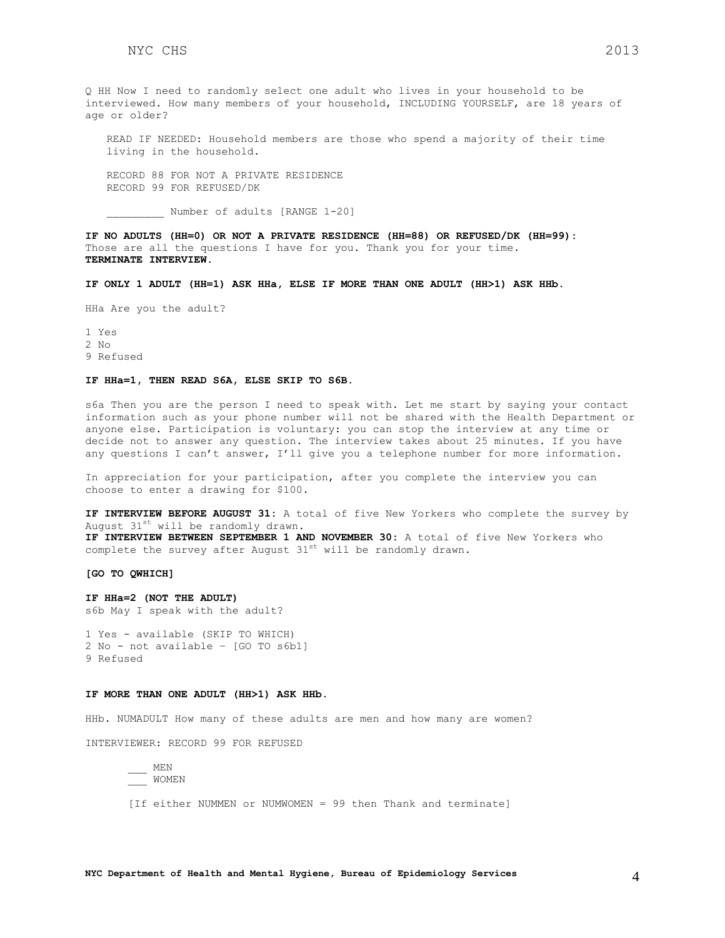Q HH Now I need to randomly select one adult who lives in your household to be interviewed. How many members of your household, INCLUDING YOURSELF, are 18 years of age or older?

READ IF NEEDED: Household members are those who spend a majority of their time living in the household.

RECORD 88 FOR NOT A PRIVATE RESIDENCE RECORD 99 FOR REFUSED/DK

\_\_\_\_\_\_\_\_\_ Number of adults [RANGE 1-20]

**IF NO ADULTS (HH=0) OR NOT A PRIVATE RESIDENCE (HH=88) OR REFUSED/DK (HH=99):** Those are all the questions I have for you. Thank you for your time. **TERMINATE INTERVIEW.**

**IF ONLY 1 ADULT (HH=1) ASK HHa, ELSE IF MORE THAN ONE ADULT (HH>1) ASK HHb.**

HHa Are you the adult?

1 Yes

2 No

9 Refused

#### **IF HHa=1, THEN READ S6A, ELSE SKIP TO S6B.**

s6a Then you are the person I need to speak with. Let me start by saying your contact information such as your phone number will not be shared with the Health Department or anyone else. Participation is voluntary: you can stop the interview at any time or decide not to answer any question. The interview takes about 25 minutes. If you have any questions I can't answer, I'll give you a telephone number for more information.

In appreciation for your participation, after you complete the interview you can choose to enter a drawing for \$100.

**IF INTERVIEW BEFORE AUGUST 31:** A total of five New Yorkers who complete the survey by August 31<sup>st</sup> will be randomly drawn.

**IF INTERVIEW BETWEEN SEPTEMBER 1 AND NOVEMBER 30:** A total of five New Yorkers who complete the survey after August  $31^{st}$  will be randomly drawn.

**[GO TO QWHICH]**

**IF HHa=2 (NOT THE ADULT)** s6b May I speak with the adult?

1 Yes - available (SKIP TO WHICH) 2 No - not available – [GO TO s6b1] 9 Refused

#### **IF MORE THAN ONE ADULT (HH>1) ASK HHb.**

HHb. NUMADULT How many of these adults are men and how many are women?

INTERVIEWER: RECORD 99 FOR REFUSED

 $MFM$ \_\_\_ WOMEN

[If either NUMMEN or NUMWOMEN = 99 then Thank and terminate]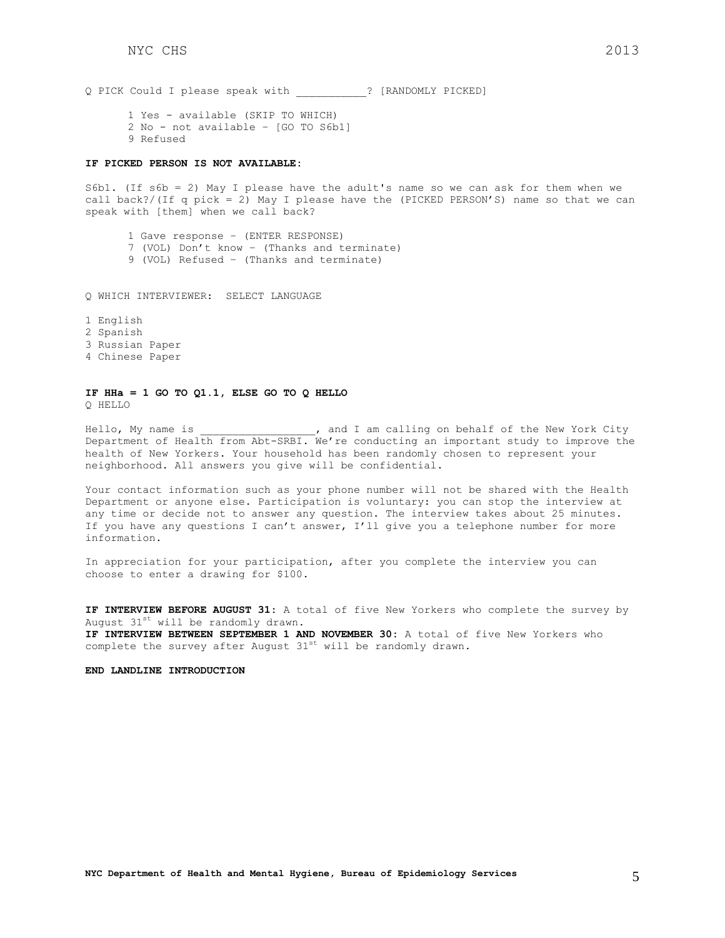Q PICK Could I please speak with \_\_\_\_\_\_\_\_\_\_\_? [RANDOMLY PICKED]

1 Yes - available (SKIP TO WHICH) 2 No - not available – [GO TO S6b1] 9 Refused

#### **IF PICKED PERSON IS NOT AVAILABLE:**

S6b1. (If s6b = 2) May I please have the adult's name so we can ask for them when we call back?/(If q pick = 2) May I please have the (PICKED PERSON'S) name so that we can speak with [them] when we call back?

1 Gave response – (ENTER RESPONSE) 7 (VOL) Don't know – (Thanks and terminate) 9 (VOL) Refused – (Thanks and terminate)

Q WHICH INTERVIEWER: SELECT LANGUAGE

1 English 2 Spanish

3 Russian Paper

4 Chinese Paper

### **IF HHa = 1 GO TO Q1.1, ELSE GO TO Q HELLO** Q HELLO

Hello, My name is \_\_\_\_\_\_\_\_\_\_\_\_\_\_, and I am calling on behalf of the New York City Department of Health from Abt-SRBI. We're conducting an important study to improve the health of New Yorkers. Your household has been randomly chosen to represent your neighborhood. All answers you give will be confidential.

Your contact information such as your phone number will not be shared with the Health Department or anyone else. Participation is voluntary: you can stop the interview at any time or decide not to answer any question. The interview takes about 25 minutes. If you have any questions I can't answer, I'll give you a telephone number for more information.

In appreciation for your participation, after you complete the interview you can choose to enter a drawing for \$100.

**IF INTERVIEW BEFORE AUGUST 31:** A total of five New Yorkers who complete the survey by August  $31^{st}$  will be randomly drawn. **IF INTERVIEW BETWEEN SEPTEMBER 1 AND NOVEMBER 30:** A total of five New Yorkers who complete the survey after August  $31^{st}$  will be randomly drawn.

**END LANDLINE INTRODUCTION**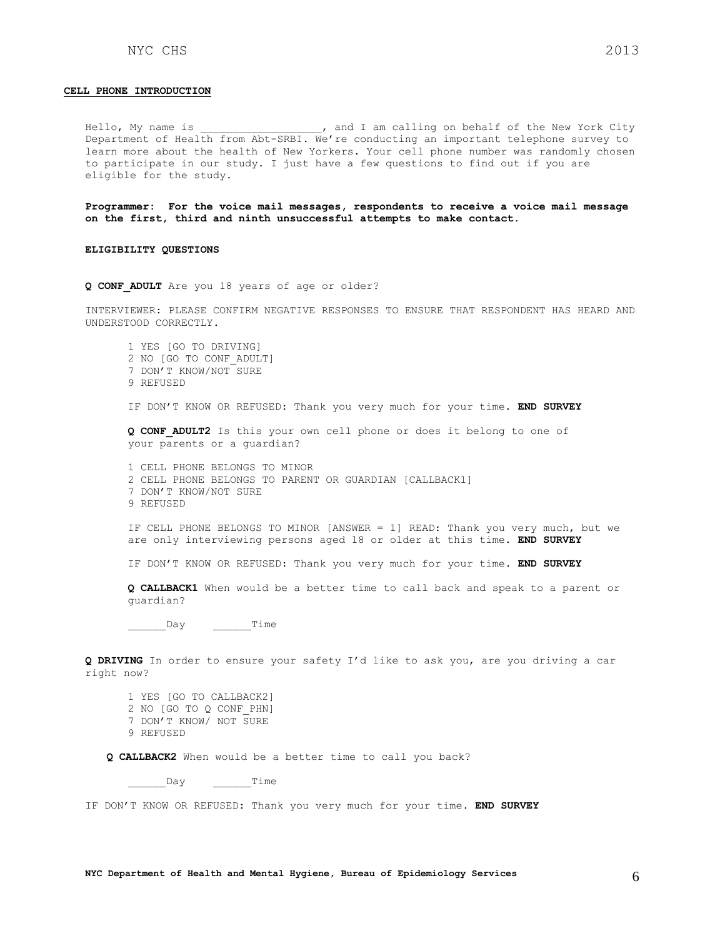#### **CELL PHONE INTRODUCTION**

Hello, My name is  $\qquad \qquad$ , and I am calling on behalf of the New York City Department of Health from Abt-SRBI. We're conducting an important telephone survey to learn more about the health of New Yorkers. Your cell phone number was randomly chosen to participate in our study. I just have a few questions to find out if you are eligible for the study.

**Programmer: For the voice mail messages, respondents to receive a voice mail message on the first, third and ninth unsuccessful attempts to make contact.** 

#### **ELIGIBILITY QUESTIONS**

**Q CONF\_ADULT** Are you 18 years of age or older?

INTERVIEWER: PLEASE CONFIRM NEGATIVE RESPONSES TO ENSURE THAT RESPONDENT HAS HEARD AND UNDERSTOOD CORRECTLY.

1 YES [GO TO DRIVING] 2 NO [GO TO CONF\_ADULT] 7 DON'T KNOW/NOT SURE 9 REFUSED IF DON'T KNOW OR REFUSED: Thank you very much for your time. **END SURVEY Q CONF\_ADULT2** Is this your own cell phone or does it belong to one of your parents or a guardian? 1 CELL PHONE BELONGS TO MINOR 2 CELL PHONE BELONGS TO PARENT OR GUARDIAN [CALLBACK1] 7 DON'T KNOW/NOT SURE 9 REFUSED IF CELL PHONE BELONGS TO MINOR [ANSWER = 1] READ: Thank you very much, but we are only interviewing persons aged 18 or older at this time. **END SURVEY**

IF DON'T KNOW OR REFUSED: Thank you very much for your time. **END SURVEY**

**Q CALLBACK1** When would be a better time to call back and speak to a parent or guardian?

\_\_\_\_\_\_\_\_\_\_\_Day \_\_\_\_\_\_\_\_ Time

**Q DRIVING** In order to ensure your safety I'd like to ask you, are you driving a car right now?

1 YES [GO TO CALLBACK2] 2 NO [GO TO Q CONF\_PHN] 7 DON'T KNOW/ NOT SURE 9 REFUSED

**Q CALLBACK2** When would be a better time to call you back?

\_\_\_\_\_\_\_\_\_\_\_Day \_\_\_\_\_\_\_\_\_\_\_\_Time

IF DON'T KNOW OR REFUSED: Thank you very much for your time. **END SURVEY**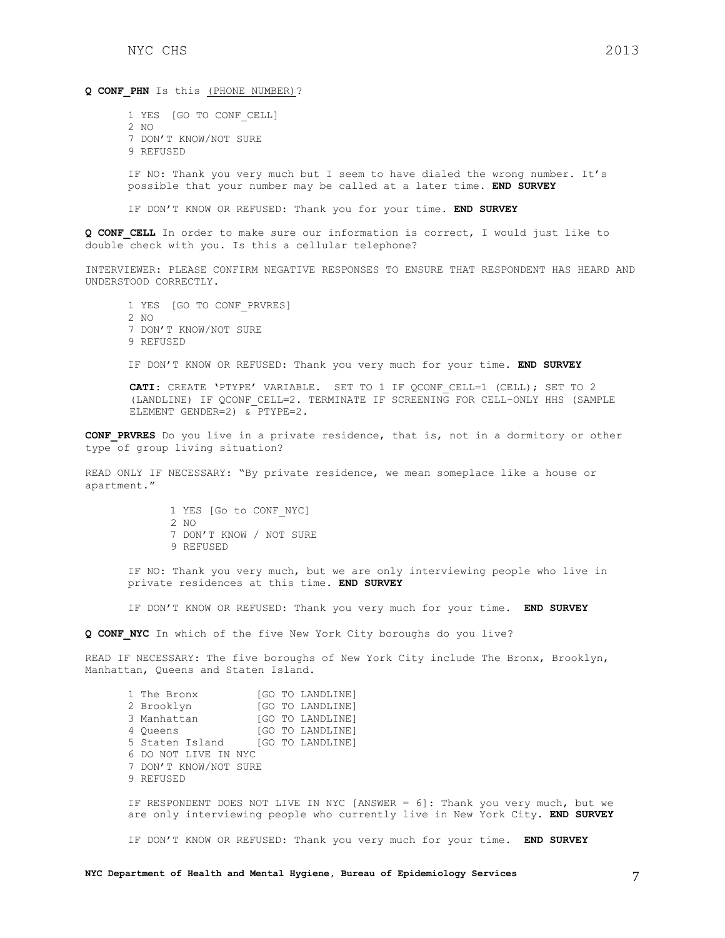Q CONF PHN Is this (PHONE NUMBER)?

1 YES [GO TO CONF\_CELL] 2 NO 7 DON'T KNOW/NOT SURE 9 REFUSED

IF NO: Thank you very much but I seem to have dialed the wrong number. It's possible that your number may be called at a later time. **END SURVEY**

IF DON'T KNOW OR REFUSED: Thank you for your time. **END SURVEY**

**Q CONF\_CELL** In order to make sure our information is correct, I would just like to double check with you. Is this a cellular telephone?

INTERVIEWER: PLEASE CONFIRM NEGATIVE RESPONSES TO ENSURE THAT RESPONDENT HAS HEARD AND UNDERSTOOD CORRECTLY.

1 YES [GO TO CONF\_PRVRES]  $2 N$ 7 DON'T KNOW/NOT SURE 9 REFUSED IF DON'T KNOW OR REFUSED: Thank you very much for your time. **END SURVEY**

**CATI**: CREATE 'PTYPE' VARIABLE. SET TO 1 IF QCONF\_CELL=1 (CELL); SET TO 2 (LANDLINE) IF QCONF CELL=2. TERMINATE IF SCREENING FOR CELL-ONLY HHS (SAMPLE ELEMENT GENDER=2) & PTYPE=2.

**CONF\_PRVRES** Do you live in a private residence, that is, not in a dormitory or other type of group living situation?

READ ONLY IF NECESSARY: "By private residence, we mean someplace like a house or apartment."

> 1 YES [Go to CONF\_NYC] 2 NO 7 DON'T KNOW / NOT SURE 9 REFUSED

IF NO: Thank you very much, but we are only interviewing people who live in private residences at this time. **END SURVEY**

IF DON'T KNOW OR REFUSED: Thank you very much for your time. **END SURVEY**

**Q CONF\_NYC** In which of the five New York City boroughs do you live?

READ IF NECESSARY: The five boroughs of New York City include The Bronx, Brooklyn, Manhattan, Queens and Staten Island.

1 The Bronx [GO TO LANDLINE] 2 Brooklyn [GO TO LANDLINE] 3 Manhattan [GO TO LANDLINE] 4 Queens [GO TO LANDLINE]<br>5 Staten Island [GO TO LANDLINE] [GO TO LANDLINE] 6 DO NOT LIVE IN NYC 7 DON'T KNOW/NOT SURE 9 REFUSED

IF RESPONDENT DOES NOT LIVE IN NYC [ANSWER = 6]: Thank you very much, but we are only interviewing people who currently live in New York City. **END SURVEY**

IF DON'T KNOW OR REFUSED: Thank you very much for your time. **END SURVEY**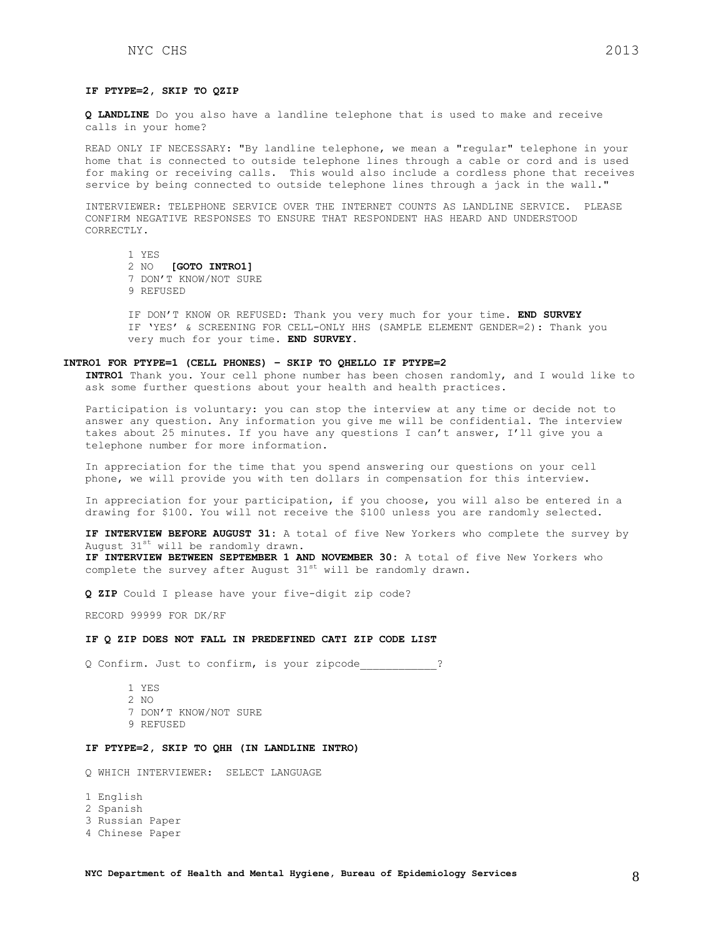### **IF PTYPE=2, SKIP TO QZIP**

**Q LANDLINE** Do you also have a landline telephone that is used to make and receive calls in your home?

READ ONLY IF NECESSARY: "By landline telephone, we mean a "regular" telephone in your home that is connected to outside telephone lines through a cable or cord and is used for making or receiving calls. This would also include a cordless phone that receives service by being connected to outside telephone lines through a jack in the wall."

INTERVIEWER: TELEPHONE SERVICE OVER THE INTERNET COUNTS AS LANDLINE SERVICE. PLEASE CONFIRM NEGATIVE RESPONSES TO ENSURE THAT RESPONDENT HAS HEARD AND UNDERSTOOD CORRECTLY.

1 YES 2 NO **[GOTO INTRO1]** 7 DON'T KNOW/NOT SURE 9 REFUSED

IF DON'T KNOW OR REFUSED: Thank you very much for your time. **END SURVEY** IF 'YES' & SCREENING FOR CELL-ONLY HHS (SAMPLE ELEMENT GENDER=2): Thank you very much for your time. **END SURVEY**.

#### **INTRO1 FOR PTYPE=1 (CELL PHONES) – SKIP TO QHELLO IF PTYPE=2**

**INTRO1** Thank you. Your cell phone number has been chosen randomly, and I would like to ask some further questions about your health and health practices.

Participation is voluntary: you can stop the interview at any time or decide not to answer any question. Any information you give me will be confidential. The interview takes about 25 minutes. If you have any questions I can't answer, I'll give you a telephone number for more information.

In appreciation for the time that you spend answering our questions on your cell phone, we will provide you with ten dollars in compensation for this interview.

In appreciation for your participation, if you choose, you will also be entered in a drawing for \$100. You will not receive the \$100 unless you are randomly selected.

**IF INTERVIEW BEFORE AUGUST 31:** A total of five New Yorkers who complete the survey by August 31st will be randomly drawn.

**IF INTERVIEW BETWEEN SEPTEMBER 1 AND NOVEMBER 30:** A total of five New Yorkers who complete the survey after August  $31^{st}$  will be randomly drawn.

**Q ZIP** Could I please have your five-digit zip code?

RECORD 99999 FOR DK/RF

### **IF Q ZIP DOES NOT FALL IN PREDEFINED CATI ZIP CODE LIST**

Q Confirm. Just to confirm, is your zipcode\_\_\_\_\_\_\_\_\_\_\_\_?

- 1 YES 2 NO 7 DON'T KNOW/NOT SURE
- 9 REFUSED

# **IF PTYPE=2, SKIP TO QHH (IN LANDLINE INTRO)**

Q WHICH INTERVIEWER: SELECT LANGUAGE

1 English

2 Spanish

3 Russian Paper

4 Chinese Paper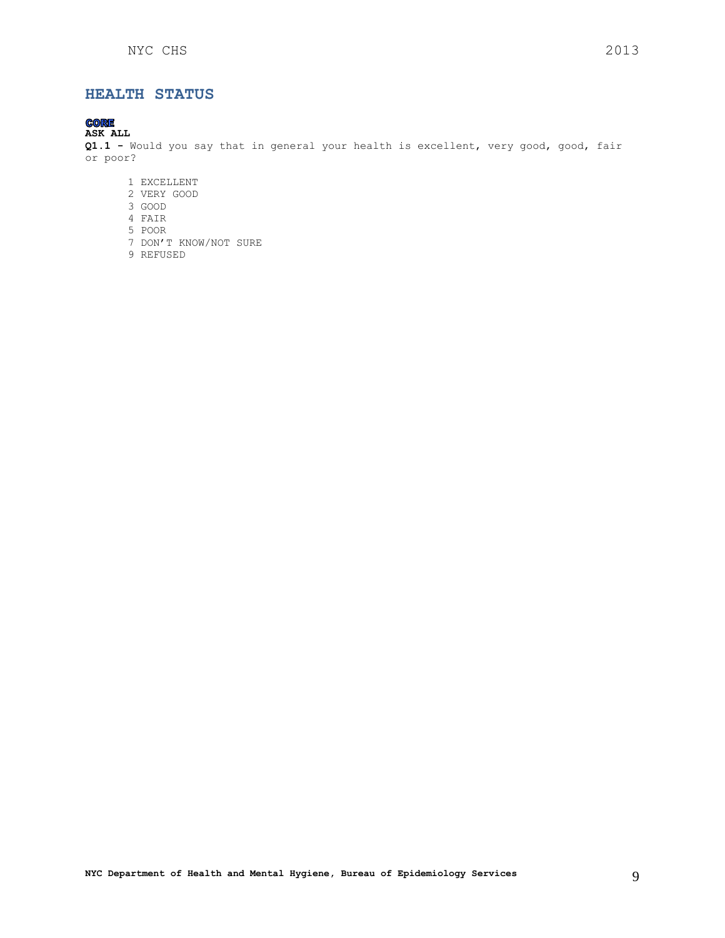# <span id="page-8-0"></span>**HEALTH STATUS**

#### **CORE ASK ALL**

**Q1.1 -** Would you say that in general your health is excellent, very good, good, fair or poor?

- 1 EXCELLENT
- 2 VERY GOOD
- 3 GOOD
- 4 FAIR
- 5 POOR
- 7 DON'T KNOW/NOT SURE
- <span id="page-8-1"></span>9 REFUSED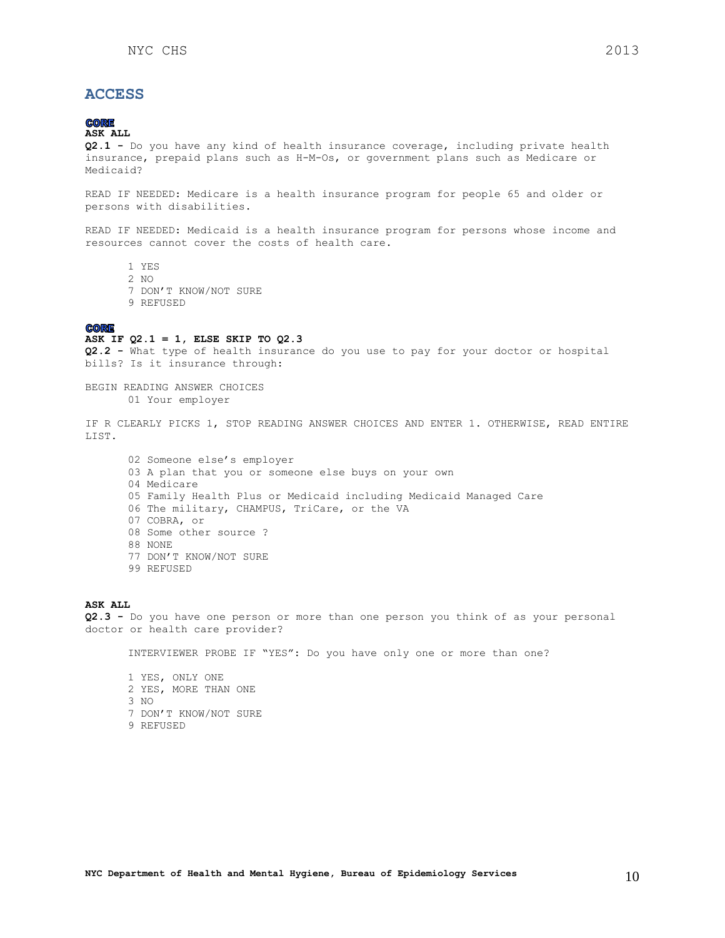# **ACCESS**

# **CORE**

# **ASK ALL**

**Q2.1 -** Do you have any kind of health insurance coverage, including private health insurance, prepaid plans such as H-M-Os, or government plans such as Medicare or Medicaid?

READ IF NEEDED: Medicare is a health insurance program for people 65 and older or persons with disabilities.

READ IF NEEDED: Medicaid is a health insurance program for persons whose income and resources cannot cover the costs of health care.

- 1 YES
- 2 NO
- 7 DON'T KNOW/NOT SURE
- 9 REFUSED

#### **CORE**

# **ASK IF Q2.1 = 1, ELSE SKIP TO Q2.3**

**Q2.2 -** What type of health insurance do you use to pay for your doctor or hospital bills? Is it insurance through:

BEGIN READING ANSWER CHOICES 01 Your employer

IF R CLEARLY PICKS 1, STOP READING ANSWER CHOICES AND ENTER 1. OTHERWISE, READ ENTIRE LIST.

02 Someone else's employer 03 A plan that you or someone else buys on your own 04 Medicare 05 Family Health Plus or Medicaid including Medicaid Managed Care 06 The military, CHAMPUS, TriCare, or the VA 07 COBRA, or 08 Some other source ? 88 NONE 77 DON'T KNOW/NOT SURE 99 REFUSED

# **ASK ALL**

**Q2.3 -** Do you have one person or more than one person you think of as your personal doctor or health care provider?

INTERVIEWER PROBE IF "YES": Do you have only one or more than one?

1 YES, ONLY ONE 2 YES, MORE THAN ONE 3 NO 7 DON'T KNOW/NOT SURE 9 REFUSED

**NYC Department of Health and Mental Hygiene, Bureau of Epidemiology Services** 10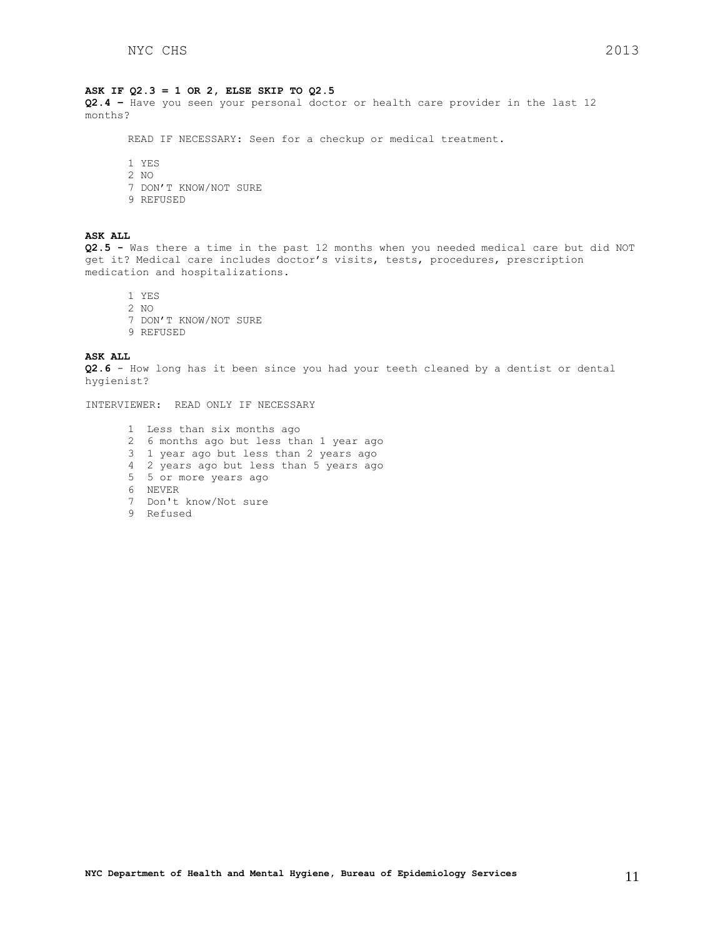#### **ASK IF Q2.3 = 1 OR 2, ELSE SKIP TO Q2.5**

**Q2.4 –** Have you seen your personal doctor or health care provider in the last 12 months?

READ IF NECESSARY: Seen for a checkup or medical treatment.

1 YES 2 NO 7 DON'T KNOW/NOT SURE 9 REFUSED

### **ASK ALL**

**Q2.5 -** Was there a time in the past 12 months when you needed medical care but did NOT get it? Medical care includes doctor's visits, tests, procedures, prescription medication and hospitalizations.

1 YES 2 NO 7 DON'T KNOW/NOT SURE 9 REFUSED

**ASK ALL**

**Q2.6** - How long has it been since you had your teeth cleaned by a dentist or dental hygienist?

INTERVIEWER: READ ONLY IF NECESSARY

- 1 Less than six months ago
- 2 6 months ago but less than 1 year ago
- 3 1 year ago but less than 2 years ago
- 4 2 years ago but less than 5 years ago
- 5 5 or more years ago
- 6 NEVER
- 7 Don't know/Not sure
- <span id="page-10-0"></span>9 Refused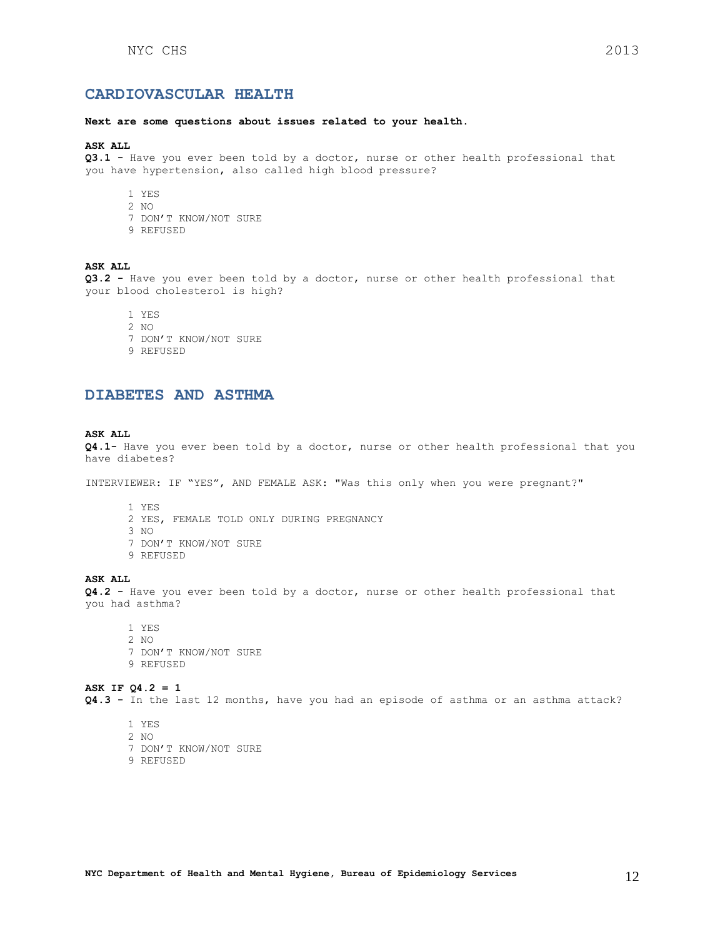#### **Next are some questions about issues related to your health.**

#### **ASK ALL**

**Q3.1 -** Have you ever been told by a doctor, nurse or other health professional that you have hypertension, also called high blood pressure?

- 1 YES
- 2 NO
- 7 DON'T KNOW/NOT SURE
- 9 REFUSED

# **ASK ALL**

**Q3.2 -** Have you ever been told by a doctor, nurse or other health professional that your blood cholesterol is high?

- 1 YES
- 2 NO
- 7 DON'T KNOW/NOT SURE
- 9 REFUSED

# <span id="page-11-0"></span>**DIABETES AND ASTHMA**

### **ASK ALL**

**Q4.1-** Have you ever been told by a doctor, nurse or other health professional that you have diabetes?

INTERVIEWER: IF "YES", AND FEMALE ASK: "Was this only when you were pregnant?"

- 1 YES
- 2 YES, FEMALE TOLD ONLY DURING PREGNANCY
- 3 NO
- 7 DON'T KNOW/NOT SURE
- 9 REFUSED

# **ASK ALL**

**Q4.2 -** Have you ever been told by a doctor, nurse or other health professional that you had asthma?

1 YES 2 NO 7 DON'T KNOW/NOT SURE 9 REFUSED

**ASK IF Q4.2 = 1 Q4.3 -** In the last 12 months, have you had an episode of asthma or an asthma attack?

- 1 YES
- 2 NO
- 7 DON'T KNOW/NOT SURE
- <span id="page-11-1"></span>9 REFUSED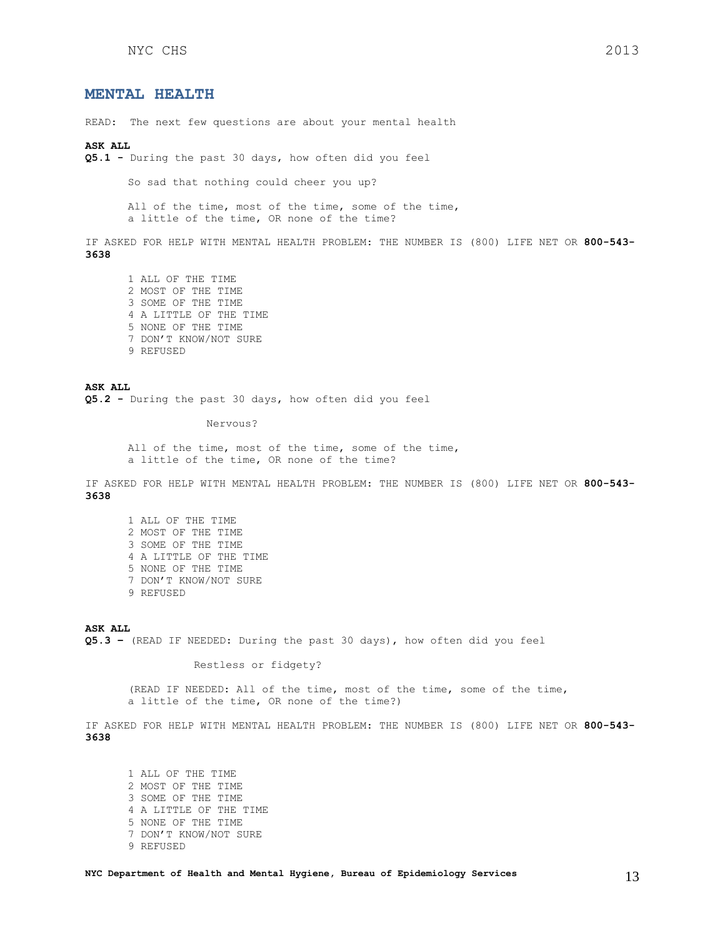# **MENTAL HEALTH**

READ: The next few questions are about your mental health

#### **ASK ALL**

**Q5.1 -** During the past 30 days, how often did you feel

So sad that nothing could cheer you up?

All of the time, most of the time, some of the time, a little of the time, OR none of the time?

IF ASKED FOR HELP WITH MENTAL HEALTH PROBLEM: THE NUMBER IS (800) LIFE NET OR **800-543- 3638**

1 ALL OF THE TIME 2 MOST OF THE TIME 3 SOME OF THE TIME 4 A LITTLE OF THE TIME 5 NONE OF THE TIME 7 DON'T KNOW/NOT SURE 9 REFUSED

**ASK ALL Q5.2 -** During the past 30 days, how often did you feel

#### Nervous?

All of the time, most of the time, some of the time, a little of the time, OR none of the time?

IF ASKED FOR HELP WITH MENTAL HEALTH PROBLEM: THE NUMBER IS (800) LIFE NET OR **800-543- 3638**

1 ALL OF THE TIME 2 MOST OF THE TIME 3 SOME OF THE TIME 4 A LITTLE OF THE TIME 5 NONE OF THE TIME 7 DON'T KNOW/NOT SURE 9 REFUSED

**ASK ALL Q5.3 –** (READ IF NEEDED: During the past 30 days), how often did you feel

Restless or fidgety?

(READ IF NEEDED: All of the time, most of the time, some of the time, a little of the time, OR none of the time?)

IF ASKED FOR HELP WITH MENTAL HEALTH PROBLEM: THE NUMBER IS (800) LIFE NET OR **800-543- 3638**

1 ALL OF THE TIME 2 MOST OF THE TIME 3 SOME OF THE TIME 4 A LITTLE OF THE TIME 5 NONE OF THE TIME 7 DON'T KNOW/NOT SURE 9 REFUSED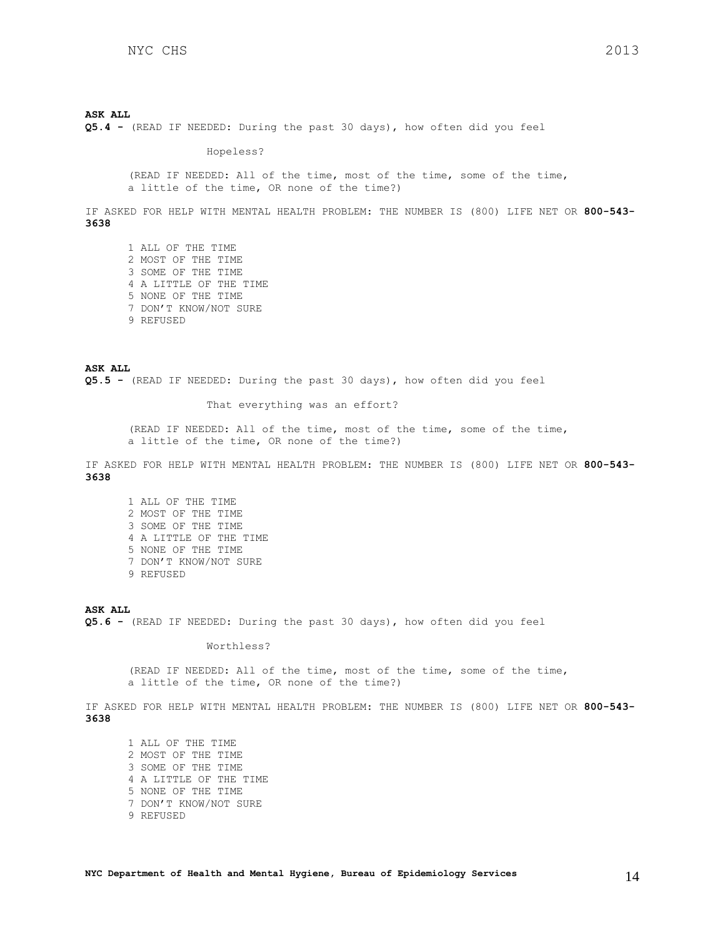#### **ASK ALL**

**Q5.4 -** (READ IF NEEDED: During the past 30 days), how often did you feel

Hopeless?

(READ IF NEEDED: All of the time, most of the time, some of the time, a little of the time, OR none of the time?)

IF ASKED FOR HELP WITH MENTAL HEALTH PROBLEM: THE NUMBER IS (800) LIFE NET OR **800-543- 3638**

1 ALL OF THE TIME 2 MOST OF THE TIME 3 SOME OF THE TIME 4 A LITTLE OF THE TIME 5 NONE OF THE TIME 7 DON'T KNOW/NOT SURE 9 REFUSED

**ASK ALL Q5.5 -** (READ IF NEEDED: During the past 30 days), how often did you feel

That everything was an effort?

(READ IF NEEDED: All of the time, most of the time, some of the time, a little of the time, OR none of the time?)

IF ASKED FOR HELP WITH MENTAL HEALTH PROBLEM: THE NUMBER IS (800) LIFE NET OR **800-543- 3638**

1 ALL OF THE TIME 2 MOST OF THE TIME 3 SOME OF THE TIME 4 A LITTLE OF THE TIME 5 NONE OF THE TIME 7 DON'T KNOW/NOT SURE 9 REFUSED

### **ASK ALL**

**Q5.6 -** (READ IF NEEDED: During the past 30 days), how often did you feel

Worthless?

(READ IF NEEDED: All of the time, most of the time, some of the time, a little of the time, OR none of the time?)

IF ASKED FOR HELP WITH MENTAL HEALTH PROBLEM: THE NUMBER IS (800) LIFE NET OR **800-543- 3638**

1 ALL OF THE TIME 2 MOST OF THE TIME 3 SOME OF THE TIME 4 A LITTLE OF THE TIME 5 NONE OF THE TIME 7 DON'T KNOW/NOT SURE 9 REFUSED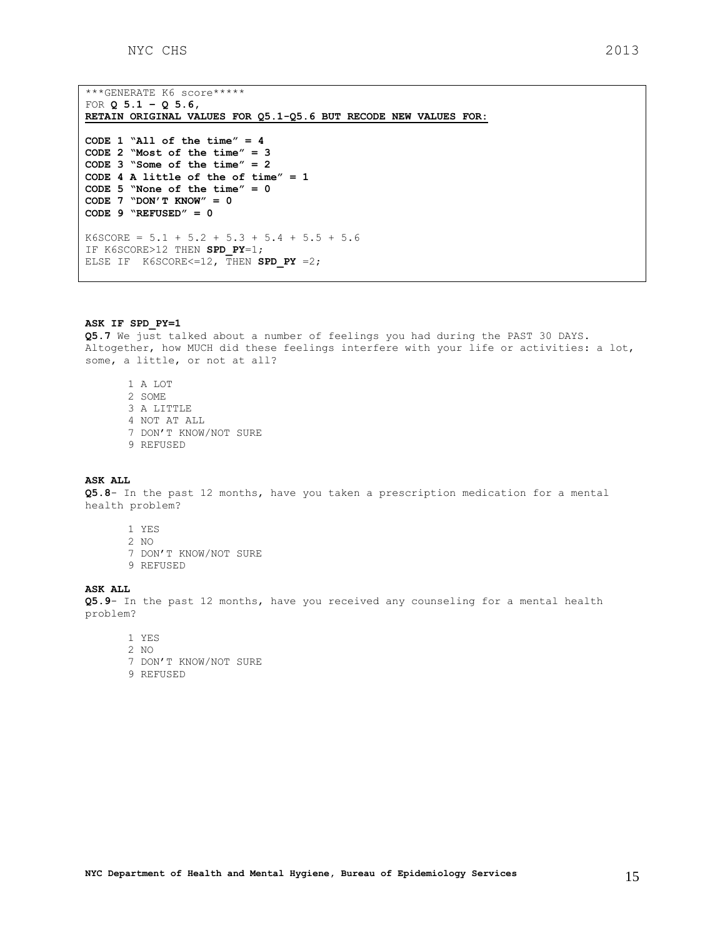\*\*\*GENERATE K6 score\*\*\*\*\* FOR **Q 5.1 – Q 5.6, RETAIN ORIGINAL VALUES FOR Q5.1-Q5.6 BUT RECODE NEW VALUES FOR: CODE 1 "All of the time" = 4 CODE 2 "Most of the time" = 3 CODE 3 "Some of the time" = 2 CODE 4 A little of the of time" = 1 CODE 5 "None of the time" = 0 CODE 7 "DON'T KNOW" = 0 CODE 9 "REFUSED" = 0**   $K6SCORE = 5.1 + 5.2 + 5.3 + 5.4 + 5.5 + 5.6$ IF K6SCORE>12 THEN **SPD\_PY**=1; ELSE IF  $K6SCORE < = 12$ , THEN SPD PY =2;

#### **ASK IF SPD\_PY=1**

**Q5.7** We just talked about a number of feelings you had during the PAST 30 DAYS. Altogether, how MUCH did these feelings interfere with your life or activities: a lot, some, a little, or not at all?

1 A LOT 2 SOME 3 A LITTLE 4 NOT AT ALL 7 DON'T KNOW/NOT SURE 9 REFUSED

#### **ASK ALL**

**Q5.8**- In the past 12 months, have you taken a prescription medication for a mental health problem?

- 1 YES
- 2 NO
- 7 DON'T KNOW/NOT SURE
- 9 REFUSED

# **ASK ALL**

**Q5.9**- In the past 12 months, have you received any counseling for a mental health problem?

- 1 YES
- 2 NO
- 7 DON'T KNOW/NOT SURE
- 9 REFUSED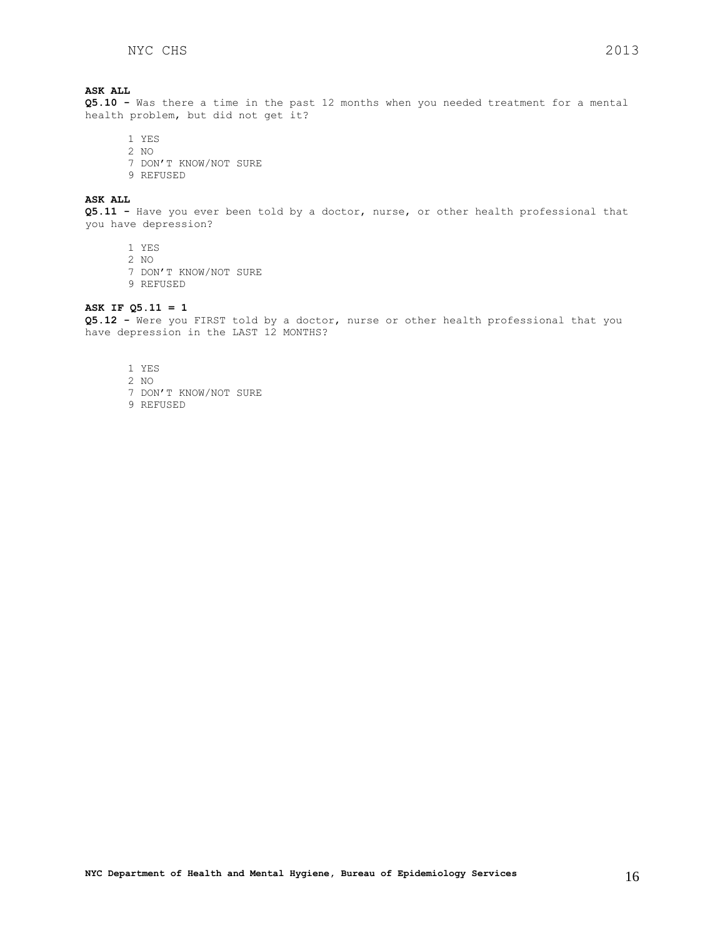# **ASK ALL**

**Q5.10 -** Was there a time in the past 12 months when you needed treatment for a mental health problem, but did not get it?

- 1 YES
- 2 NO
- 7 DON'T KNOW/NOT SURE
- 9 REFUSED

# **ASK ALL**

**Q5.11 -** Have you ever been told by a doctor, nurse, or other health professional that you have depression?

- 1 YES
- 2 NO
- 7 DON'T KNOW/NOT SURE
- 9 REFUSED

# **ASK IF Q5.11 = 1**

**Q5.12 -** Were you FIRST told by a doctor, nurse or other health professional that you have depression in the LAST 12 MONTHS?

<span id="page-15-0"></span>1 YES 2 NO 7 DON'T KNOW/NOT SURE 9 REFUSED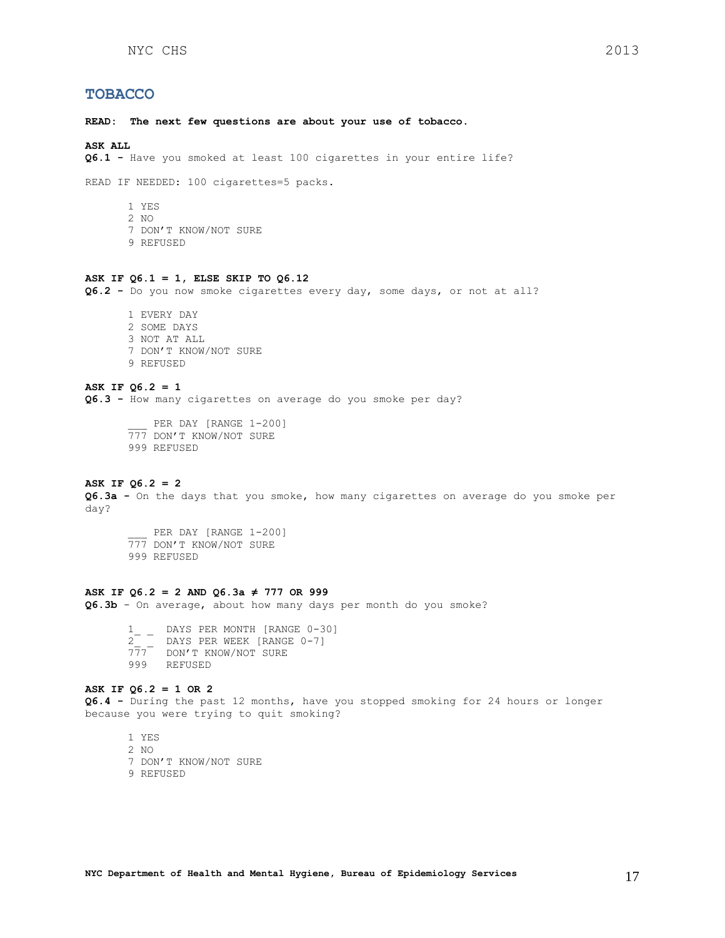# **TOBACCO**

**READ: The next few questions are about your use of tobacco.** 

#### **ASK ALL**

**Q6.1 -** Have you smoked at least 100 cigarettes in your entire life?

READ IF NEEDED: 100 cigarettes=5 packs.

- 1 YES
- 2 NO
- 7 DON'T KNOW/NOT SURE
- 9 REFUSED

#### **ASK IF Q6.1 = 1, ELSE SKIP TO Q6.12**

**Q6.2 -** Do you now smoke cigarettes every day, some days, or not at all?

1 EVERY DAY 2 SOME DAYS 3 NOT AT ALL 7 DON'T KNOW/NOT SURE 9 REFUSED

# **ASK IF Q6.2 = 1**

**Q6.3 -** How many cigarettes on average do you smoke per day?

PER DAY [RANGE 1-200] 777 DON'T KNOW/NOT SURE 999 REFUSED

# **ASK IF Q6.2 = 2**

**Q6.3a -** On the days that you smoke, how many cigarettes on average do you smoke per day?

PER DAY [RANGE 1-200] TEN DAI [NANGE 1 20 999 REFUSED

### **ASK IF Q6.2 = 2 AND Q6.3a ≠ 777 OR 999**

**Q6.3b** - On average, about how many days per month do you smoke?

1 DAYS PER MONTH [RANGE 0-30] 2\_ \_ DAYS PER WEEK [RANGE 0-7] 777 DON'T KNOW/NOT SURE 999 REFUSED

### **ASK IF Q6.2 = 1 OR 2**

**Q6.4 -** During the past 12 months, have you stopped smoking for 24 hours or longer because you were trying to quit smoking?

1 YES 2 NO 7 DON'T KNOW/NOT SURE 9 REFUSED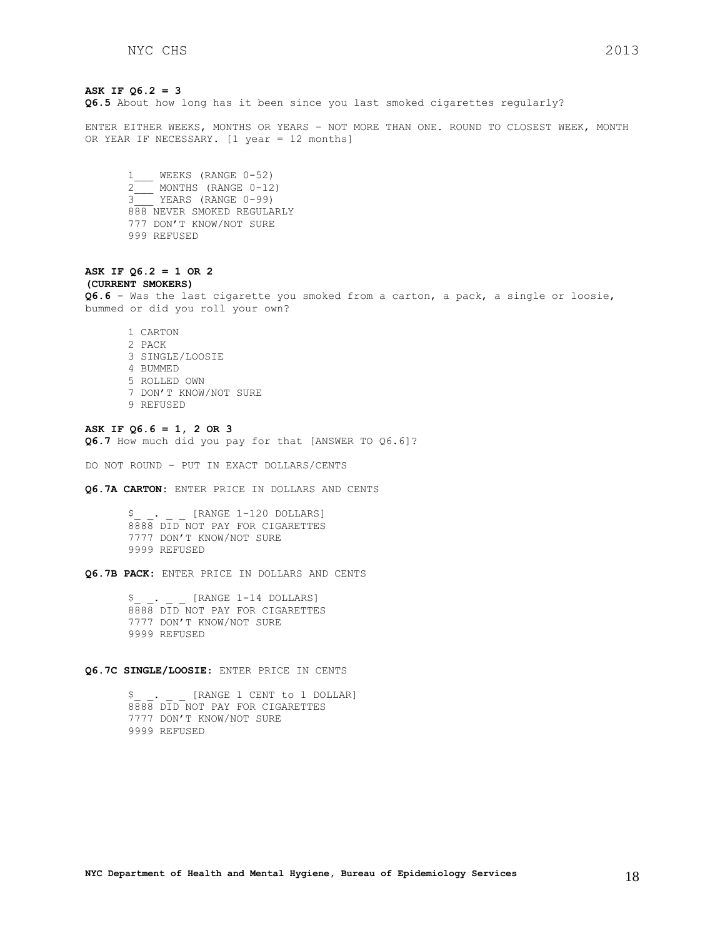## **ASK IF Q6.2 = 3**

**Q6.5** About how long has it been since you last smoked cigarettes regularly?

ENTER EITHER WEEKS, MONTHS OR YEARS – NOT MORE THAN ONE. ROUND TO CLOSEST WEEK, MONTH OR YEAR IF NECESSARY. [1 year = 12 months]

1\_\_\_ WEEKS (RANGE 0-52)  $2$  MONTHS (RANGE 0-12) 3\_\_\_ YEARS (RANGE 0-99) 888 NEVER SMOKED REGULARLY 777 DON'T KNOW/NOT SURE 999 REFUSED

#### **ASK IF Q6.2 = 1 OR 2 (CURRENT SMOKERS)**

**Q6.6** - Was the last cigarette you smoked from a carton, a pack, a single or loosie, bummed or did you roll your own?

1 CARTON 2 PACK 3 SINGLE/LOOSIE 4 BUMMED 5 ROLLED OWN 7 DON'T KNOW/NOT SURE 9 REFUSED

**ASK IF Q6.6 = 1, 2 OR 3 Q6.7** How much did you pay for that [ANSWER TO Q6.6]?

DO NOT ROUND – PUT IN EXACT DOLLARS/CENTS

**Q6.7A CARTON:** ENTER PRICE IN DOLLARS AND CENTS

\$\_ \_. \_ \_ [RANGE 1-120 DOLLARS] 8888 DID NOT PAY FOR CIGARETTES 7777 DON'T KNOW/NOT SURE 9999 REFUSED

**Q6.7B PACK:** ENTER PRICE IN DOLLARS AND CENTS

\$ . [RANGE 1-14 DOLLARS] 8888 DID NOT PAY FOR CIGARETTES 7777 DON'T KNOW/NOT SURE 9999 REFUSED

# **Q6.7C SINGLE/LOOSIE**: ENTER PRICE IN CENTS

\$ . [RANGE 1 CENT to 1 DOLLAR] 8888 DID NOT PAY FOR CIGARETTES 7777 DON'T KNOW/NOT SURE 9999 REFUSED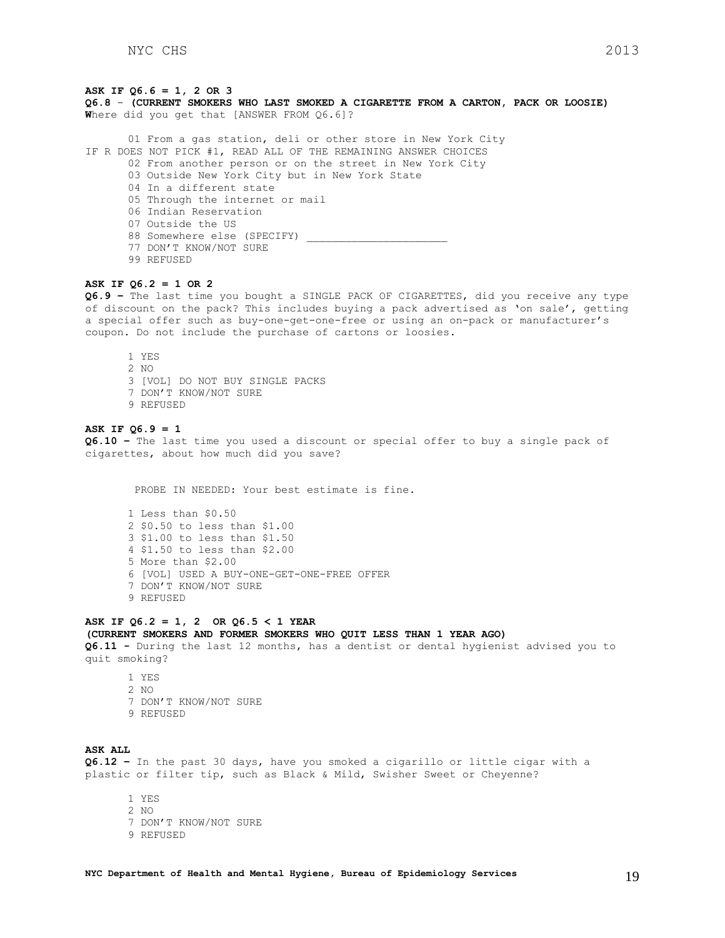### **ASK IF Q6.6 = 1, 2 OR 3**

**Q6.8** - **(CURRENT SMOKERS WHO LAST SMOKED A CIGARETTE FROM A CARTON, PACK OR LOOSIE) W**here did you get that [ANSWER FROM Q6.6]?

01 From a gas station, deli or other store in New York City IF R DOES NOT PICK #1, READ ALL OF THE REMAINING ANSWER CHOICES

02 From another person or on the street in New York City

03 Outside New York City but in New York State

04 In a different state

05 Through the internet or mail

06 Indian Reservation

- 07 Outside the US
- 88 Somewhere else (SPECIFY) \_
- 77 DON'T KNOW/NOT SURE
- 99 REFUSED

### **ASK IF Q6.2 = 1 OR 2**

**Q6.9 –** The last time you bought a SINGLE PACK OF CIGARETTES, did you receive any type of discount on the pack? This includes buying a pack advertised as 'on sale', getting a special offer such as buy-one-get-one-free or using an on-pack or manufacturer's coupon. Do not include the purchase of cartons or loosies.

1 YES 2 NO 3 [VOL] DO NOT BUY SINGLE PACKS 7 DON'T KNOW/NOT SURE 9 REFUSED

# **ASK IF Q6.9 = 1**

**Q6.10 –** The last time you used a discount or special offer to buy a single pack of cigarettes, about how much did you save?

PROBE IN NEEDED: Your best estimate is fine.

1 Less than \$0.50 2 \$0.50 to less than \$1.00 3 \$1.00 to less than \$1.50 4 \$1.50 to less than \$2.00 5 More than \$2.00 6 [VOL] USED A BUY-ONE-GET-ONE-FREE OFFER 7 DON'T KNOW/NOT SURE 9 REFUSED

#### **ASK IF Q6.2 = 1, 2 OR Q6.5 < 1 YEAR**

#### **(CURRENT SMOKERS AND FORMER SMOKERS WHO QUIT LESS THAN 1 YEAR AGO)**

**Q6.11 -** During the last 12 months, has a dentist or dental hygienist advised you to quit smoking?

1 YES  $2 NQ$ 7 DON'T KNOW/NOT SURE 9 REFUSED

# **ASK ALL**

**Q6.12 –** In the past 30 days, have you smoked a cigarillo or little cigar with a plastic or filter tip, such as Black & Mild, Swisher Sweet or Cheyenne?

1 YES 2 NO 7 DON'T KNOW/NOT SURE 9 REFUSED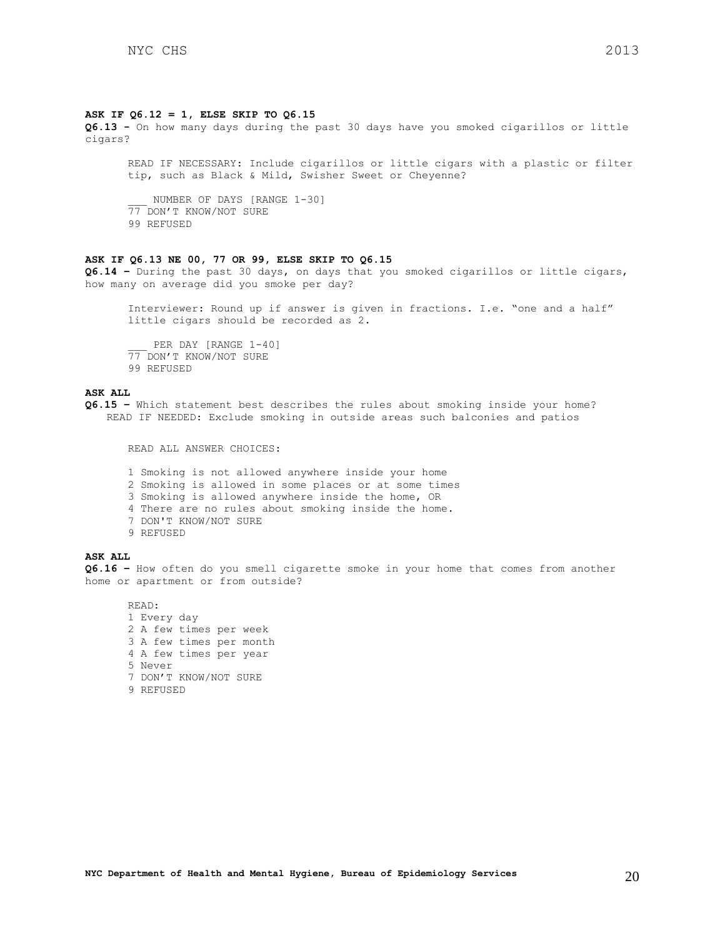#### **ASK IF Q6.12 = 1, ELSE SKIP TO Q6.15**

**Q6.13 -** On how many days during the past 30 days have you smoked cigarillos or little cigars?

READ IF NECESSARY: Include cigarillos or little cigars with a plastic or filter tip, such as Black & Mild, Swisher Sweet or Cheyenne?

NUMBER OF DAYS [RANGE 1-30] 77 DON'T KNOW/NOT SURE 99 REFUSED

# **ASK IF Q6.13 NE 00, 77 OR 99, ELSE SKIP TO Q6.15**

**Q6.14 –** During the past 30 days, on days that you smoked cigarillos or little cigars, how many on average did you smoke per day?

Interviewer: Round up if answer is given in fractions. I.e. "one and a half" little cigars should be recorded as 2.

PER DAY [RANGE 1-40] 77 DON'T KNOW/NOT SURE 99 REFUSED

# **ASK ALL**

**Q6.15 –** Which statement best describes the rules about smoking inside your home? READ IF NEEDED: Exclude smoking in outside areas such balconies and patios

READ ALL ANSWER CHOICES:

1 Smoking is not allowed anywhere inside your home 2 Smoking is allowed in some places or at some times 3 Smoking is allowed anywhere inside the home, OR 4 There are no rules about smoking inside the home. 7 DON'T KNOW/NOT SURE 9 REFUSED

### **ASK ALL**

**Q6.16 –** How often do you smell cigarette smoke in your home that comes from another home or apartment or from outside?

# READ:

<span id="page-19-0"></span>1 Every day 2 A few times per week 3 A few times per month 4 A few times per year 5 Never 7 DON'T KNOW/NOT SURE 9 REFUSED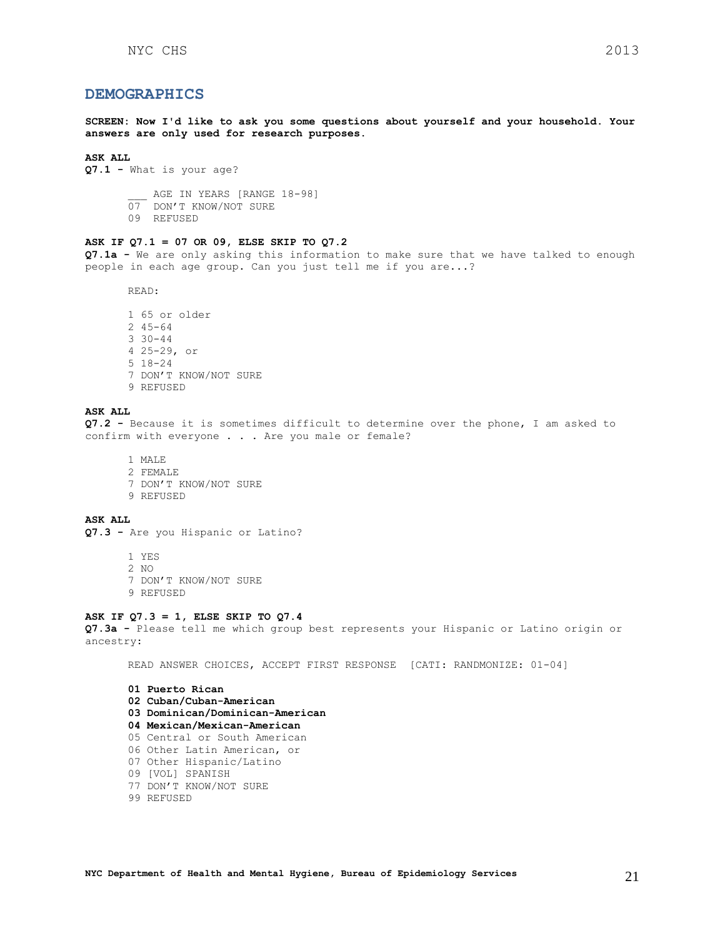# **DEMOGRAPHICS**

**SCREEN: Now I'd like to ask you some questions about yourself and your household. Your answers are only used for research purposes.**

#### **ASK ALL**

**Q7.1 -** What is your age?

AGE IN YEARS [RANGE 18-98]

- 07 DON'T KNOW/NOT SURE
- 09 REFUSED

# **ASK IF Q7.1 = 07 OR 09, ELSE SKIP TO Q7.2**

**Q7.1a -** We are only asking this information to make sure that we have talked to enough people in each age group. Can you just tell me if you are...?

READ:

1 65 or older 2 45-64 3 30-44 4 25-29, or 5 18-24 7 DON'T KNOW/NOT SURE 9 REFUSED

# **ASK ALL**

**Q7.2 -** Because it is sometimes difficult to determine over the phone, I am asked to confirm with everyone . . . Are you male or female?

- 1 MALE
- 2 FEMALE 7 DON'T KNOW/NOT SURE 9 REFUSED

# **ASK ALL**

**Q7.3 -** Are you Hispanic or Latino?

1 YES 2 NO 7 DON'T KNOW/NOT SURE 9 REFUSED

#### **ASK IF Q7.3 = 1, ELSE SKIP TO Q7.4**

**Q7.3a -** Please tell me which group best represents your Hispanic or Latino origin or ancestry:

READ ANSWER CHOICES, ACCEPT FIRST RESPONSE [CATI: RANDMONIZE: 01-04]

**01 Puerto Rican 02 Cuban/Cuban-American 03 Dominican/Dominican-American 04 Mexican/Mexican-American**  05 Central or South American 06 Other Latin American, or 07 Other Hispanic/Latino 09 [VOL] SPANISH 77 DON'T KNOW/NOT SURE 99 REFUSED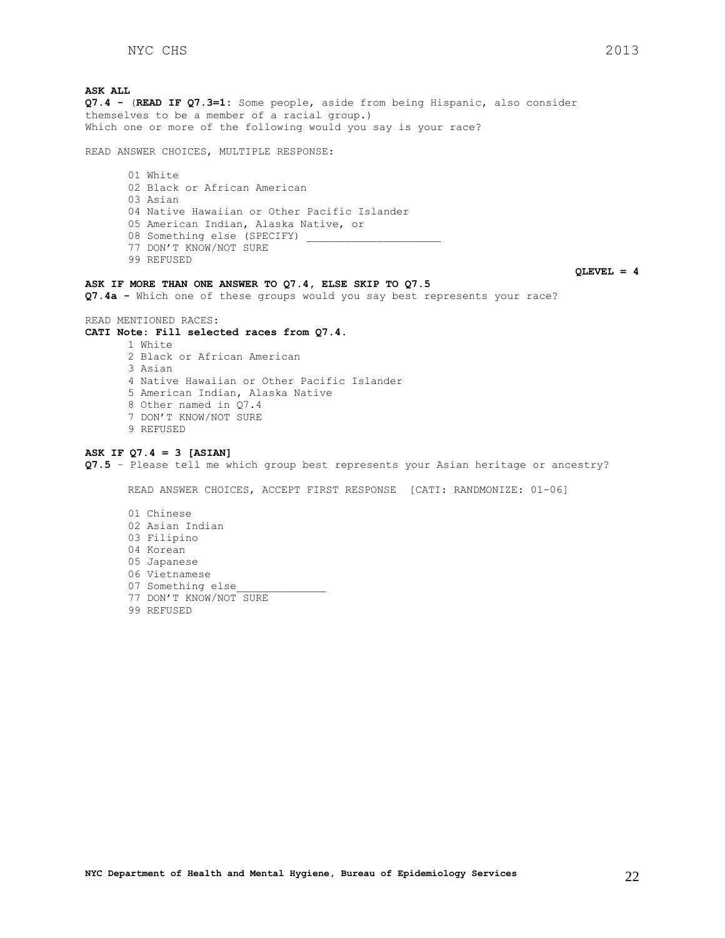**ASK ALL Q7.4 -** (**READ IF Q7.3=1:** Some people, aside from being Hispanic, also consider themselves to be a member of a racial group.) Which one or more of the following would you say is your race? READ ANSWER CHOICES, MULTIPLE RESPONSE: 01 White 02 Black or African American 03 Asian 04 Native Hawaiian or Other Pacific Islander 05 American Indian, Alaska Native, or 08 Something else (SPECIFY) 77 DON'T KNOW/NOT SURE 99 REFUSED **ASK IF MORE THAN ONE ANSWER TO Q7.4, ELSE SKIP TO Q7.5 Q7.4a -** Which one of these groups would you say best represents your race? READ MENTIONED RACES:

# **CATI Note: Fill selected races from Q7.4.**

1 White 2 Black or African American 3 Asian 4 Native Hawaiian or Other Pacific Islander 5 American Indian, Alaska Native 8 Other named in Q7.4 7 DON'T KNOW/NOT SURE 9 REFUSED

# **ASK IF Q7.4 = 3 [ASIAN]**

**Q7.5** – Please tell me which group best represents your Asian heritage or ancestry?

READ ANSWER CHOICES, ACCEPT FIRST RESPONSE [CATI: RANDMONIZE: 01-06]

- 01 Chinese 02 Asian Indian 03 Filipino 04 Korean 05 Japanese 06 Vietnamese 07 Something else 77 DON'T KNOW/NOT SURE
- 99 REFUSED

**QLEVEL = 4**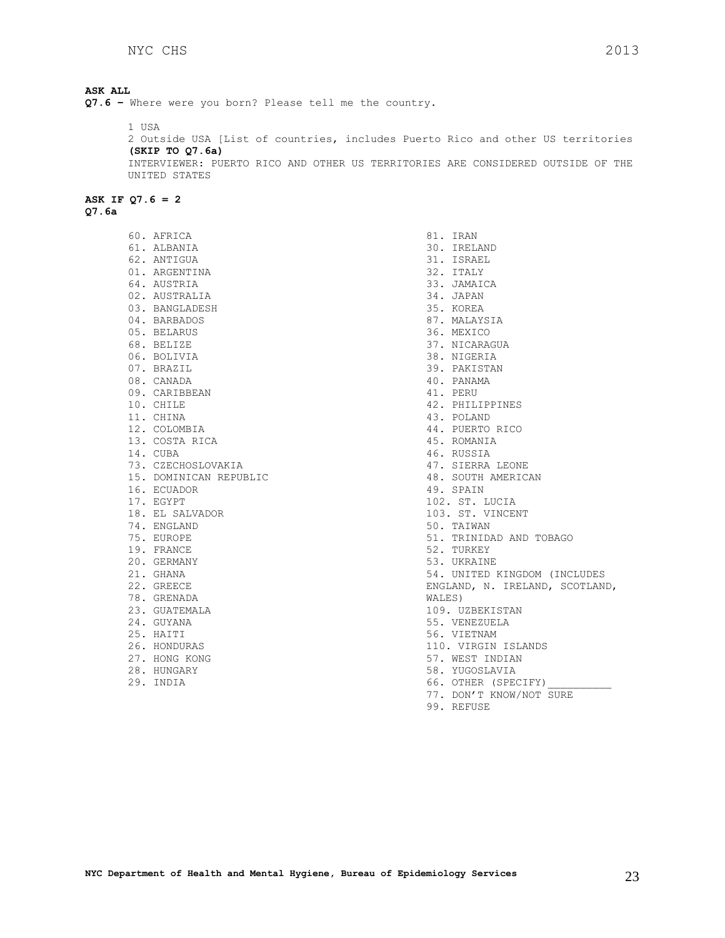# **ASK ALL Q7.6 –** Where were you born? Please tell me the country. 1 USA 2 Outside USA [List of countries, includes Puerto Rico and other US territories **(SKIP TO Q7.6a)** INTERVIEWER: PUERTO RICO AND OTHER US TERRITORIES ARE CONSIDERED OUTSIDE OF THE UNITED STATES **ASK IF Q7.6 = 2**

**Q7.6a**

60. AFRICA 61. ALBANIA 62. ANTIGUA 01. ARGENTINA 64. AUSTRIA 02. AUSTRALIA 03. BANGLADESH 04. BARBADOS 05. BELARUS 68. BELIZE 06. BOLIVIA 07. BRAZIL 08. CANADA 09. CARIBBEAN 10. CHILE 11. CHINA 12. COLOMBIA 13. COSTA RICA 14. CUBA 73. CZECHOSLOVAKIA 15. DOMINICAN REPUBLIC 16. ECUADOR 17. EGYPT 18. EL SALVADOR 74. ENGLAND 75. EUROPE 19. FRANCE 20. GERMANY 21. GHANA 22. GREECE 78. GRENADA 23. GUATEMALA 24. GUYANA 25. HAITI 26. HONDURAS 27. HONG KONG 28. HUNGARY 29. INDIA

81. IRAN 30. IRELAND 31. ISRAEL 32. ITALY 33. JAMAICA 34. JAPAN 35. KOREA 87. MALAYSIA 36. MEXICO 37. NICARAGUA 38. NIGERIA 39. PAKISTAN 40. PANAMA 41. PERU 42. PHILIPPINES 43. POLAND 44. PUERTO RICO 45. ROMANIA 46. RUSSIA 47. SIERRA LEONE 48. SOUTH AMERICAN 49. SPAIN 102. ST. LUCIA 103. ST. VINCENT 50. TAIWAN 51. TRINIDAD AND TOBAGO 52. TURKEY 53. UKRAINE 54. UNITED KINGDOM (INCLUDES ENGLAND, N. IRELAND, SCOTLAND, WALES) 109. UZBEKISTAN 55. VENEZUELA 56. VIETNAM 110. VIRGIN ISLANDS 57. WEST INDIAN 58. YUGOSLAVIA 66. OTHER (SPECIFY) 77. DON'T KNOW/NOT SURE

99. REFUSE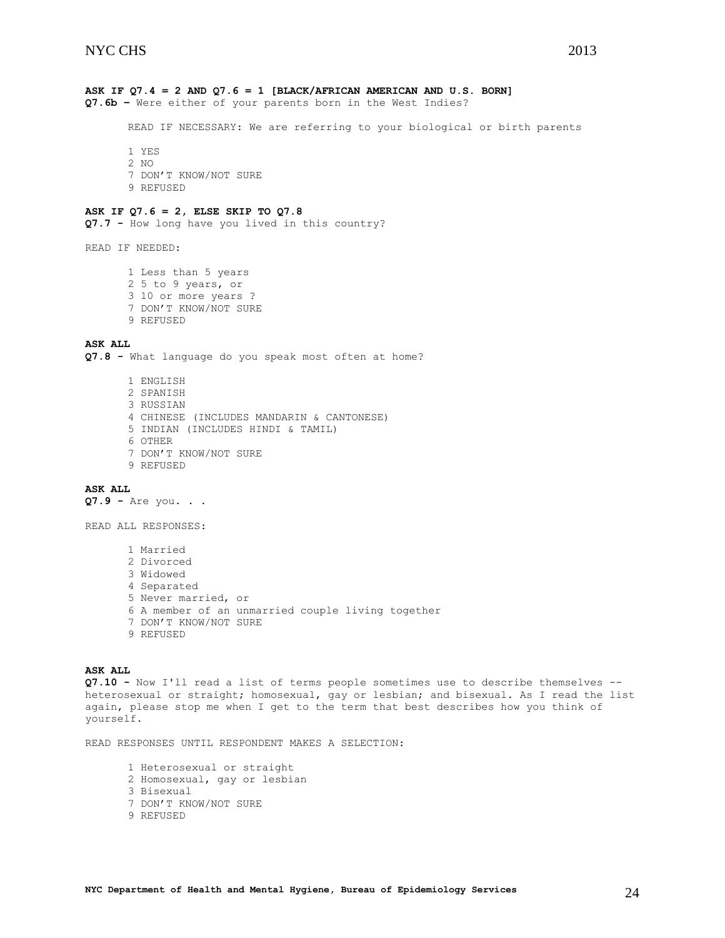# **ASK IF Q7.4 = 2 AND Q7.6 = 1 [BLACK/AFRICAN AMERICAN AND U.S. BORN]**

**Q7.6b –** Were either of your parents born in the West Indies?

READ IF NECESSARY: We are referring to your biological or birth parents

1 YES

2 NO 7 DON'T KNOW/NOT SURE 9 REFUSED

### **ASK IF Q7.6 = 2, ELSE SKIP TO Q7.8**

**Q7.7 -** How long have you lived in this country?

READ IF NEEDED:

1 Less than 5 years 2 5 to 9 years, or 3 10 or more years ? 7 DON'T KNOW/NOT SURE 9 REFUSED

# **ASK ALL**

**Q7.8 -** What language do you speak most often at home?

1 ENGLISH 2 SPANISH 3 RUSSIAN 4 CHINESE (INCLUDES MANDARIN & CANTONESE) 5 INDIAN (INCLUDES HINDI & TAMIL) 6 OTHER 7 DON'T KNOW/NOT SURE 9 REFUSED

# **ASK ALL**

**Q7.9 -** Are you. . .

READ ALL RESPONSES:

```
1 Married 
2 Divorced 
3 Widowed 
4 Separated 
5 Never married, or 
6 A member of an unmarried couple living together
7 DON'T KNOW/NOT SURE 
9 REFUSED
```
# **ASK ALL**

**Q7.10 -** Now I'll read a list of terms people sometimes use to describe themselves - heterosexual or straight; homosexual, gay or lesbian; and bisexual. As I read the list again, please stop me when I get to the term that best describes how you think of yourself.

READ RESPONSES UNTIL RESPONDENT MAKES A SELECTION:

1 Heterosexual or straight 2 Homosexual, gay or lesbian 3 Bisexual 7 DON'T KNOW/NOT SURE 9 REFUSED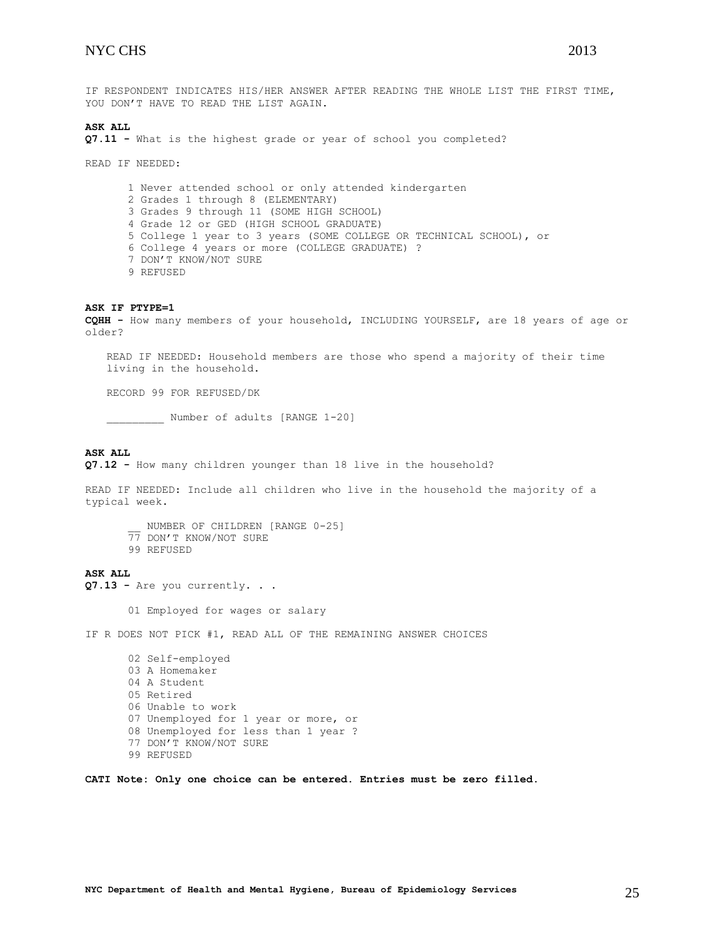IF RESPONDENT INDICATES HIS/HER ANSWER AFTER READING THE WHOLE LIST THE FIRST TIME, YOU DON'T HAVE TO READ THE LIST AGAIN.

#### **ASK ALL**

**Q7.11 -** What is the highest grade or year of school you completed?

READ IF NEEDED:

1 Never attended school or only attended kindergarten 2 Grades 1 through 8 (ELEMENTARY) 3 Grades 9 through 11 (SOME HIGH SCHOOL) 4 Grade 12 or GED (HIGH SCHOOL GRADUATE) 5 College 1 year to 3 years (SOME COLLEGE OR TECHNICAL SCHOOL), or 6 College 4 years or more (COLLEGE GRADUATE) ? 7 DON'T KNOW/NOT SURE 9 REFUSED

#### **ASK IF PTYPE=1**

**CQHH -** How many members of your household, INCLUDING YOURSELF, are 18 years of age or older?

READ IF NEEDED: Household members are those who spend a majority of their time living in the household.

RECORD 99 FOR REFUSED/DK

\_\_\_\_\_\_\_\_\_ Number of adults [RANGE 1-20]

# **ASK ALL**

**Q7.12 -** How many children younger than 18 live in the household?

READ IF NEEDED: Include all children who live in the household the majority of a typical week.

NUMBER OF CHILDREN [RANGE 0-25] 77 DON'T KNOW/NOT SURE

99 REFUSED

# **ASK ALL**

**Q7.13 -** Are you currently. . .

01 Employed for wages or salary

IF R DOES NOT PICK #1, READ ALL OF THE REMAINING ANSWER CHOICES

02 Self-employed 03 A Homemaker 04 A Student 05 Retired 06 Unable to work 07 Unemployed for 1 year or more, or 08 Unemployed for less than 1 year ? 77 DON'T KNOW/NOT SURE 99 REFUSED

**CATI Note: Only one choice can be entered. Entries must be zero filled.**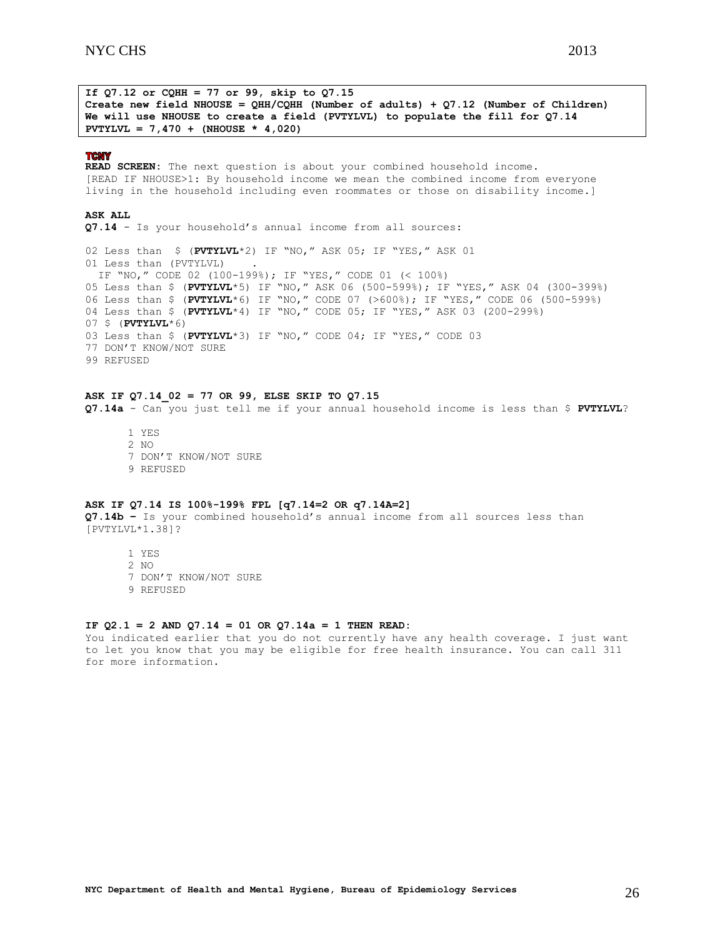**If Q7.12 or CQHH = 77 or 99, skip to Q7.15 Create new field NHOUSE = QHH/CQHH (Number of adults) + Q7.12 (Number of Children) We will use NHOUSE to create a field (PVTYLVL) to populate the fill for Q7.14 PVTYLVL = 7,470 + (NHOUSE \* 4,020)**

#### **TCNY**

**READ SCREEN:** The next question is about your combined household income. [READ IF NHOUSE>1: By household income we mean the combined income from everyone living in the household including even roommates or those on disability income.]

### **ASK ALL**

**Q7.14** - Is your household's annual income from all sources:

02 Less than \$ (**PVTYLVL**\*2) IF "NO," ASK 05; IF "YES," ASK 01 01 Less than (PVTYLVL) . IF "NO," CODE 02 (100-199%); IF "YES," CODE 01 (< 100%) 05 Less than \$ (**PVTYLVL**\*5) IF "NO," ASK 06 (500-599%); IF "YES," ASK 04 (300-399%) 06 Less than \$ (**PVTYLVL**\*6) IF "NO," CODE 07 (>600%); IF "YES," CODE 06 (500-599%) 04 Less than \$ (**PVTYLVL**\*4) IF "NO," CODE 05; IF "YES," ASK 03 (200-299%) 07 \$ (**PVTYLVL**\*6) 03 Less than \$ (**PVTYLVL**\*3) IF "NO," CODE 04; IF "YES," CODE 03 77 DON'T KNOW/NOT SURE 99 REFUSED

# **ASK IF Q7.14\_02 = 77 OR 99, ELSE SKIP TO Q7.15**

**Q7.14a** - Can you just tell me if your annual household income is less than \$ **PVTYLVL**?

1 YES 2  $N<sub>O</sub>$ 7 DON'T KNOW/NOT SURE 9 REFUSED

#### **ASK IF Q7.14 IS 100%-199% FPL [q7.14=2 OR q7.14A=2]**

**Q7.14b –** Is your combined household's annual income from all sources less than [PVTYLVL\*1.38]?

1 YES 2 NO 7 DON'T KNOW/NOT SURE 9 REFUSED

### **IF Q2.1 = 2 AND Q7.14 = 01 OR Q7.14a = 1 THEN READ:**

You indicated earlier that you do not currently have any health coverage. I just want to let you know that you may be eligible for free health insurance. You can call 311 for more information.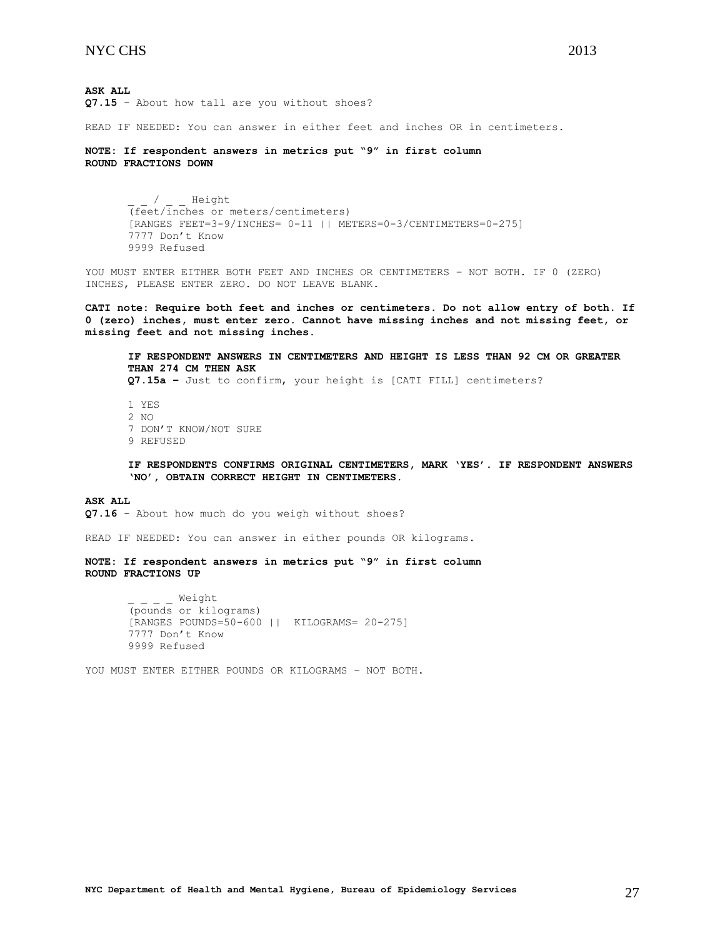**ASK ALL Q7.15** - About how tall are you without shoes?

READ IF NEEDED: You can answer in either feet and inches OR in centimeters.

**NOTE: If respondent answers in metrics put "9" in first column ROUND FRACTIONS DOWN**

> / Height (feet/inches or meters/centimeters) [RANGES FEET=3-9/INCHES= 0-11 || METERS=0-3/CENTIMETERS=0-275] 7777 Don't Know 9999 Refused

YOU MUST ENTER EITHER BOTH FEET AND INCHES OR CENTIMETERS – NOT BOTH. IF 0 (ZERO) INCHES, PLEASE ENTER ZERO. DO NOT LEAVE BLANK.

**CATI note: Require both feet and inches or centimeters. Do not allow entry of both. If 0 (zero) inches, must enter zero. Cannot have missing inches and not missing feet, or missing feet and not missing inches.** 

**IF RESPONDENT ANSWERS IN CENTIMETERS AND HEIGHT IS LESS THAN 92 CM OR GREATER THAN 274 CM THEN ASK Q7.15a –** Just to confirm, your height is [CATI FILL] centimeters?

1 YES 2 NO 7 DON'T KNOW/NOT SURE 9 REFUSED

**IF RESPONDENTS CONFIRMS ORIGINAL CENTIMETERS, MARK 'YES'. IF RESPONDENT ANSWERS 'NO', OBTAIN CORRECT HEIGHT IN CENTIMETERS.**

**ASK ALL Q7.16** - About how much do you weigh without shoes?

READ IF NEEDED: You can answer in either pounds OR kilograms.

**NOTE: If respondent answers in metrics put "9" in first column ROUND FRACTIONS UP**

> \_ \_ \_ \_ Weight (pounds or kilograms) [RANGES POUNDS=50-600 || KILOGRAMS= 20-275] 7777 Don't Know 9999 Refused

YOU MUST ENTER EITHER POUNDS OR KILOGRAMS – NOT BOTH.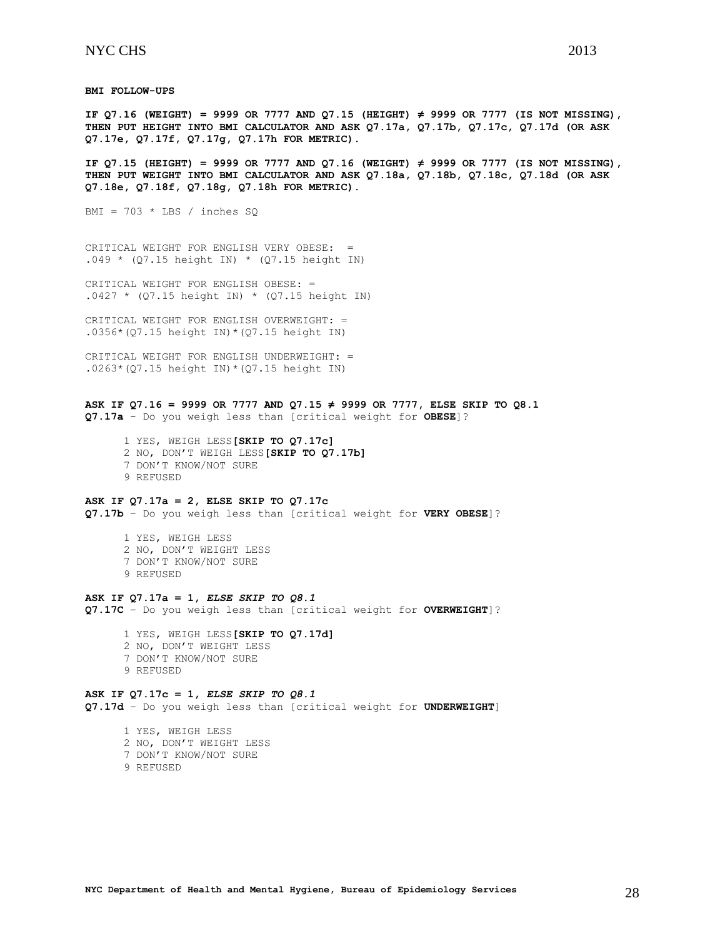**BMI FOLLOW-UPS**

**IF Q7.16 (WEIGHT) = 9999 OR 7777 AND Q7.15 (HEIGHT) ≠ 9999 OR 7777 (IS NOT MISSING), THEN PUT HEIGHT INTO BMI CALCULATOR AND ASK Q7.17a, Q7.17b, Q7.17c, Q7.17d (OR ASK Q7.17e, Q7.17f, Q7.17g, Q7.17h FOR METRIC).**

**IF Q7.15 (HEIGHT) = 9999 OR 7777 AND Q7.16 (WEIGHT) ≠ 9999 OR 7777 (IS NOT MISSING), THEN PUT WEIGHT INTO BMI CALCULATOR AND ASK Q7.18a, Q7.18b, Q7.18c, Q7.18d (OR ASK Q7.18e, Q7.18f, Q7.18g, Q7.18h FOR METRIC).**

BMI =  $703 * LBS / inches SQ$ 

CRITICAL WEIGHT FOR ENGLISH VERY OBESE: = .049 \* (Q7.15 height IN) \* (Q7.15 height IN)

CRITICAL WEIGHT FOR ENGLISH OBESE: =  $.0427 * (Q7.15 height IN) * (Q7.15 height IN)$ 

CRITICAL WEIGHT FOR ENGLISH OVERWEIGHT: = .0356\*(Q7.15 height IN)\*(Q7.15 height IN)

CRITICAL WEIGHT FOR ENGLISH UNDERWEIGHT: =  $.0263*(Q7.15 \text{ height} \text{IN})*(Q7.15 \text{ height} \text{IN})$ 

**ASK IF Q7.16 = 9999 OR 7777 AND Q7.15 ≠ 9999 OR 7777, ELSE SKIP TO Q8.1 Q7.17a** - Do you weigh less than [critical weight for **OBESE**]?

 1 YES, WEIGH LESS**[SKIP TO Q7.17c]** 2 NO, DON'T WEIGH LESS**[SKIP TO Q7.17b]** 7 DON'T KNOW/NOT SURE 9 REFUSED

# **ASK IF Q7.17a = 2, ELSE SKIP TO Q7.17c**

**Q7.17b** – Do you weigh less than [critical weight for **VERY OBESE**]?

 1 YES, WEIGH LESS 2 NO, DON'T WEIGHT LESS 7 DON'T KNOW/NOT SURE

9 REFUSED

# **ASK IF Q7.17a = 1,** *ELSE SKIP TO Q8.1*

**Q7.17C** – Do you weigh less than [critical weight for **OVERWEIGHT**]?

 1 YES, WEIGH LESS**[SKIP TO Q7.17d]** 2 NO, DON'T WEIGHT LESS 7 DON'T KNOW/NOT SURE 9 REFUSED

**ASK IF Q7.17c = 1,** *ELSE SKIP TO Q8.1* **Q7.17d** – Do you weigh less than [critical weight for **UNDERWEIGHT**]

 1 YES, WEIGH LESS 2 NO, DON'T WEIGHT LESS 7 DON'T KNOW/NOT SURE

9 REFUSED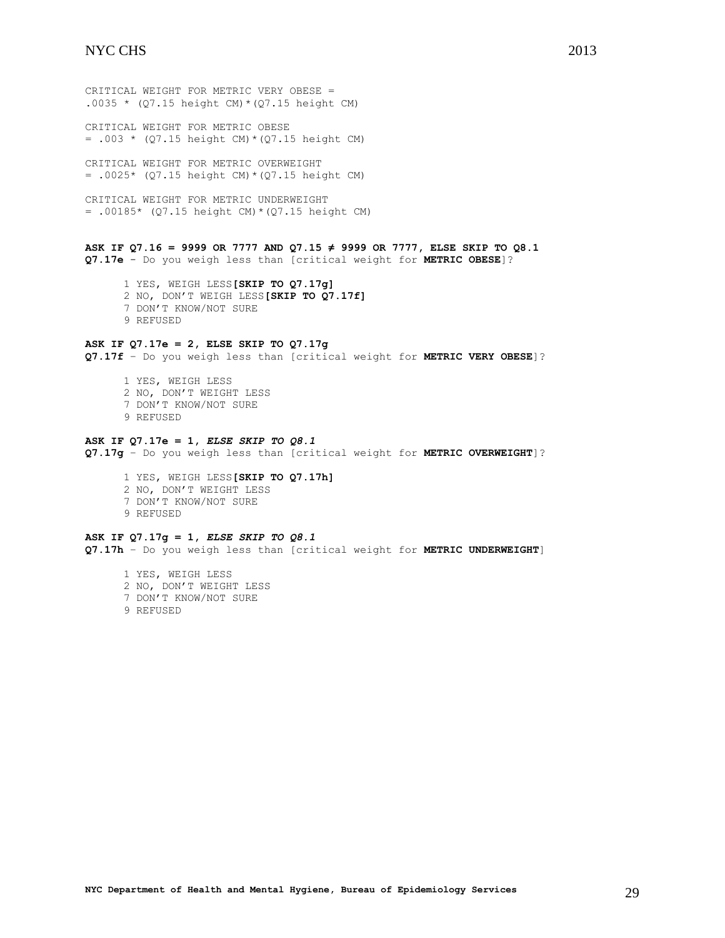CRITICAL WEIGHT FOR METRIC VERY OBESE = .0035 \*  $(Q7.15 \text{ height CM}) * (Q7.15 \text{ height CM})$ 

CRITICAL WEIGHT FOR METRIC OBESE = .003 \* (Q7.15 height CM)\*(Q7.15 height CM)

CRITICAL WEIGHT FOR METRIC OVERWEIGHT  $= .0025*$  (Q7.15 height CM) \* (Q7.15 height CM)

CRITICAL WEIGHT FOR METRIC UNDERWEIGHT = .00185\* (Q7.15 height CM)\*(Q7.15 height CM)

**ASK IF Q7.16 = 9999 OR 7777 AND Q7.15 ≠ 9999 OR 7777, ELSE SKIP TO Q8.1 Q7.17e** - Do you weigh less than [critical weight for **METRIC OBESE**]?

 1 YES, WEIGH LESS**[SKIP TO Q7.17g]** 2 NO, DON'T WEIGH LESS**[SKIP TO Q7.17f]** 7 DON'T KNOW/NOT SURE 9 REFUSED

# **ASK IF Q7.17e = 2, ELSE SKIP TO Q7.17g**

**Q7.17f** – Do you weigh less than [critical weight for **METRIC VERY OBESE**]?

- 1 YES, WEIGH LESS 2 NO, DON'T WEIGHT LESS
- 7 DON'T KNOW/NOT SURE
- 9 REFUSED

### **ASK IF Q7.17e = 1,** *ELSE SKIP TO Q8.1*

**Q7.17g** – Do you weigh less than [critical weight for **METRIC OVERWEIGHT**]?

 1 YES, WEIGH LESS**[SKIP TO Q7.17h]** 2 NO, DON'T WEIGHT LESS 7 DON'T KNOW/NOT SURE 9 REFUSED

#### **ASK IF Q7.17g = 1,** *ELSE SKIP TO Q8.1*

**Q7.17h** – Do you weigh less than [critical weight for **METRIC UNDERWEIGHT**]

 1 YES, WEIGH LESS 2 NO, DON'T WEIGHT LESS 7 DON'T KNOW/NOT SURE 9 REFUSED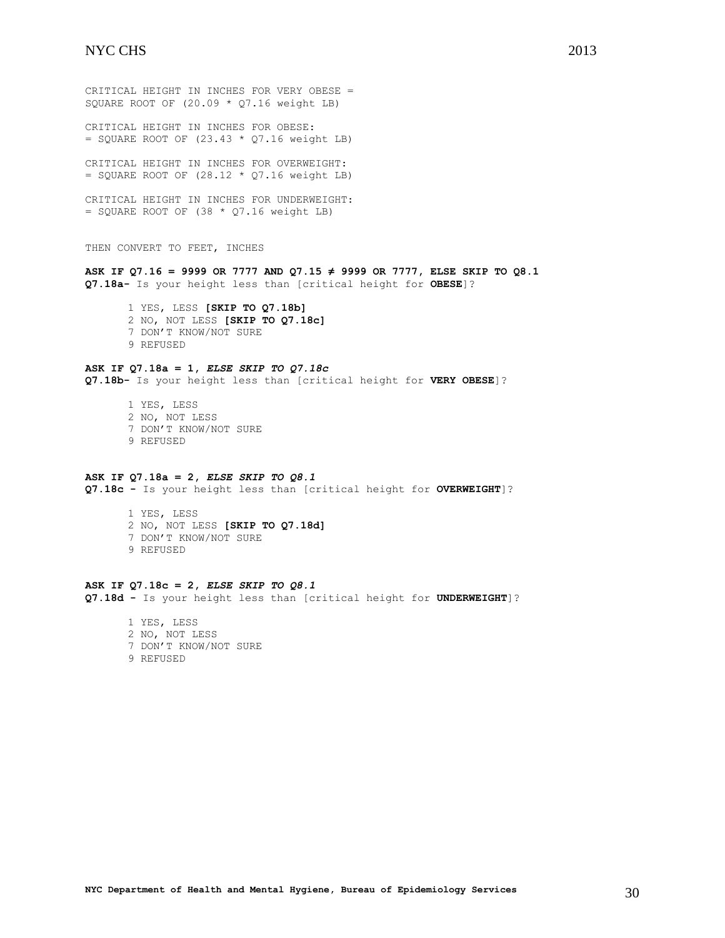CRITICAL HEIGHT IN INCHES FOR VERY OBESE = SQUARE ROOT OF (20.09 \* Q7.16 weight LB) CRITICAL HEIGHT IN INCHES FOR OBESE:  $=$  SQUARE ROOT OF (23.43  $*$  Q7.16 weight LB) CRITICAL HEIGHT IN INCHES FOR OVERWEIGHT:  $=$  SQUARE ROOT OF (28.12  $*$  Q7.16 weight LB) CRITICAL HEIGHT IN INCHES FOR UNDERWEIGHT:  $=$  SQUARE ROOT OF (38  $*$  Q7.16 weight LB) THEN CONVERT TO FEET, INCHES **ASK IF Q7.16 = 9999 OR 7777 AND Q7.15 ≠ 9999 OR 7777, ELSE SKIP TO Q8.1 Q7.18a-** Is your height less than [critical height for **OBESE**]? 1 YES, LESS **[SKIP TO Q7.18b]** 2 NO, NOT LESS **[SKIP TO Q7.18c]** 7 DON'T KNOW/NOT SURE 9 REFUSED **ASK IF Q7.18a = 1,** *ELSE SKIP TO Q7.18c* **Q7.18b-** Is your height less than [critical height for **VERY OBESE**]? 1 YES, LESS 2 NO, NOT LESS 7 DON'T KNOW/NOT SURE 9 REFUSED **ASK IF Q7.18a = 2,** *ELSE SKIP TO Q8.1* **Q7.18c -** Is your height less than [critical height for **OVERWEIGHT**]? 1 YES, LESS 2 NO, NOT LESS **[SKIP TO Q7.18d]** 7 DON'T KNOW/NOT SURE 9 REFUSED

# **ASK IF Q7.18c = 2,** *ELSE SKIP TO Q8.1*

**Q7.18d -** Is your height less than [critical height for **UNDERWEIGHT**]?

1 YES, LESS 2 NO, NOT LESS 7 DON'T KNOW/NOT SURE 9 REFUSED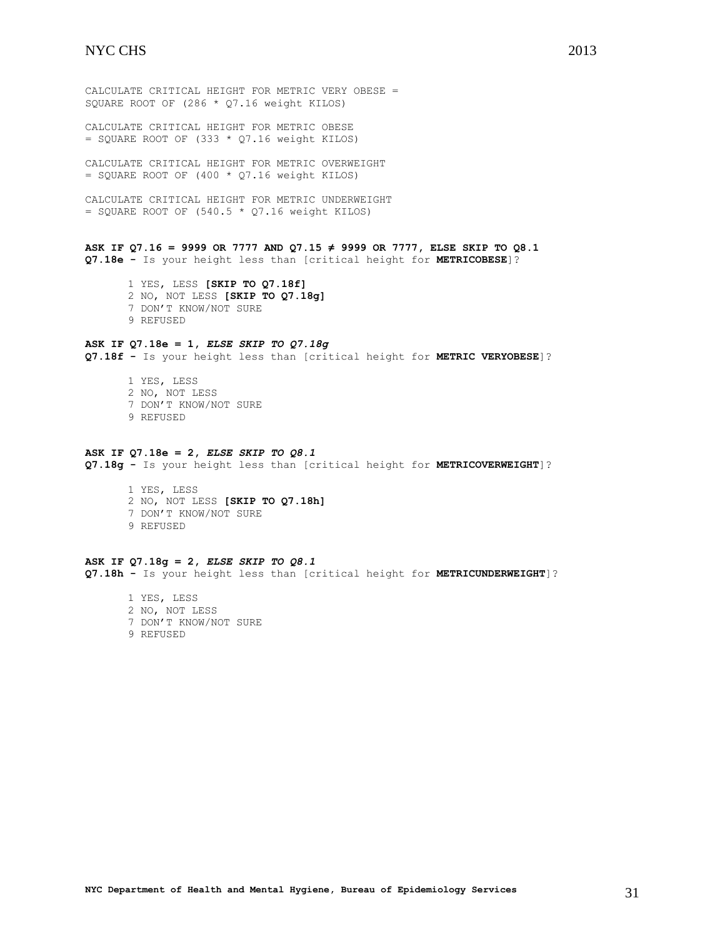CALCULATE CRITICAL HEIGHT FOR METRIC VERY OBESE = SQUARE ROOT OF (286 \* Q7.16 weight KILOS)

CALCULATE CRITICAL HEIGHT FOR METRIC OBESE  $=$  SQUARE ROOT OF (333  $*$  Q7.16 weight KILOS)

CALCULATE CRITICAL HEIGHT FOR METRIC OVERWEIGHT  $=$  SQUARE ROOT OF (400  $*$  Q7.16 weight KILOS)

CALCULATE CRITICAL HEIGHT FOR METRIC UNDERWEIGHT  $=$  SQUARE ROOT OF (540.5  $*$  Q7.16 weight KILOS)

**ASK IF Q7.16 = 9999 OR 7777 AND Q7.15 ≠ 9999 OR 7777, ELSE SKIP TO Q8.1 Q7.18e -** Is your height less than [critical height for **METRICOBESE**]?

1 YES, LESS **[SKIP TO Q7.18f]** 2 NO, NOT LESS **[SKIP TO Q7.18g]** 7 DON'T KNOW/NOT SURE 9 REFUSED

# **ASK IF Q7.18e = 1,** *ELSE SKIP TO Q7.18g*

**Q7.18f -** Is your height less than [critical height for **METRIC VERYOBESE**]?

1 YES, LESS 2 NO, NOT LESS 7 DON'T KNOW/NOT SURE 9 REFUSED

#### **ASK IF Q7.18e = 2,** *ELSE SKIP TO Q8.1*

**Q7.18g -** Is your height less than [critical height for **METRICOVERWEIGHT**]?

1 YES, LESS 2 NO, NOT LESS **[SKIP TO Q7.18h]** 7 DON'T KNOW/NOT SURE 9 REFUSED

**ASK IF Q7.18g = 2,** *ELSE SKIP TO Q8.1* **Q7.18h -** Is your height less than [critical height for **METRICUNDERWEIGHT**]?

<span id="page-30-0"></span>1 YES, LESS 2 NO, NOT LESS 7 DON'T KNOW/NOT SURE 9 REFUSED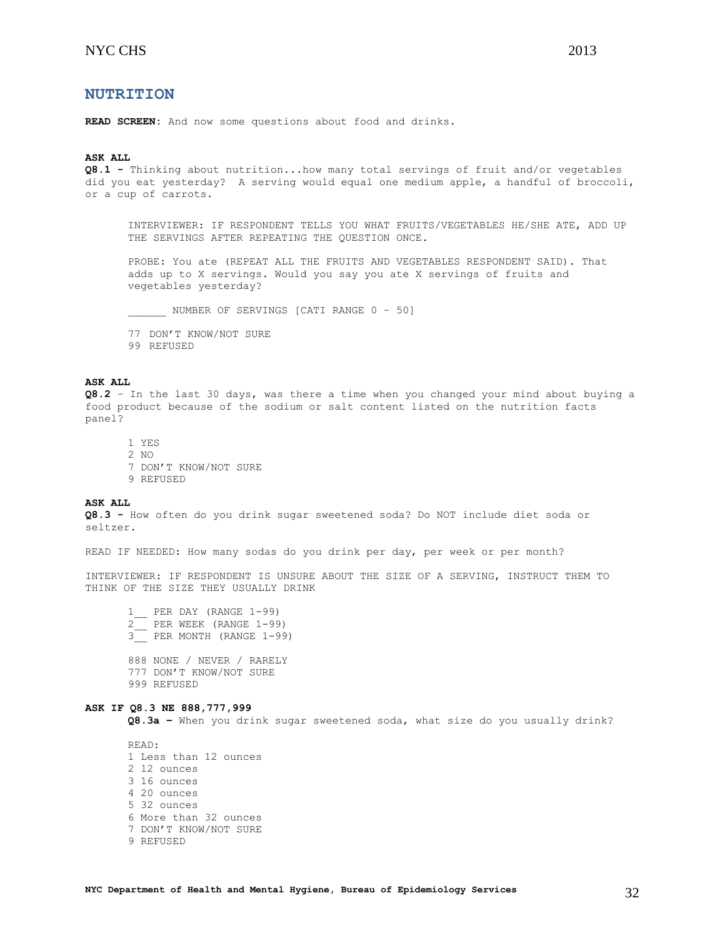# **NUTRITION**

**READ SCREEN:** And now some questions about food and drinks.

# **ASK ALL**

**Q8.1 -** Thinking about nutrition...how many total servings of fruit and/or vegetables did you eat yesterday? A serving would equal one medium apple, a handful of broccoli, or a cup of carrots.

INTERVIEWER: IF RESPONDENT TELLS YOU WHAT FRUITS/VEGETABLES HE/SHE ATE, ADD UP THE SERVINGS AFTER REPEATING THE QUESTION ONCE.

PROBE: You ate (REPEAT ALL THE FRUITS AND VEGETABLES RESPONDENT SAID). That adds up to X servings. Would you say you ate X servings of fruits and vegetables yesterday?

NUMBER OF SERVINGS [CATI RANGE 0 - 50]

77 DON'T KNOW/NOT SURE

99 REFUSED

#### **ASK ALL**

**Q8.2** – In the last 30 days, was there a time when you changed your mind about buying a food product because of the sodium or salt content listed on the nutrition facts panel?

1 YES 2 NO 7 DON'T KNOW/NOT SURE 9 REFUSED

#### **ASK ALL**

**Q8.3 -** How often do you drink sugar sweetened soda? Do NOT include diet soda or seltzer.

READ IF NEEDED: How many sodas do you drink per day, per week or per month?

INTERVIEWER: IF RESPONDENT IS UNSURE ABOUT THE SIZE OF A SERVING, INSTRUCT THEM TO THINK OF THE SIZE THEY USUALLY DRINK

1\_\_ PER DAY (RANGE 1-99) 2\_\_ PER WEEK (RANGE 1-99) 3\_\_ PER MONTH (RANGE 1-99) 888 NONE / NEVER / RARELY 777 DON'T KNOW/NOT SURE 999 REFUSED

#### **ASK IF Q8.3 NE 888,777,999**

**Q8.3a –** When you drink sugar sweetened soda, what size do you usually drink?

READ: 1 Less than 12 ounces 2 12 ounces 3 16 ounces 4 20 ounces 5 32 ounces 6 More than 32 ounces 7 DON'T KNOW/NOT SURE 9 REFUSED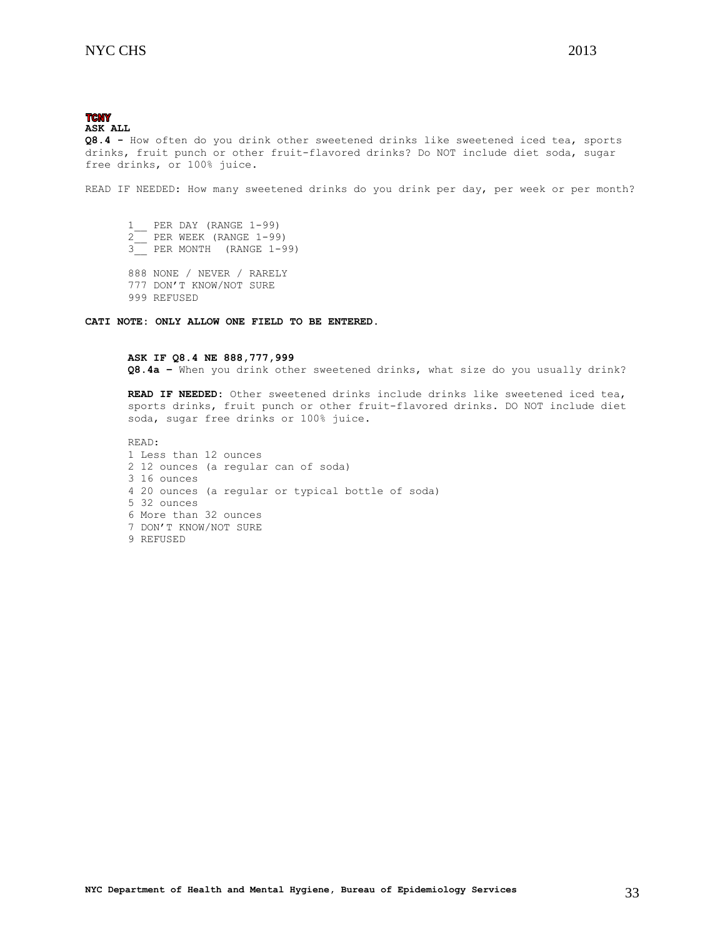#### **TCNY ASK ALL**

**Q8.4 -** How often do you drink other sweetened drinks like sweetened iced tea, sports drinks, fruit punch or other fruit-flavored drinks? Do NOT include diet soda, sugar free drinks, or 100% juice.

READ IF NEEDED: How many sweetened drinks do you drink per day, per week or per month?

 $\frac{1}{2}$  PER DAY (RANGE 1-99) 2\_\_ PER WEEK (RANGE 1-99) 3\_\_ PER MONTH (RANGE 1-99) 888 NONE / NEVER / RARELY 777 DON'T KNOW/NOT SURE

999 REFUSED

**CATI NOTE: ONLY ALLOW ONE FIELD TO BE ENTERED.**

### **ASK IF Q8.4 NE 888,777,999**

**Q8.4a –** When you drink other sweetened drinks, what size do you usually drink?

**READ IF NEEDED:** Other sweetened drinks include drinks like sweetened iced tea, sports drinks, fruit punch or other fruit-flavored drinks. DO NOT include diet soda, sugar free drinks or 100% juice.

<span id="page-32-0"></span>READ: 1 Less than 12 ounces 2 12 ounces (a regular can of soda) 3 16 ounces 4 20 ounces (a regular or typical bottle of soda) 5 32 ounces 6 More than 32 ounces 7 DON'T KNOW/NOT SURE 9 REFUSED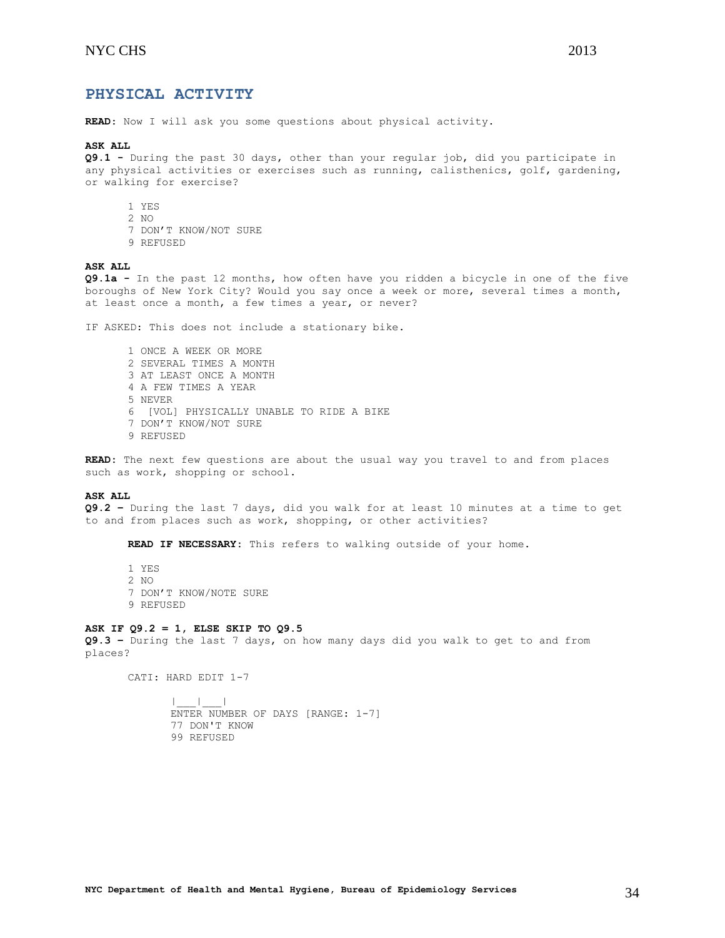**READ**: Now I will ask you some questions about physical activity.

#### **ASK ALL**

**Q9.1 -** During the past 30 days, other than your regular job, did you participate in any physical activities or exercises such as running, calisthenics, golf, gardening, or walking for exercise?

- 1 YES
- 2 NO
- 7 DON'T KNOW/NOT SURE
- 9 REFUSED

# **ASK ALL**

**Q9.1a -** In the past 12 months, how often have you ridden a bicycle in one of the five boroughs of New York City? Would you say once a week or more, several times a month, at least once a month, a few times a year, or never?

IF ASKED: This does not include a stationary bike.

1 ONCE A WEEK OR MORE 2 SEVERAL TIMES A MONTH 3 AT LEAST ONCE A MONTH 4 A FEW TIMES A YEAR 5 NEVER 6 [VOL] PHYSICALLY UNABLE TO RIDE A BIKE 7 DON'T KNOW/NOT SURE 9 REFUSED

**READ:** The next few questions are about the usual way you travel to and from places such as work, shopping or school.

### **ASK ALL**

**Q9.2 –** During the last 7 days, did you walk for at least 10 minutes at a time to get to and from places such as work, shopping, or other activities?

**READ IF NECESSARY:** This refers to walking outside of your home.

1 YES 2 NO 7 DON'T KNOW/NOTE SURE 9 REFUSED

### **ASK IF Q9.2 = 1, ELSE SKIP TO Q9.5**

**Q9.3 –** During the last 7 days, on how many days did you walk to get to and from places?

CATI: HARD EDIT 1-7

|\_\_\_|\_\_\_| ENTER NUMBER OF DAYS [RANGE: 1-7] 77 DON'T KNOW 99 REFUSED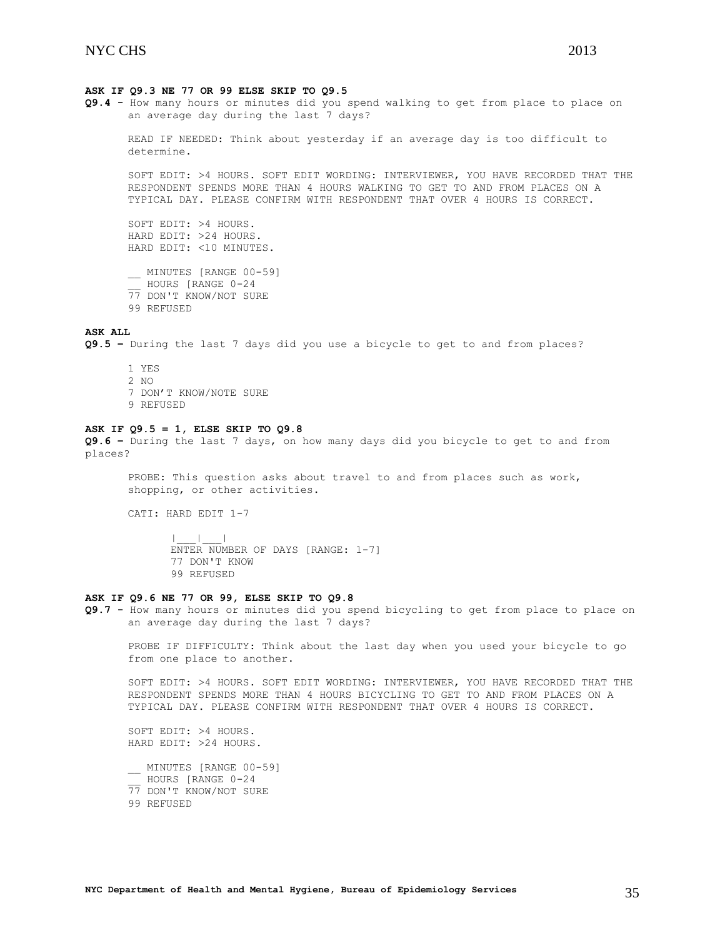### **ASK IF Q9.3 NE 77 OR 99 ELSE SKIP TO Q9.5**

**Q9.4 -** How many hours or minutes did you spend walking to get from place to place on an average day during the last 7 days?

READ IF NEEDED: Think about yesterday if an average day is too difficult to determine.

SOFT EDIT: >4 HOURS. SOFT EDIT WORDING: INTERVIEWER, YOU HAVE RECORDED THAT THE RESPONDENT SPENDS MORE THAN 4 HOURS WALKING TO GET TO AND FROM PLACES ON A TYPICAL DAY. PLEASE CONFIRM WITH RESPONDENT THAT OVER 4 HOURS IS CORRECT.

SOFT EDIT: >4 HOURS. HARD EDIT: >24 HOURS. HARD EDIT: <10 MINUTES.

\_\_ MINUTES [RANGE 00-59] \_\_ HOURS [RANGE 0-24 77 DON'T KNOW/NOT SURE 99 REFUSED

# **ASK ALL**

**Q9.5 –** During the last 7 days did you use a bicycle to get to and from places?

1 YES  $2 NQ$ 7 DON'T KNOW/NOTE SURE 9 REFUSED

### **ASK IF Q9.5 = 1, ELSE SKIP TO Q9.8**

**Q9.6 –** During the last 7 days, on how many days did you bicycle to get to and from places?

PROBE: This question asks about travel to and from places such as work, shopping, or other activities.

CATI: HARD EDIT 1-7

 $|\cdot|_-=|\cdot|_-=|$ ENTER NUMBER OF DAYS [RANGE: 1-7] 77 DON'T KNOW 99 REFUSED

### **ASK IF Q9.6 NE 77 OR 99, ELSE SKIP TO Q9.8**

**Q9.7 -** How many hours or minutes did you spend bicycling to get from place to place on an average day during the last 7 days?

PROBE IF DIFFICULTY: Think about the last day when you used your bicycle to go from one place to another.

SOFT EDIT: >4 HOURS. SOFT EDIT WORDING: INTERVIEWER, YOU HAVE RECORDED THAT THE RESPONDENT SPENDS MORE THAN 4 HOURS BICYCLING TO GET TO AND FROM PLACES ON A TYPICAL DAY. PLEASE CONFIRM WITH RESPONDENT THAT OVER 4 HOURS IS CORRECT.

SOFT EDIT: >4 HOURS. HARD EDIT: >24 HOURS.

MINUTES [RANGE 00-59] \_\_ HOURS [RANGE 0-24 77 DON'T KNOW/NOT SURE 99 REFUSED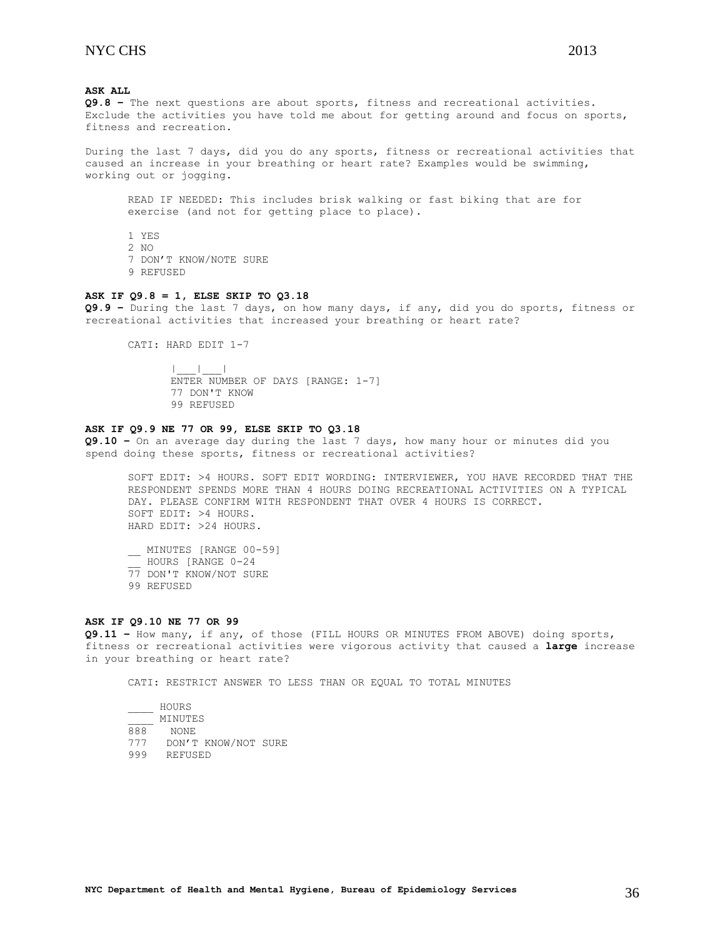# **ASK ALL**

**Q9.8 –** The next questions are about sports, fitness and recreational activities. Exclude the activities you have told me about for getting around and focus on sports, fitness and recreation.

During the last 7 days, did you do any sports, fitness or recreational activities that caused an increase in your breathing or heart rate? Examples would be swimming, working out or jogging.

READ IF NEEDED: This includes brisk walking or fast biking that are for exercise (and not for getting place to place).

1 YES 2 NO 7 DON'T KNOW/NOTE SURE 9 REFUSED

#### **ASK IF Q9.8 = 1, ELSE SKIP TO Q3.18**

**Q9.9 –** During the last 7 days, on how many days, if any, did you do sports, fitness or recreational activities that increased your breathing or heart rate?

CATI: HARD EDIT 1-7

|\_\_\_|\_\_\_| ENTER NUMBER OF DAYS [RANGE: 1-7] 77 DON'T KNOW 99 REFUSED

# **ASK IF Q9.9 NE 77 OR 99, ELSE SKIP TO Q3.18**

**Q9.10 –** On an average day during the last 7 days, how many hour or minutes did you spend doing these sports, fitness or recreational activities?

SOFT EDIT: >4 HOURS. SOFT EDIT WORDING: INTERVIEWER, YOU HAVE RECORDED THAT THE RESPONDENT SPENDS MORE THAN 4 HOURS DOING RECREATIONAL ACTIVITIES ON A TYPICAL DAY. PLEASE CONFIRM WITH RESPONDENT THAT OVER 4 HOURS IS CORRECT. SOFT EDIT: >4 HOURS. HARD EDIT: >24 HOURS.

\_\_ MINUTES [RANGE 00-59] \_\_ HOURS [RANGE 0-24 77 DON'T KNOW/NOT SURE 99 REFUSED

#### **ASK IF Q9.10 NE 77 OR 99**

**Q9.11 –** How many, if any, of those (FILL HOURS OR MINUTES FROM ABOVE) doing sports, fitness or recreational activities were vigorous activity that caused a **large** increase in your breathing or heart rate?

CATI: RESTRICT ANSWER TO LESS THAN OR EQUAL TO TOTAL MINUTES

|     | HOURS               |  |
|-----|---------------------|--|
|     | MINUTES             |  |
| 888 | NONE.               |  |
| 777 | DON'T KNOW/NOT SURE |  |
| 999 | REFUSED             |  |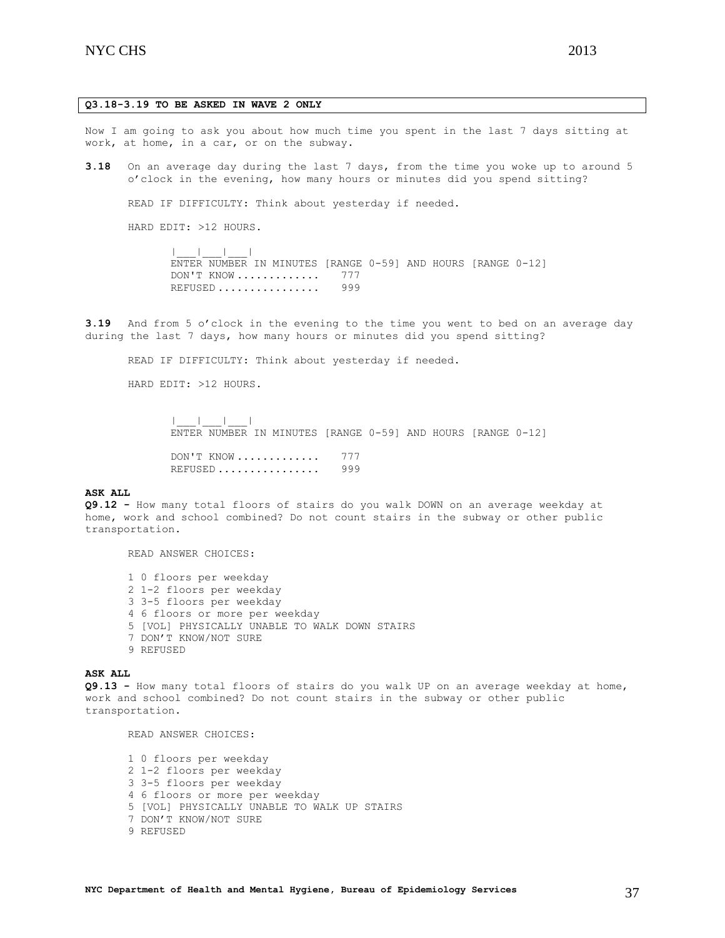# **Q3.18-3.19 TO BE ASKED IN WAVE 2 ONLY**

Now I am going to ask you about how much time you spent in the last 7 days sitting at work, at home, in a car, or on the subway.

**3.18** On an average day during the last 7 days, from the time you woke up to around 5 o'clock in the evening, how many hours or minutes did you spend sitting?

READ IF DIFFICULTY: Think about yesterday if needed.

HARD EDIT: >12 HOURS.

|\_\_\_|\_\_\_|\_\_\_| ENTER NUMBER IN MINUTES [RANGE 0-59] AND HOURS [RANGE 0-12] DON'T KNOW ............. 777 REFUSED ................ 999

**3.19** And from 5 o'clock in the evening to the time you went to bed on an average day during the last 7 days, how many hours or minutes did you spend sitting?

READ IF DIFFICULTY: Think about yesterday if needed.

HARD EDIT: >12 HOURS.

|\_\_\_|\_\_\_|\_\_\_| ENTER NUMBER IN MINUTES [RANGE 0-59] AND HOURS [RANGE 0-12]

DON'T KNOW .............. 777 REFUSED ................ 999

### **ASK ALL**

**Q9.12 -** How many total floors of stairs do you walk DOWN on an average weekday at home, work and school combined? Do not count stairs in the subway or other public transportation.

READ ANSWER CHOICES:

1 0 floors per weekday 2 1-2 floors per weekday 3 3-5 floors per weekday 4 6 floors or more per weekday 5 [VOL] PHYSICALLY UNABLE TO WALK DOWN STAIRS 7 DON'T KNOW/NOT SURE 9 REFUSED

#### **ASK ALL**

**Q9.13 -** How many total floors of stairs do you walk UP on an average weekday at home, work and school combined? Do not count stairs in the subway or other public transportation.

READ ANSWER CHOICES:

1 0 floors per weekday 2 1-2 floors per weekday 3 3-5 floors per weekday 4 6 floors or more per weekday 5 [VOL] PHYSICALLY UNABLE TO WALK UP STAIRS 7 DON'T KNOW/NOT SURE 9 REFUSED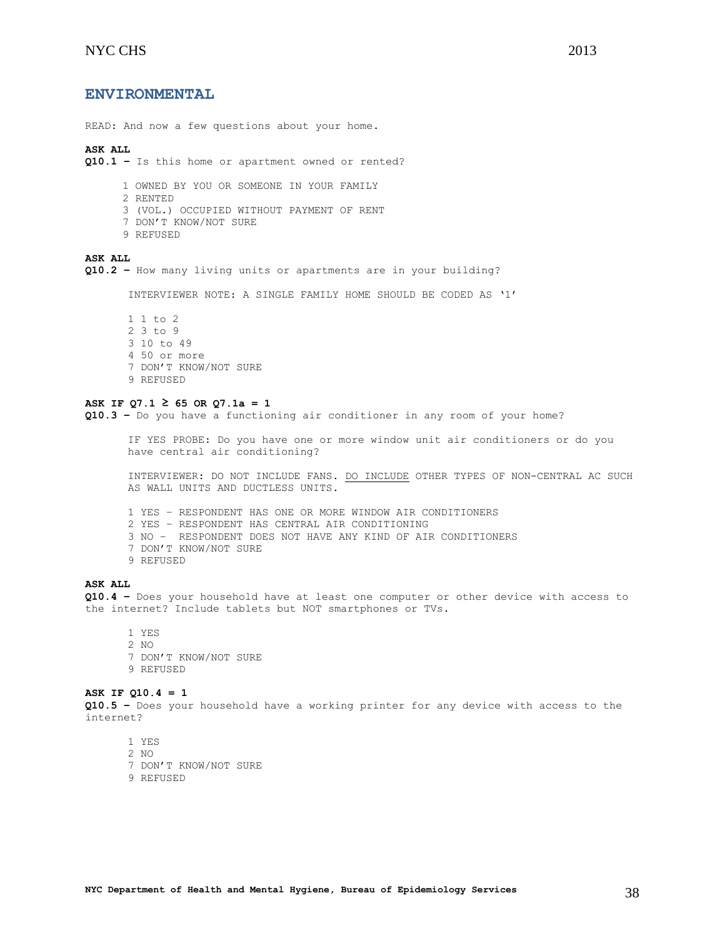# <span id="page-37-0"></span>**ENVIRONMENTAL**

READ: And now a few questions about your home.

#### **ASK ALL**

**Q10.1 –** Is this home or apartment owned or rented?

1 OWNED BY YOU OR SOMEONE IN YOUR FAMILY

2 RENTED

3 (VOL.) OCCUPIED WITHOUT PAYMENT OF RENT

- 7 DON'T KNOW/NOT SURE
- 9 REFUSED

**ASK ALL**

**Q10.2 –** How many living units or apartments are in your building?

INTERVIEWER NOTE: A SINGLE FAMILY HOME SHOULD BE CODED AS '1'

1 1 to 2 2 3 to 9 3 10 to 49 4 50 or more 7 DON'T KNOW/NOT SURE 9 REFUSED

### **ASK IF Q7.1 ≥ 65 OR Q7.1a = 1**

**Q10.3 –** Do you have a functioning air conditioner in any room of your home?

IF YES PROBE: Do you have one or more window unit air conditioners or do you have central air conditioning?

INTERVIEWER: DO NOT INCLUDE FANS. DO INCLUDE OTHER TYPES OF NON-CENTRAL AC SUCH AS WALL UNITS AND DUCTLESS UNITS.

1 YES – RESPONDENT HAS ONE OR MORE WINDOW AIR CONDITIONERS 2 YES – RESPONDENT HAS CENTRAL AIR CONDITIONING 3 NO – RESPONDENT DOES NOT HAVE ANY KIND OF AIR CONDITIONERS 7 DON'T KNOW/NOT SURE

9 REFUSED

# **ASK ALL**

**Q10.4 –** Does your household have at least one computer or other device with access to the internet? Include tablets but NOT smartphones or TVs.

1 YES 2 NO 7 DON'T KNOW/NOT SURE 9 REFUSED

# **ASK IF Q10.4 = 1**

**Q10.5 –** Does your household have a working printer for any device with access to the internet?

- 1 YES
- 2 NO
- 7 DON'T KNOW/NOT SURE
- 9 REFUSED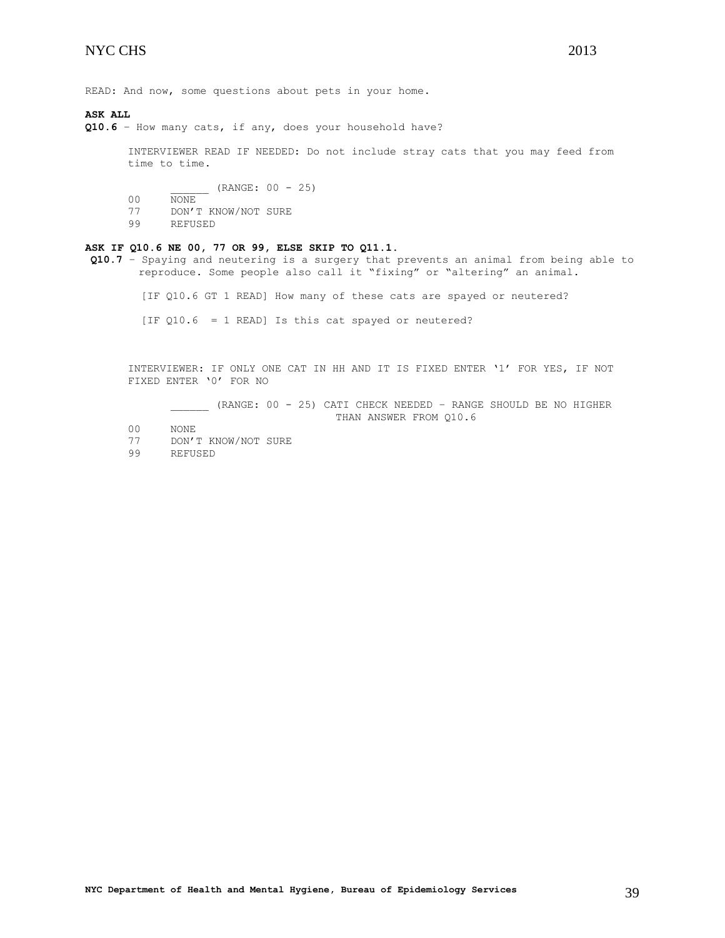READ: And now, some questions about pets in your home.

**ASK ALL**

**Q10.6** – How many cats, if any, does your household have?

INTERVIEWER READ IF NEEDED: Do not include stray cats that you may feed from time to time.

 $_{-}$  (RANGE: 00 - 25)

- 00 NONE
- 77 DON'T KNOW/NOT SURE
- 99 REFUSED

### **ASK IF Q10.6 NE 00, 77 OR 99, ELSE SKIP TO Q11.1.**

**Q10.7** – Spaying and neutering is a surgery that prevents an animal from being able to reproduce. Some people also call it "fixing" or "altering" an animal.

[IF Q10.6 GT 1 READ] How many of these cats are spayed or neutered?

[IF Q10.6 = 1 READ] Is this cat spayed or neutered?

INTERVIEWER: IF ONLY ONE CAT IN HH AND IT IS FIXED ENTER '1' FOR YES, IF NOT FIXED ENTER '0' FOR NO

\_\_\_\_\_\_ (RANGE: 00 - 25) CATI CHECK NEEDED – RANGE SHOULD BE NO HIGHER THAN ANSWER FROM Q10.6

- 00 NONE
- 77 DON'T KNOW/NOT SURE
- 99 REFUSED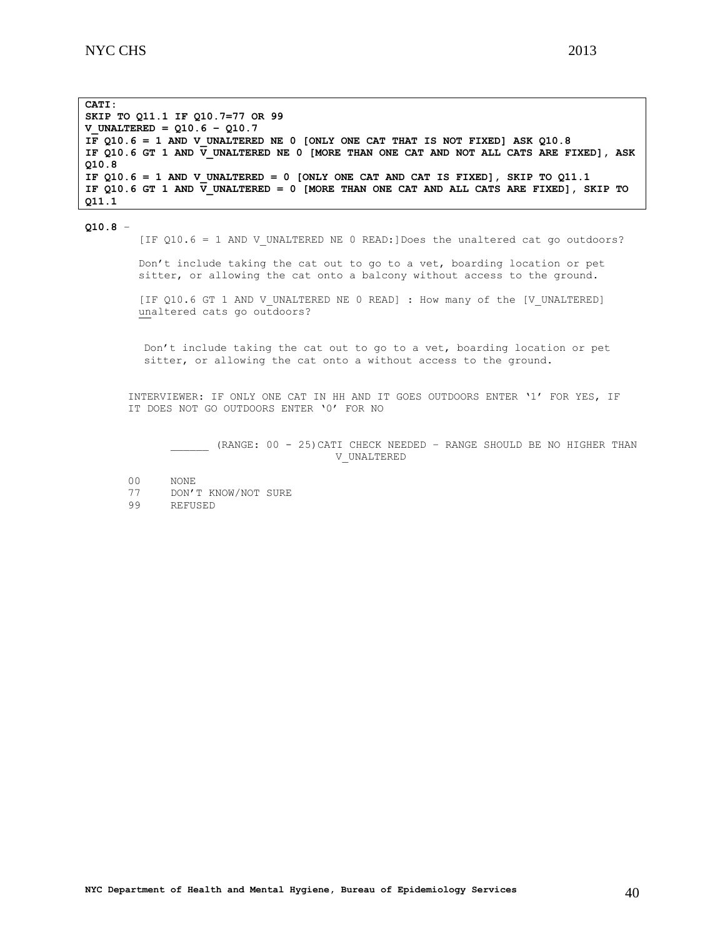**CATI: SKIP TO Q11.1 IF Q10.7=77 OR 99 V\_UNALTERED = Q10.6 – Q10.7** IF  $Q10.6 = 1$  AND V UNALTERED NE 0 [ONLY ONE CAT THAT IS NOT FIXED] ASK  $Q10.8$ **IF Q10.6 GT 1 AND V\_UNALTERED NE 0 [MORE THAN ONE CAT AND NOT ALL CATS ARE FIXED], ASK Q10.8** IF  $Q10.6 = 1$  AND V UNALTERED = 0 [ONLY ONE CAT AND CAT IS FIXED], SKIP TO  $Q11.1$ IF Q10.6 GT 1 AND  $\overline{V}$  UNALTERED = 0 [MORE THAN ONE CAT AND ALL CATS ARE FIXED], SKIP TO **Q11.1**

**Q10.8** –

[IF Q10.6 = 1 AND V UNALTERED NE 0 READ:]Does the unaltered cat go outdoors?

Don't include taking the cat out to go to a vet, boarding location or pet sitter, or allowing the cat onto a balcony without access to the ground.

[IF Q10.6 GT 1 AND V UNALTERED NE 0 READ] : How many of the [V UNALTERED] unaltered cats go outdoors?

Don't include taking the cat out to go to a vet, boarding location or pet sitter, or allowing the cat onto a without access to the ground.

INTERVIEWER: IF ONLY ONE CAT IN HH AND IT GOES OUTDOORS ENTER '1' FOR YES, IF IT DOES NOT GO OUTDOORS ENTER '0' FOR NO

<span id="page-39-0"></span>(RANGE: 00 - 25) CATI CHECK NEEDED - RANGE SHOULD BE NO HIGHER THAN V\_UNALTERED

00 NONE

77 DON'T KNOW/NOT SURE

99 REFUSED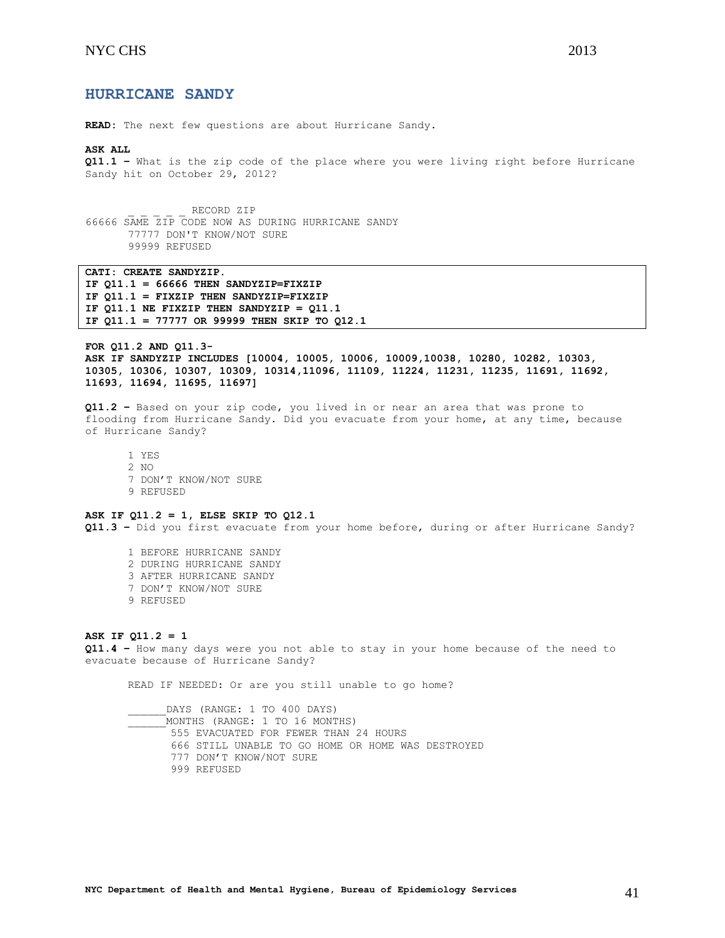# **HURRICANE SANDY**

**READ:** The next few questions are about Hurricane Sandy.

#### **ASK ALL**

**Q11.1 –** What is the zip code of the place where you were living right before Hurricane Sandy hit on October 29, 2012?

RECORD ZIP 66666 SAME ZIP CODE NOW AS DURING HURRICANE SANDY 77777 DON'T KNOW/NOT SURE 99999 REFUSED

**CATI: CREATE SANDYZIP. IF Q11.1 = 66666 THEN SANDYZIP=FIXZIP IF Q11.1 = FIXZIP THEN SANDYZIP=FIXZIP IF Q11.1 NE FIXZIP THEN SANDYZIP = Q11.1 IF Q11.1 = 77777 OR 99999 THEN SKIP TO Q12.1**

<span id="page-40-0"></span>**FOR Q11.2 AND Q11.3- ASK IF SANDYZIP INCLUDES [10004, 10005, 10006, 10009,10038, 10280, 10282, 10303, 10305, 10306, 10307, 10309, 10314,11096, 11109, 11224, 11231, 11235, 11691, 11692, 11693, 11694, 11695, 11697]**

**Q11.2 –** Based on your zip code, you lived in or near an area that was prone to flooding from Hurricane Sandy. Did you evacuate from your home, at any time, because of Hurricane Sandy?

1 YES 2 NO 7 DON'T KNOW/NOT SURE 9 REFUSED

### **ASK IF Q11.2 = 1, ELSE SKIP TO Q12.1**

**Q11.3 –** Did you first evacuate from your home before, during or after Hurricane Sandy?

1 BEFORE HURRICANE SANDY 2 DURING HURRICANE SANDY 3 AFTER HURRICANE SANDY 7 DON'T KNOW/NOT SURE 9 REFUSED

#### **ASK IF Q11.2 = 1**

**Q11.4 –** How many days were you not able to stay in your home because of the need to evacuate because of Hurricane Sandy?

READ IF NEEDED: Or are you still unable to go home?

DAYS (RANGE: 1 TO 400 DAYS) \_\_\_\_\_\_MONTHS (RANGE: 1 TO 16 MONTHS) 555 EVACUATED FOR FEWER THAN 24 HOURS 666 STILL UNABLE TO GO HOME OR HOME WAS DESTROYED 777 DON'T KNOW/NOT SURE 999 REFUSED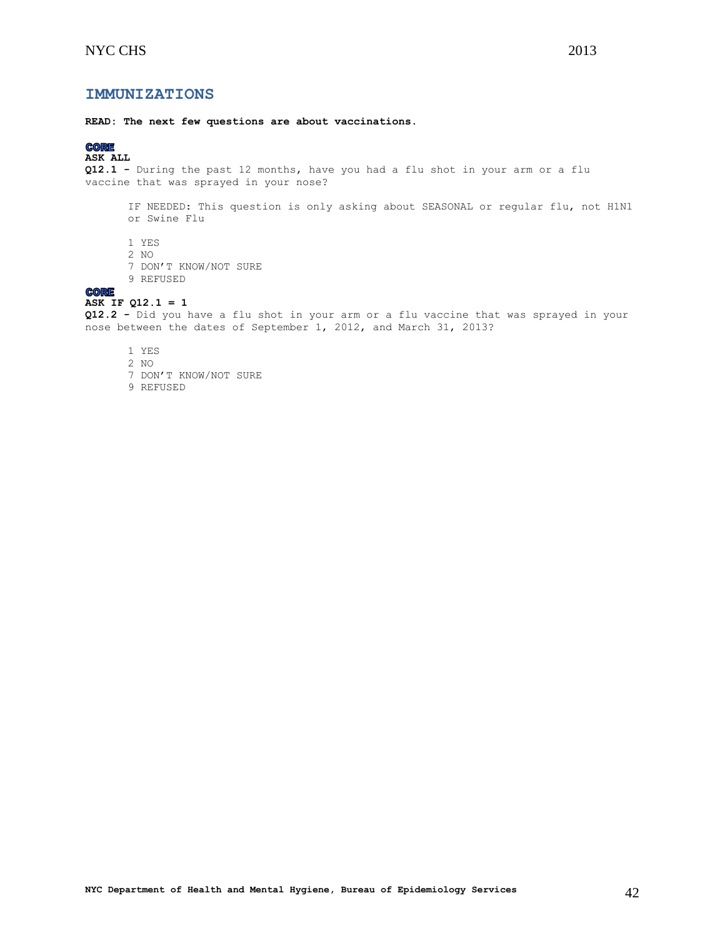# **IMMUNIZATIONS**

**READ: The next few questions are about vaccinations.** 

# **CORE**

# **ASK ALL**

**Q12.1 -** During the past 12 months, have you had a flu shot in your arm or a flu vaccine that was sprayed in your nose?

IF NEEDED: This question is only asking about SEASONAL or regular flu, not H1N1 or Swine Flu

- 1 YES
- 2 NO
- 7 DON'T KNOW/NOT SURE
- 9 REFUSED

# **CORE**

# **ASK IF Q12.1 = 1**

**Q12.2 -** Did you have a flu shot in your arm or a flu vaccine that was sprayed in your nose between the dates of September 1, 2012, and March 31, 2013?

- 1 YES
- 2 NO
- 7 DON'T KNOW/NOT SURE
- <span id="page-41-0"></span>9 REFUSED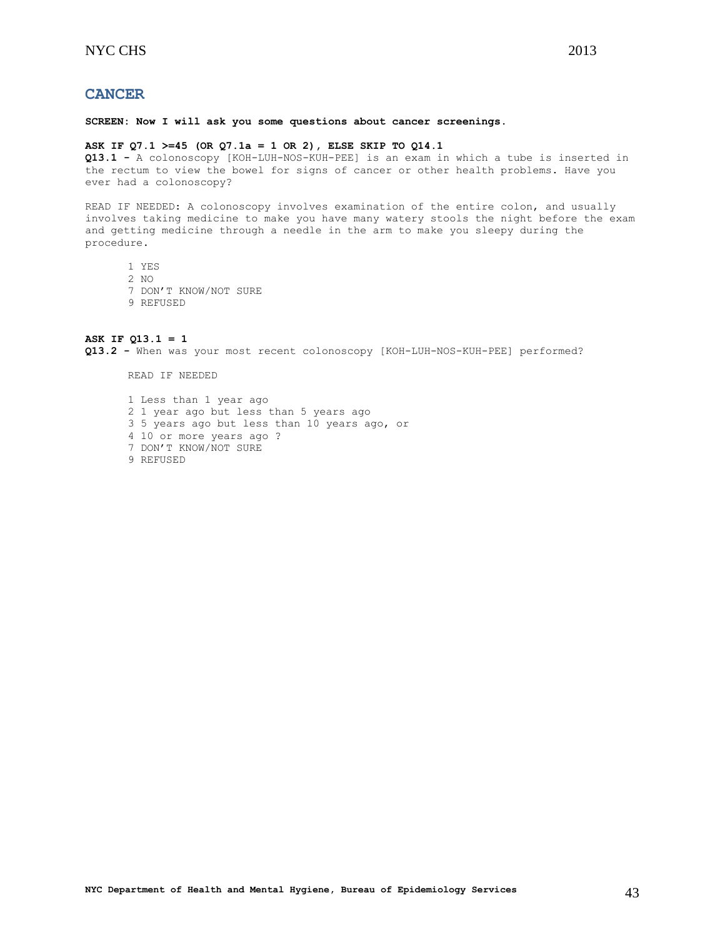# **CANCER**

**SCREEN: Now I will ask you some questions about cancer screenings.**

#### **ASK IF Q7.1 >=45 (OR Q7.1a = 1 OR 2), ELSE SKIP TO Q14.1**

**Q13.1 -** A colonoscopy [KOH-LUH-NOS-KUH-PEE] is an exam in which a tube is inserted in the rectum to view the bowel for signs of cancer or other health problems. Have you ever had a colonoscopy?

READ IF NEEDED: A colonoscopy involves examination of the entire colon, and usually involves taking medicine to make you have many watery stools the night before the exam and getting medicine through a needle in the arm to make you sleepy during the procedure.

- 1 YES
- 2 NO
- 7 DON'T KNOW/NOT SURE
- 9 REFUSED

# **ASK IF Q13.1 = 1**

**Q13.2 -** When was your most recent colonoscopy [KOH-LUH-NOS-KUH-PEE] performed?

READ IF NEEDED

<span id="page-42-0"></span>1 Less than 1 year ago 2 1 year ago but less than 5 years ago 3 5 years ago but less than 10 years ago, or 4 10 or more years ago ? 7 DON'T KNOW/NOT SURE 9 REFUSED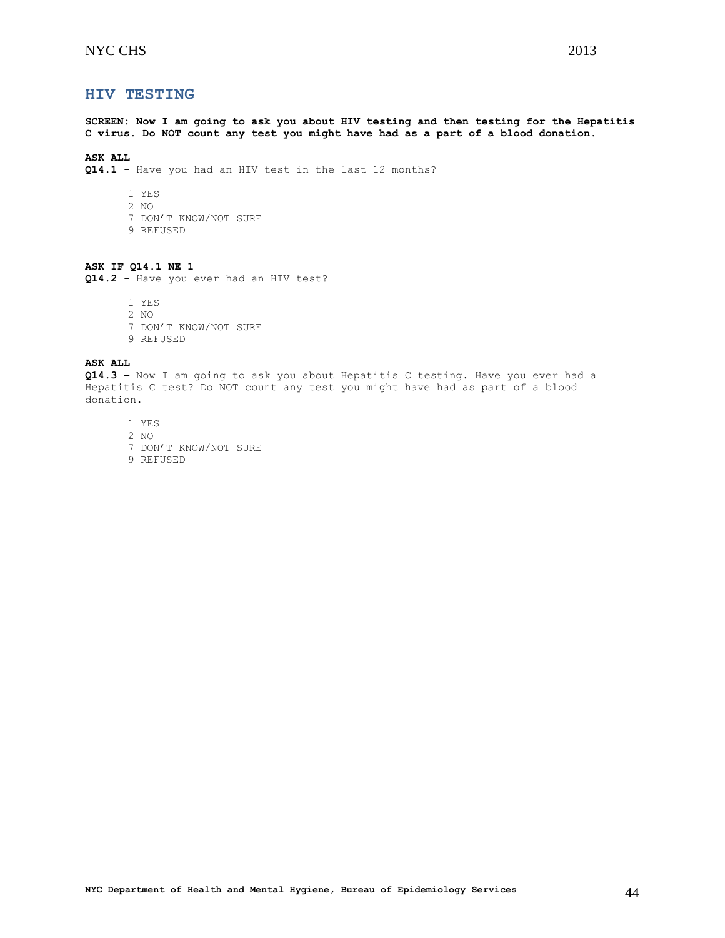**HIV TESTING**

**SCREEN: Now I am going to ask you about HIV testing and then testing for the Hepatitis C virus. Do NOT count any test you might have had as a part of a blood donation.**

# **ASK ALL**

**Q14.1 -** Have you had an HIV test in the last 12 months?

- 1 YES
- 2 NO
- 7 DON'T KNOW/NOT SURE
- 9 REFUSED

# **ASK IF Q14.1 NE 1**

**Q14.2 -** Have you ever had an HIV test?

1 YES

- 2 NO
- 7 DON'T KNOW/NOT SURE
- 9 REFUSED

**ASK ALL**

**Q14.3 –** Now I am going to ask you about Hepatitis C testing. Have you ever had a Hepatitis C test? Do NOT count any test you might have had as part of a blood donation.

- 1 YES
- 2 NO
- 7 DON'T KNOW/NOT SURE
- <span id="page-43-0"></span>9 REFUSED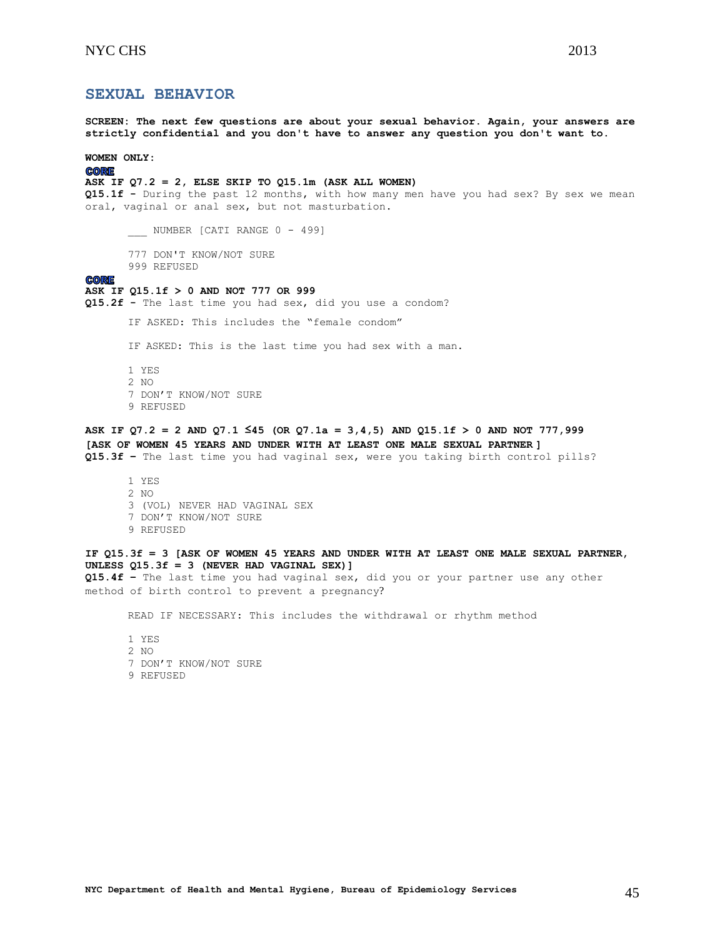# **SEXUAL BEHAVIOR**

**SCREEN: The next few questions are about your sexual behavior. Again, your answers are strictly confidential and you don't have to answer any question you don't want to.**

**WOMEN ONLY:**

#### **CORE**

# **ASK IF Q7.2 = 2, ELSE SKIP TO Q15.1m (ASK ALL WOMEN)**

**Q15.1f -** During the past 12 months, with how many men have you had sex? By sex we mean oral, vaginal or anal sex, but not masturbation.

\_\_\_\_ NUMBER [CATI RANGE 0 - 499]

777 DON'T KNOW/NOT SURE 999 REFUSED

# **CORE**

#### **ASK IF Q15.1f > 0 AND NOT 777 OR 999**

**Q15.2f -** The last time you had sex, did you use a condom?

IF ASKED: This includes the "female condom"

IF ASKED: This is the last time you had sex with a man.

1 YES 2 NO 7 DON'T KNOW/NOT SURE 9 REFUSED

# **ASK IF Q7.2 = 2 AND Q7.1 ≤45 (OR Q7.1a = 3,4,5) AND Q15.1f > 0 AND NOT 777,999 [ASK OF WOMEN 45 YEARS AND UNDER WITH AT LEAST ONE MALE SEXUAL PARTNER ] Q15.3f –** The last time you had vaginal sex, were you taking birth control pills?

1 YES 2 NO 3 (VOL) NEVER HAD VAGINAL SEX 7 DON'T KNOW/NOT SURE 9 REFUSED

# **IF Q15.3f = 3 [ASK OF WOMEN 45 YEARS AND UNDER WITH AT LEAST ONE MALE SEXUAL PARTNER, UNLESS Q15.3f = 3 (NEVER HAD VAGINAL SEX)]**

**Q15.4f –** The last time you had vaginal sex, did you or your partner use any other method of birth control to prevent a pregnancy?

READ IF NECESSARY: This includes the withdrawal or rhythm method

- 1 YES
- 2 NO
- 7 DON'T KNOW/NOT SURE
- 9 REFUSED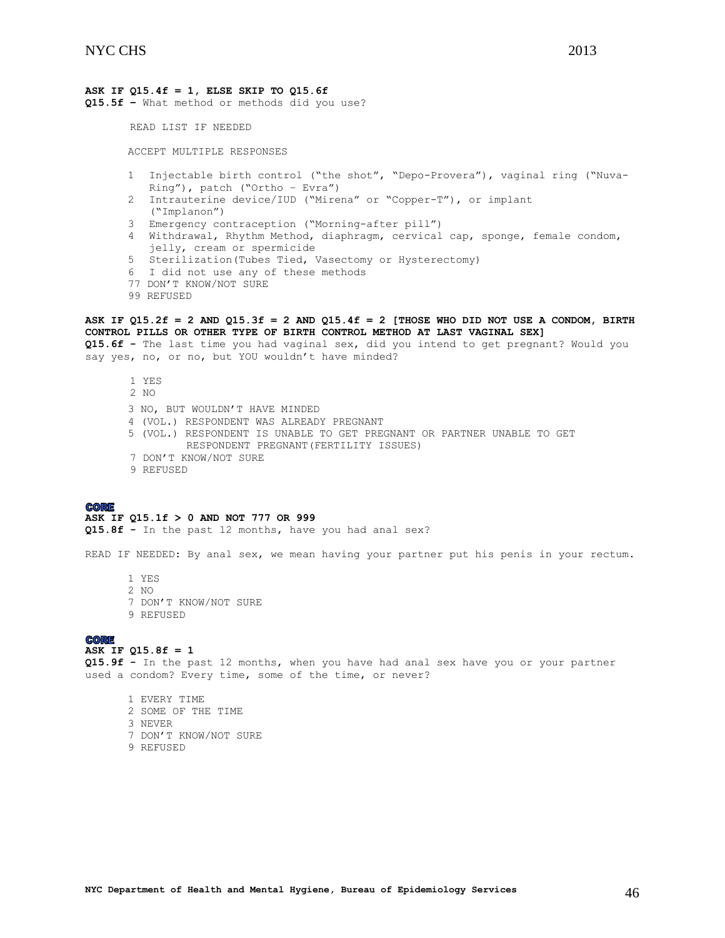# **ASK IF Q15.4f = 1, ELSE SKIP TO Q15.6f**

**Q15.5f –** What method or methods did you use?

READ LIST IF NEEDED

ACCEPT MULTIPLE RESPONSES

- 1 Injectable birth control ("the shot", "Depo-Provera"), vaginal ring ("Nuva-Ring"), patch ("Ortho – Evra")
- 2 Intrauterine device/IUD ("Mirena" or "Copper-T"), or implant ("Implanon")
- 3 Emergency contraception ("Morning-after pill")
- 4 Withdrawal, Rhythm Method, diaphragm, cervical cap, sponge, female condom, jelly, cream or spermicide
- 5 Sterilization(Tubes Tied, Vasectomy or Hysterectomy)
- 6 I did not use any of these methods
- 77 DON'T KNOW/NOT SURE
- 99 REFUSED

# **ASK IF Q15.2f = 2 AND Q15.3f = 2 AND Q15.4f = 2 [THOSE WHO DID NOT USE A CONDOM, BIRTH CONTROL PILLS OR OTHER TYPE OF BIRTH CONTROL METHOD AT LAST VAGINAL SEX]**

**Q15.6f -** The last time you had vaginal sex, did you intend to get pregnant? Would you say yes, no, or no, but YOU wouldn't have minded?

 1 YES 2 NO 3 NO, BUT WOULDN'T HAVE MINDED 4 (VOL.) RESPONDENT WAS ALREADY PREGNANT 5 (VOL.) RESPONDENT IS UNABLE TO GET PREGNANT OR PARTNER UNABLE TO GET RESPONDENT PREGNANT(FERTILITY ISSUES)

- 7 DON'T KNOW/NOT SURE
- 9 REFUSED

#### **CORE**

#### **ASK IF Q15.1f > 0 AND NOT 777 OR 999**

**Q15.8f -** In the past 12 months, have you had anal sex?

READ IF NEEDED: By anal sex, we mean having your partner put his penis in your rectum.

1 YES 2 NO 7 DON'T KNOW/NOT SURE 9 REFUSED

#### **CORE**

# **ASK IF Q15.8f = 1**

**Q15.9f -** In the past 12 months, when you have had anal sex have you or your partner used a condom? Every time, some of the time, or never?

- 1 EVERY TIME
- 2 SOME OF THE TIME
- 3 NEVER
- 7 DON'T KNOW/NOT SURE
- 9 REFUSED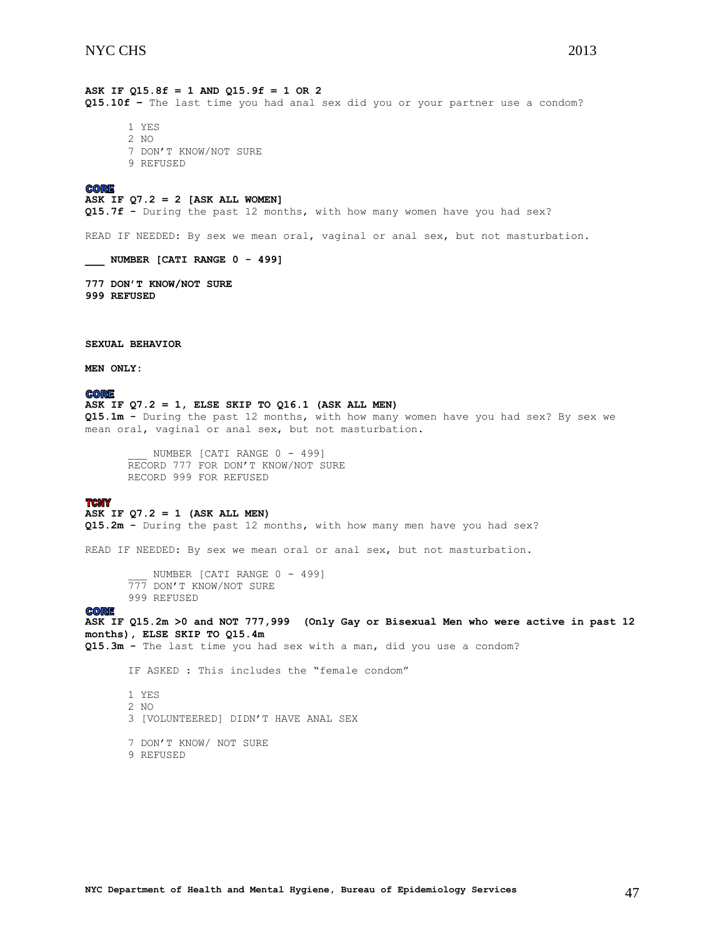**ASK IF Q15.8f = 1 AND Q15.9f = 1 OR 2 Q15.10f –** The last time you had anal sex did you or your partner use a condom?

1 YES 2 NO 7 DON'T KNOW/NOT SURE 9 REFUSED

#### **CORE**

#### **ASK IF Q7.2 = 2 [ASK ALL WOMEN]**

**Q15.7f -** During the past 12 months, with how many women have you had sex?

READ IF NEEDED: By sex we mean oral, vaginal or anal sex, but not masturbation.

**\_\_\_ NUMBER [CATI RANGE 0 - 499]**

**777 DON'T KNOW/NOT SURE 999 REFUSED** 

**SEXUAL BEHAVIOR**

**MEN ONLY:**

#### **CORE**

### **ASK IF Q7.2 = 1, ELSE SKIP TO Q16.1 (ASK ALL MEN)**

**Q15.1m -** During the past 12 months, with how many women have you had sex? By sex we mean oral, vaginal or anal sex, but not masturbation.

NUMBER [CATI RANGE 0 - 499] RECORD 777 FOR DON'T KNOW/NOT SURE RECORD 999 FOR REFUSED

#### **TCNY**

### **ASK IF Q7.2 = 1 (ASK ALL MEN)**

**Q15.2m -** During the past 12 months, with how many men have you had sex?

READ IF NEEDED: By sex we mean oral or anal sex, but not masturbation.

NUMBER [CATI RANGE 0 - 499] 777 DON'T KNOW/NOT SURE 999 REFUSED

#### **CORE**

**ASK IF Q15.2m >0 and NOT 777,999 (Only Gay or Bisexual Men who were active in past 12 months), ELSE SKIP TO Q15.4m**

**Q15.3m -** The last time you had sex with a man, did you use a condom?

IF ASKED : This includes the "female condom"

1 YES 2 NO 3 [VOLUNTEERED] DIDN'T HAVE ANAL SEX

7 DON'T KNOW/ NOT SURE 9 REFUSED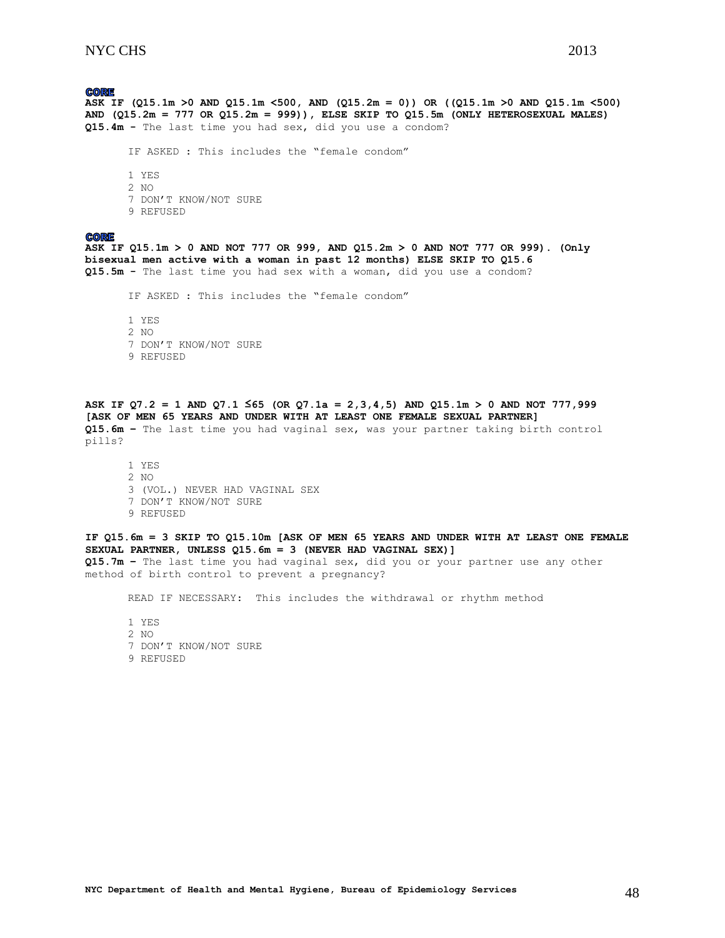# **CORE**

**ASK IF (Q15.1m >0 AND Q15.1m <500, AND (Q15.2m = 0)) OR ((Q15.1m >0 AND Q15.1m <500) AND (Q15.2m = 777 OR Q15.2m = 999)), ELSE SKIP TO Q15.5m (ONLY HETEROSEXUAL MALES) Q15.4m -** The last time you had sex, did you use a condom?

IF ASKED : This includes the "female condom"

1 YES 2 NO 7 DON'T KNOW/NOT SURE 9 REFUSED

#### **CORE**

**ASK IF Q15.1m > 0 AND NOT 777 OR 999, AND Q15.2m > 0 AND NOT 777 OR 999). (Only bisexual men active with a woman in past 12 months) ELSE SKIP TO Q15.6 Q15.5m -** The last time you had sex with a woman, did you use a condom?

IF ASKED : This includes the "female condom"

1 YES 2 NO 7 DON'T KNOW/NOT SURE 9 REFUSED

**ASK IF Q7.2 = 1 AND Q7.1 ≤65 (OR Q7.1a = 2,3,4,5) AND Q15.1m > 0 AND NOT 777,999 [ASK OF MEN 65 YEARS AND UNDER WITH AT LEAST ONE FEMALE SEXUAL PARTNER] Q15.6m –** The last time you had vaginal sex, was your partner taking birth control pills?

1 YES 2 NO 3 (VOL.) NEVER HAD VAGINAL SEX 7 DON'T KNOW/NOT SURE 9 REFUSED

**IF Q15.6m = 3 SKIP TO Q15.10m [ASK OF MEN 65 YEARS AND UNDER WITH AT LEAST ONE FEMALE SEXUAL PARTNER, UNLESS Q15.6m = 3 (NEVER HAD VAGINAL SEX)] Q15.7m –** The last time you had vaginal sex, did you or your partner use any other

method of birth control to prevent a pregnancy?

READ IF NECESSARY: This includes the withdrawal or rhythm method

1 YES 2 NO 7 DON'T KNOW/NOT SURE 9 REFUSED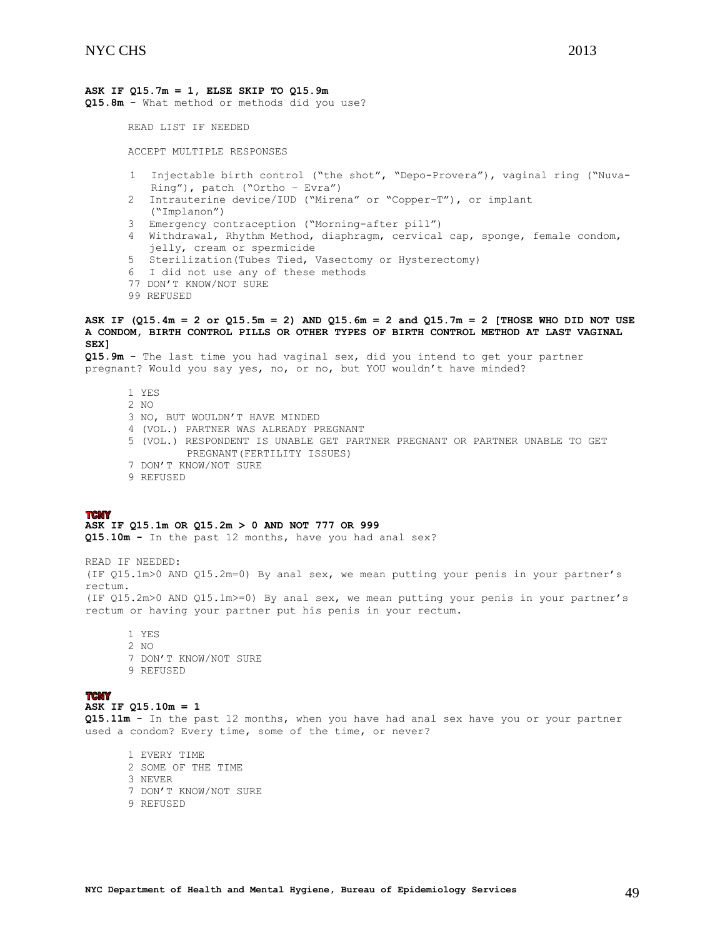# **ASK IF Q15.7m = 1, ELSE SKIP TO Q15.9m**

**Q15.8m -** What method or methods did you use?

READ LIST IF NEEDED

ACCEPT MULTIPLE RESPONSES

- 1 Injectable birth control ("the shot", "Depo-Provera"), vaginal ring ("Nuva-Ring"), patch ("Ortho – Evra")
- 2 Intrauterine device/IUD ("Mirena" or "Copper-T"), or implant ("Implanon")
- 3 Emergency contraception ("Morning-after pill")
- 4 Withdrawal, Rhythm Method, diaphragm, cervical cap, sponge, female condom, jelly, cream or spermicide
- 5 Sterilization(Tubes Tied, Vasectomy or Hysterectomy)
- 6 I did not use any of these methods
- 77 DON'T KNOW/NOT SURE
- 99 REFUSED

### **ASK IF (Q15.4m = 2 or Q15.5m = 2) AND Q15.6m = 2 and Q15.7m = 2 [THOSE WHO DID NOT USE A CONDOM, BIRTH CONTROL PILLS OR OTHER TYPES OF BIRTH CONTROL METHOD AT LAST VAGINAL SEX]**

**Q15.9m -** The last time you had vaginal sex, did you intend to get your partner pregnant? Would you say yes, no, or no, but YOU wouldn't have minded?

1 YES 2 NO 3 NO, BUT WOULDN'T HAVE MINDED 4 (VOL.) PARTNER WAS ALREADY PREGNANT 5 (VOL.) RESPONDENT IS UNABLE GET PARTNER PREGNANT OR PARTNER UNABLE TO GET PREGNANT(FERTILITY ISSUES) 7 DON'T KNOW/NOT SURE

9 REFUSED

### **TCNY**

#### **ASK IF Q15.1m OR Q15.2m > 0 AND NOT 777 OR 999**

**Q15.10m -** In the past 12 months, have you had anal sex?

READ IF NEEDED: (IF Q15.1m>0 AND Q15.2m=0) By anal sex, we mean putting your penis in your partner's rectum. (IF Q15.2m>0 AND Q15.1m>=0) By anal sex, we mean putting your penis in your partner's rectum or having your partner put his penis in your rectum.

1 YES 2 NO 7 DON'T KNOW/NOT SURE 9 REFUSED

# **TCNY**

#### **ASK IF Q15.10m = 1**

**Q15.11m -** In the past 12 months, when you have had anal sex have you or your partner used a condom? Every time, some of the time, or never?

<span id="page-48-0"></span>1 EVERY TIME 2 SOME OF THE TIME 3 NEVER 7 DON'T KNOW/NOT SURE 9 REFUSED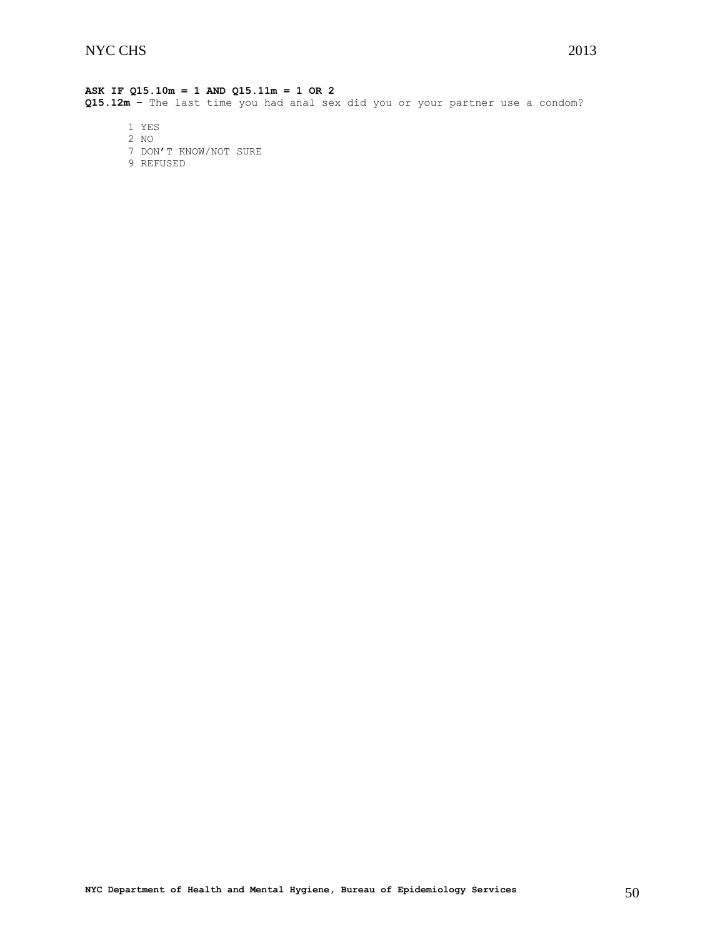# **ASK IF Q15.10m = 1 AND Q15.11m = 1 OR 2**

**Q15.12m –** The last time you had anal sex did you or your partner use a condom?

- 1 YES
- 2 NO
- 7 DON'T KNOW/NOT SURE
- 9 REFUSED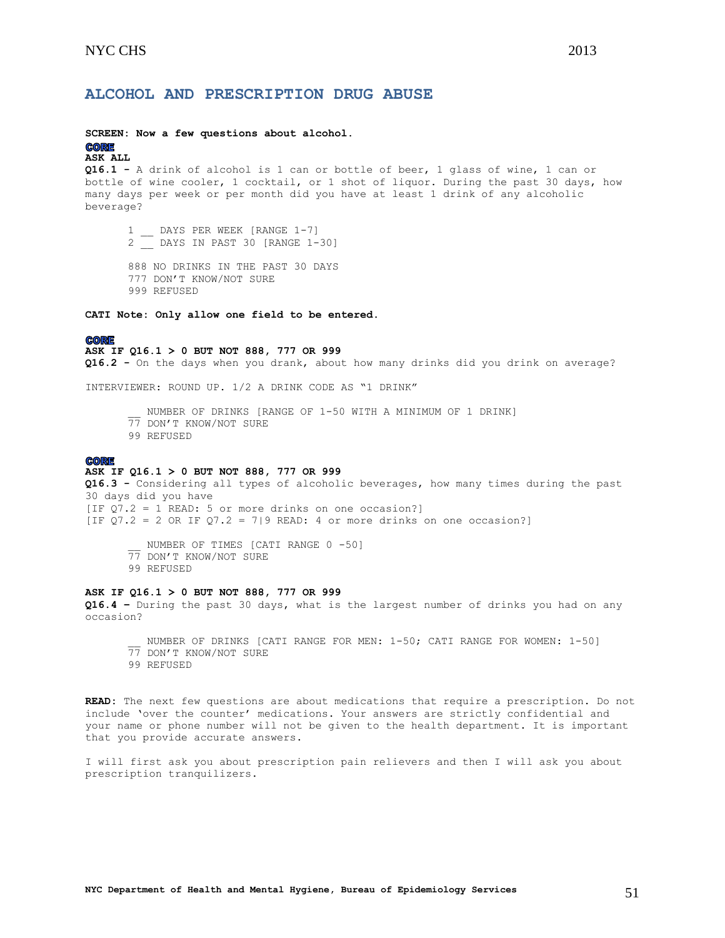### **SCREEN: Now a few questions about alcohol.**

#### **CORE ASK ALL**

**Q16.1 -** A drink of alcohol is 1 can or bottle of beer, 1 glass of wine, 1 can or bottle of wine cooler, 1 cocktail, or 1 shot of liquor. During the past 30 days, how many days per week or per month did you have at least 1 drink of any alcoholic beverage?

1 \_\_ DAYS PER WEEK [RANGE 1-7] 2 \_\_ DAYS IN PAST 30 [RANGE 1-30]

888 NO DRINKS IN THE PAST 30 DAYS 777 DON'T KNOW/NOT SURE 999 REFUSED

**CATI Note: Only allow one field to be entered.**

#### **CORE**

**ASK IF Q16.1 > 0 BUT NOT 888, 777 OR 999**

**Q16.2 -** On the days when you drank, about how many drinks did you drink on average?

INTERVIEWER: ROUND UP. 1/2 A DRINK CODE AS "1 DRINK"

NUMBER OF DRINKS [RANGE OF 1-50 WITH A MINIMUM OF 1 DRINK] 77 DON'T KNOW/NOT SURE 99 REFUSED

#### **CORE**

#### **ASK IF Q16.1 > 0 BUT NOT 888, 777 OR 999**

**Q16.3 -** Considering all types of alcoholic beverages, how many times during the past 30 days did you have [IF Q7.2 = 1 READ: 5 or more drinks on one occasion?] [IF  $Q7.2 = 2$  OR IF  $Q7.2 = 7$ |9 READ: 4 or more drinks on one occasion?]

NUMBER OF TIMES [CATI RANGE 0 -50]

- 77 DON'T KNOW/NOT SURE
- 99 REFUSED

### **ASK IF Q16.1 > 0 BUT NOT 888, 777 OR 999**

**Q16.4 –** During the past 30 days, what is the largest number of drinks you had on any occasion?

NUMBER OF DRINKS [CATI RANGE FOR MEN: 1-50; CATI RANGE FOR WOMEN: 1-50] 77 DON'T KNOW/NOT SURE

99 REFUSED

**READ:** The next few questions are about medications that require a prescription. Do not include 'over the counter' medications. Your answers are strictly confidential and your name or phone number will not be given to the health department. It is important that you provide accurate answers.

I will first ask you about prescription pain relievers and then I will ask you about prescription tranquilizers.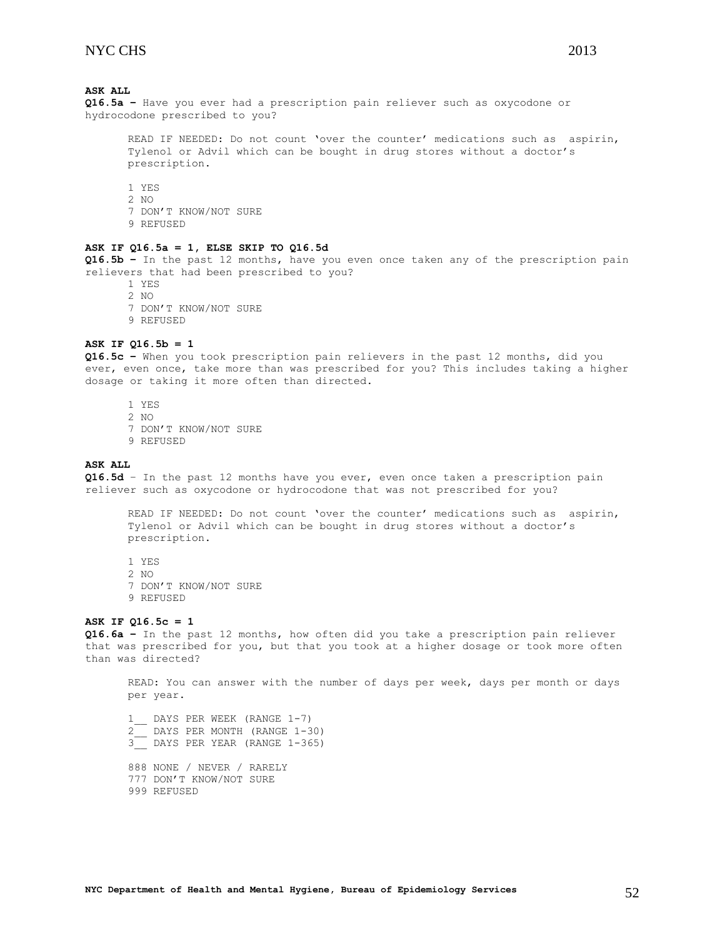# **ASK ALL**

**Q16.5a –** Have you ever had a prescription pain reliever such as oxycodone or hydrocodone prescribed to you?

READ IF NEEDED: Do not count 'over the counter' medications such as aspirin, Tylenol or Advil which can be bought in drug stores without a doctor's prescription.

1 YES 2 NO 7 DON'T KNOW/NOT SURE 9 REFUSED

## **ASK IF Q16.5a = 1, ELSE SKIP TO Q16.5d**

**Q16.5b –** In the past 12 months, have you even once taken any of the prescription pain relievers that had been prescribed to you?

1 YES 2 NO

- 7 DON'T KNOW/NOT SURE
- 9 REFUSED

#### **ASK IF Q16.5b = 1**

**Q16.5c –** When you took prescription pain relievers in the past 12 months, did you ever, even once, take more than was prescribed for you? This includes taking a higher dosage or taking it more often than directed.

- 1 YES 2 NO
- 7 DON'T KNOW/NOT SURE
- 9 REFUSED

#### **ASK ALL**

**Q16.5d** – In the past 12 months have you ever, even once taken a prescription pain reliever such as oxycodone or hydrocodone that was not prescribed for you?

READ IF NEEDED: Do not count 'over the counter' medications such as aspirin, Tylenol or Advil which can be bought in drug stores without a doctor's prescription.

1 YES 2 NO 7 DON'T KNOW/NOT SURE 9 REFUSED

#### **ASK IF Q16.5c = 1**

**Q16.6a –** In the past 12 months, how often did you take a prescription pain reliever that was prescribed for you, but that you took at a higher dosage or took more often than was directed?

READ: You can answer with the number of days per week, days per month or days per year.

1\_\_ DAYS PER WEEK (RANGE 1-7) 2\_\_ DAYS PER MONTH (RANGE 1-30)  $\frac{2}{3}$  DAYS PER YEAR (RANGE 1-365) 888 NONE / NEVER / RARELY 777 DON'T KNOW/NOT SURE 999 REFUSED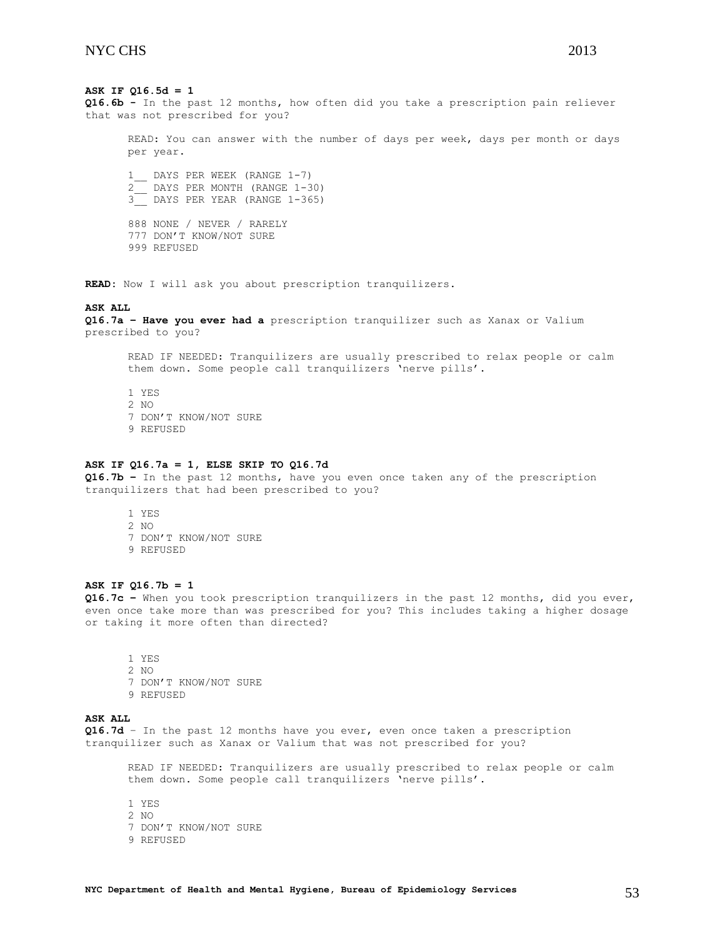# **ASK IF Q16.5d = 1**

**Q16.6b -** In the past 12 months, how often did you take a prescription pain reliever that was not prescribed for you?

READ: You can answer with the number of days per week, days per month or days per year.

1\_\_ DAYS PER WEEK (RANGE 1-7) 2\_\_ DAYS PER MONTH (RANGE 1-30) 3\_\_ DAYS PER YEAR (RANGE 1-365)

888 NONE / NEVER / RARELY 777 DON'T KNOW/NOT SURE 999 REFUSED

**READ:** Now I will ask you about prescription tranquilizers.

#### **ASK ALL**

**Q16.7a – Have you ever had a** prescription tranquilizer such as Xanax or Valium prescribed to you?

READ IF NEEDED: Tranquilizers are usually prescribed to relax people or calm them down. Some people call tranquilizers 'nerve pills'.

1 YES 2 NO 7 DON'T KNOW/NOT SURE 9 REFUSED

#### **ASK IF Q16.7a = 1, ELSE SKIP TO Q16.7d**

**Q16.7b –** In the past 12 months, have you even once taken any of the prescription tranquilizers that had been prescribed to you?

1 YES 2 NO 7 DON'T KNOW/NOT SURE 9 REFUSED

# **ASK IF Q16.7b = 1**

**Q16.7c –** When you took prescription tranquilizers in the past 12 months, did you ever, even once take more than was prescribed for you? This includes taking a higher dosage or taking it more often than directed?

1 YES 2 NO 7 DON'T KNOW/NOT SURE 9 REFUSED

# **ASK ALL**

**Q16.7d** – In the past 12 months have you ever, even once taken a prescription tranquilizer such as Xanax or Valium that was not prescribed for you?

READ IF NEEDED: Tranquilizers are usually prescribed to relax people or calm them down. Some people call tranquilizers 'nerve pills'.

1 YES 2 NO 7 DON'T KNOW/NOT SURE 9 REFUSED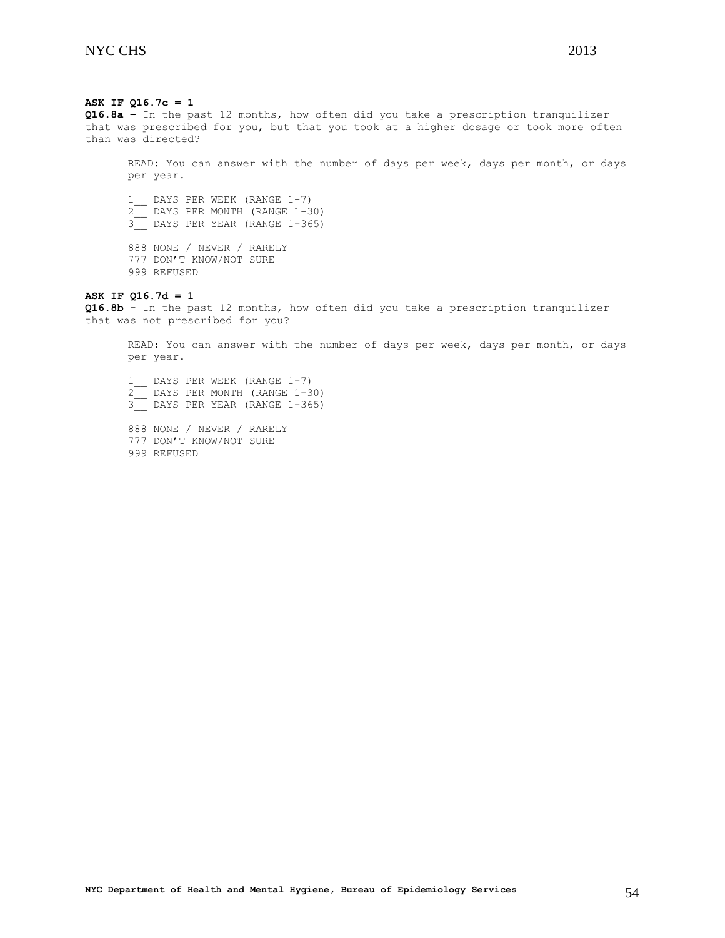**ASK IF Q16.7c = 1 Q16.8a –** In the past 12 months, how often did you take a prescription tranquilizer that was prescribed for you, but that you took at a higher dosage or took more often than was directed? READ: You can answer with the number of days per week, days per month, or days per year. 1 DAYS PER WEEK (RANGE 1-7) 2\_\_ DAYS PER MONTH (RANGE 1-30) 3<sup>D</sup> DAYS PER YEAR (RANGE 1-365) 888 NONE / NEVER / RARELY 777 DON'T KNOW/NOT SURE 999 REFUSED **ASK IF Q16.7d = 1 Q16.8b -** In the past 12 months, how often did you take a prescription tranquilizer

that was not prescribed for you?

READ: You can answer with the number of days per week, days per month, or days per year.

1 DAYS PER WEEK (RANGE 1-7) 2\_\_ DAYS PER MONTH (RANGE 1-30) 3<sup>D</sup> DAYS PER YEAR (RANGE 1-365)

<span id="page-53-0"></span>888 NONE / NEVER / RARELY 777 DON'T KNOW/NOT SURE 999 REFUSED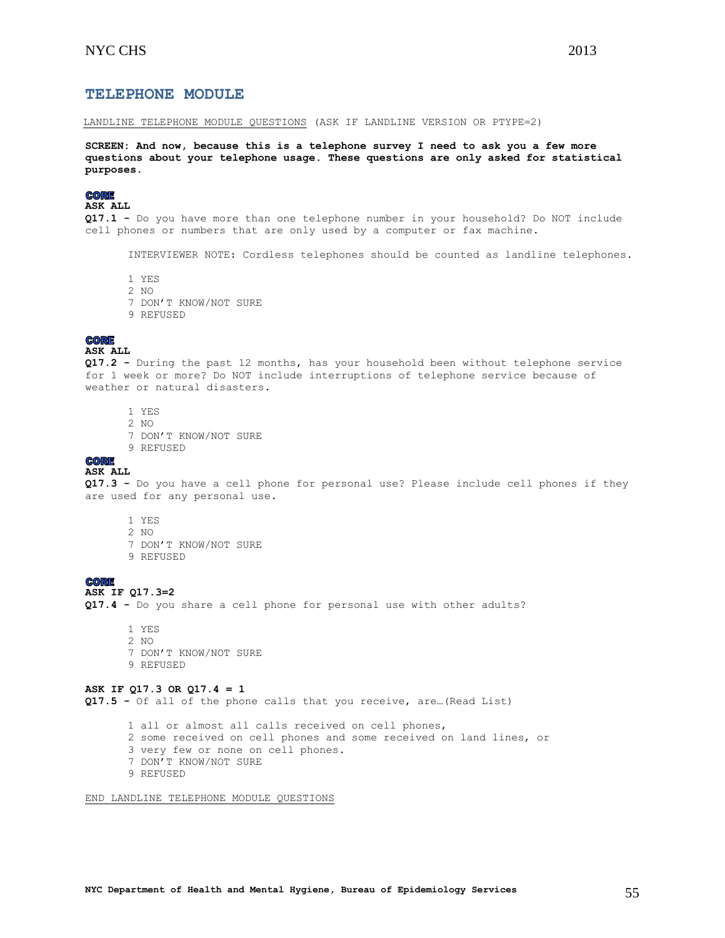# **TELEPHONE MODULE**

LANDLINE TELEPHONE MODULE QUESTIONS (ASK IF LANDLINE VERSION OR PTYPE=2)

**SCREEN: And now, because this is a telephone survey I need to ask you a few more questions about your telephone usage. These questions are only asked for statistical purposes.**

## **CORE**

**ASK ALL**

**Q17.1 -** Do you have more than one telephone number in your household? Do NOT include cell phones or numbers that are only used by a computer or fax machine.

INTERVIEWER NOTE: Cordless telephones should be counted as landline telephones.

- 1 YES
- 2 NO
- 7 DON'T KNOW/NOT SURE
- 9 REFUSED

# **CORE**

#### **ASK ALL**

**Q17.2 -** During the past 12 months, has your household been without telephone service for 1 week or more? Do NOT include interruptions of telephone service because of weather or natural disasters.

- 1 YES
- 2 NO
- 7 DON'T KNOW/NOT SURE
- 9 REFUSED

#### **CORE ASK ALL**

**Q17.3 -** Do you have a cell phone for personal use? Please include cell phones if they are used for any personal use.

- 1 YES
- 2 NO
- 7 DON'T KNOW/NOT SURE
- 9 REFUSED

# **CORE**

**ASK IF Q17.3=2**

**Q17.4 -** Do you share a cell phone for personal use with other adults?

1 YES 2 NO 7 DON'T KNOW/NOT SURE 9 REFUSED

# **ASK IF Q17.3 OR Q17.4 = 1**

**Q17.5 -** Of all of the phone calls that you receive, are…(Read List)

- 1 all or almost all calls received on cell phones,
- 2 some received on cell phones and some received on land lines, or
- 3 very few or none on cell phones.
- 7 DON'T KNOW/NOT SURE
- 9 REFUSED

END LANDLINE TELEPHONE MODULE QUESTIONS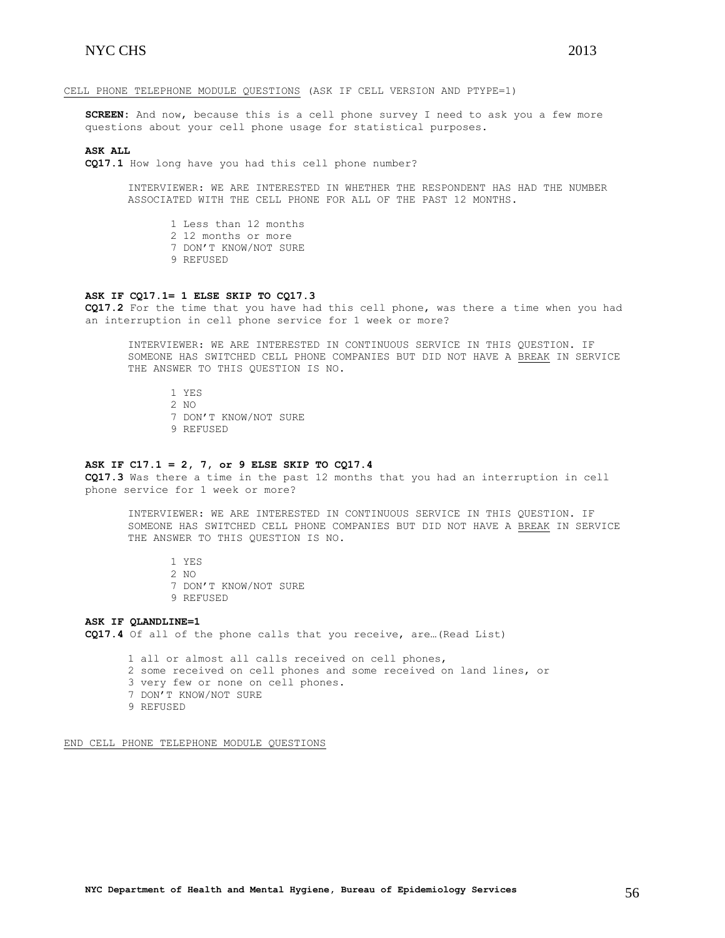**SCREEN:** And now, because this is a cell phone survey I need to ask you a few more questions about your cell phone usage for statistical purposes.

#### **ASK ALL**

**CQ17.1** How long have you had this cell phone number?

INTERVIEWER: WE ARE INTERESTED IN WHETHER THE RESPONDENT HAS HAD THE NUMBER ASSOCIATED WITH THE CELL PHONE FOR ALL OF THE PAST 12 MONTHS.

- 1 Less than 12 months
- 2 12 months or more
- 7 DON'T KNOW/NOT SURE
- 9 REFUSED

#### **ASK IF CQ17.1= 1 ELSE SKIP TO CQ17.3**

**CQ17.2** For the time that you have had this cell phone, was there a time when you had an interruption in cell phone service for 1 week or more?

INTERVIEWER: WE ARE INTERESTED IN CONTINUOUS SERVICE IN THIS QUESTION. IF SOMEONE HAS SWITCHED CELL PHONE COMPANIES BUT DID NOT HAVE A BREAK IN SERVICE THE ANSWER TO THIS QUESTION IS NO.

1 YES 2 NO 7 DON'T KNOW/NOT SURE 9 REFUSED

#### **ASK IF C17.1 = 2, 7, or 9 ELSE SKIP TO CQ17.4**

**CQ17.3** Was there a time in the past 12 months that you had an interruption in cell phone service for 1 week or more?

INTERVIEWER: WE ARE INTERESTED IN CONTINUOUS SERVICE IN THIS QUESTION. IF SOMEONE HAS SWITCHED CELL PHONE COMPANIES BUT DID NOT HAVE A BREAK IN SERVICE THE ANSWER TO THIS QUESTION IS NO.

1 YES 2 NO 7 DON'T KNOW/NOT SURE 9 REFUSED

**ASK IF QLANDLINE=1 CQ17.4** Of all of the phone calls that you receive, are…(Read List)

> 1 all or almost all calls received on cell phones, 2 some received on cell phones and some received on land lines, or 3 very few or none on cell phones. 7 DON'T KNOW/NOT SURE 9 REFUSED

END CELL PHONE TELEPHONE MODULE QUESTIONS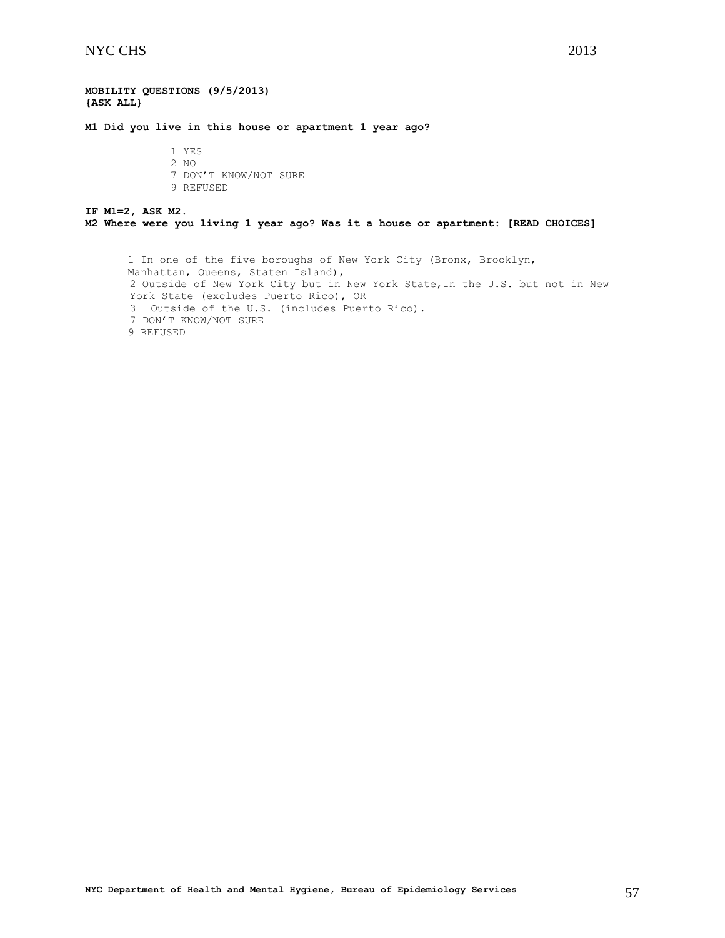### **MOBILITY QUESTIONS (9/5/2013) {ASK ALL}**

**M1 Did you live in this house or apartment 1 year ago?**

1 YES 2 NO 7 DON'T KNOW/NOT SURE 9 REFUSED

# **IF M1=2, ASK M2. M2 Where were you living 1 year ago? Was it a house or apartment: [READ CHOICES]**

1 In one of the five boroughs of New York City (Bronx, Brooklyn, Manhattan, Queens, Staten Island), 2 Outside of New York City but in New York State,In the U.S. but not in New York State (excludes Puerto Rico), OR 3 Outside of the U.S. (includes Puerto Rico). 7 DON'T KNOW/NOT SURE 9 REFUSED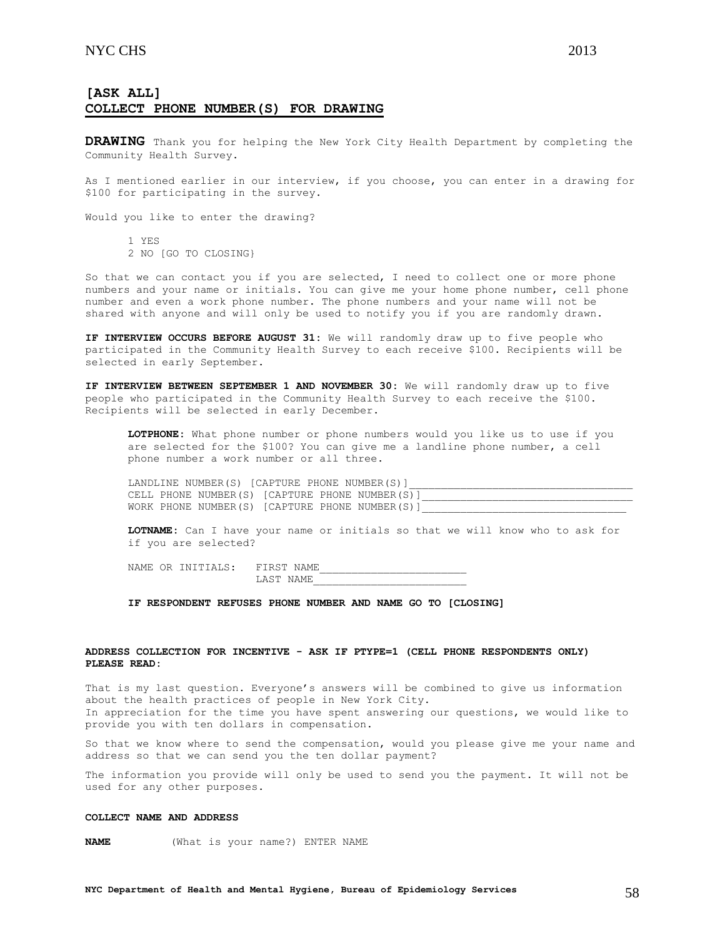# **[ASK ALL] COLLECT PHONE NUMBER(S) FOR DRAWING**

**DRAWING** Thank you for helping the New York City Health Department by completing the Community Health Survey.

As I mentioned earlier in our interview, if you choose, you can enter in a drawing for \$100 for participating in the survey.

Would you like to enter the drawing?

1 YES 2 NO [GO TO CLOSING}

So that we can contact you if you are selected, I need to collect one or more phone numbers and your name or initials. You can give me your home phone number, cell phone number and even a work phone number. The phone numbers and your name will not be shared with anyone and will only be used to notify you if you are randomly drawn.

**IF INTERVIEW OCCURS BEFORE AUGUST 31:** We will randomly draw up to five people who participated in the Community Health Survey to each receive \$100. Recipients will be selected in early September.

**IF INTERVIEW BETWEEN SEPTEMBER 1 AND NOVEMBER 30:** We will randomly draw up to five people who participated in the Community Health Survey to each receive the \$100. Recipients will be selected in early December.

**LOTPHONE:** What phone number or phone numbers would you like us to use if you are selected for the \$100? You can give me a landline phone number, a cell phone number a work number or all three.

|  | LANDLINE NUMBER(S) [CAPTURE PHONE NUMBER(S)]   |  |  |  |
|--|------------------------------------------------|--|--|--|
|  | CELL PHONE NUMBER(S) [CAPTURE PHONE NUMBER(S)] |  |  |  |
|  | WORK PHONE NUMBER(S) [CAPTURE PHONE NUMBER(S)] |  |  |  |

**LOTNAME:** Can I have your name or initials so that we will know who to ask for if you are selected?

NAME OR INITIALS: FIRST NAME LAST NAME\_\_\_\_\_\_\_\_\_\_\_\_\_\_\_\_\_\_\_\_\_\_\_\_

**IF RESPONDENT REFUSES PHONE NUMBER AND NAME GO TO [CLOSING]**

# **ADDRESS COLLECTION FOR INCENTIVE - ASK IF PTYPE=1 (CELL PHONE RESPONDENTS ONLY) PLEASE READ:**

That is my last question. Everyone's answers will be combined to give us information about the health practices of people in New York City. In appreciation for the time you have spent answering our questions, we would like to provide you with ten dollars in compensation.

So that we know where to send the compensation, would you please give me your name and address so that we can send you the ten dollar payment?

The information you provide will only be used to send you the payment. It will not be used for any other purposes.

#### **COLLECT NAME AND ADDRESS**

**NAME** (What is your name?) ENTER NAME